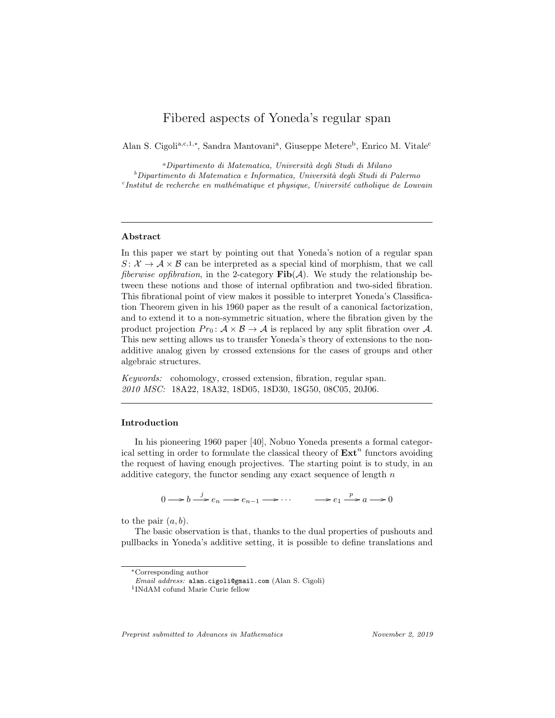# Fibered aspects of Yoneda's regular span

Alan S. Cigoli<sup>a,c,1,∗</sup>, Sandra Mantovani<sup>a</sup>, Giuseppe Metere<sup>b</sup>, Enrico M. Vitale<sup>c</sup>

<sup>a</sup>Dipartimento di Matematica, Universit`a degli Studi di Milano  $b$ Dipartimento di Matematica e Informatica, Università degli Studi di Palermo  $c$ Institut de recherche en mathématique et physique, Université catholique de Louvain

## Abstract

In this paper we start by pointing out that Yoneda's notion of a regular span  $S: \mathcal{X} \to \mathcal{A} \times \mathcal{B}$  can be interpreted as a special kind of morphism, that we call *fiberwise opfibration*, in the 2-category  $\text{Fib}(\mathcal{A})$ . We study the relationship between these notions and those of internal opfibration and two-sided fibration. This fibrational point of view makes it possible to interpret Yoneda's Classification Theorem given in his 1960 paper as the result of a canonical factorization, and to extend it to a non-symmetric situation, where the fibration given by the product projection  $Pr_0: A \times B \to A$  is replaced by any split fibration over A. This new setting allows us to transfer Yoneda's theory of extensions to the nonadditive analog given by crossed extensions for the cases of groups and other algebraic structures.

Keywords: cohomology, crossed extension, fibration, regular span. 2010 MSC: 18A22, 18A32, 18D05, 18D30, 18G50, 08C05, 20J06.

## Introduction

In his pioneering 1960 paper [40], Nobuo Yoneda presents a formal categorical setting in order to formulate the classical theory of  $\text{Ext}^n$  functors avoiding the request of having enough projectives. The starting point is to study, in an additive category, the functor sending any exact sequence of length  $n$ 

$$
0 \longrightarrow b \stackrel{j}{\longrightarrow} e_n \longrightarrow e_{n-1} \longrightarrow \cdots \longrightarrow e_1 \stackrel{p}{\longrightarrow} a \longrightarrow 0
$$

to the pair  $(a, b)$ .

The basic observation is that, thanks to the dual properties of pushouts and pullbacks in Yoneda's additive setting, it is possible to define translations and

Preprint submitted to Advances in Mathematics November 2, 2019

<sup>∗</sup>Corresponding author

Email address: alan.cigoli@gmail.com (Alan S. Cigoli)

<sup>1</sup> INdAM cofund Marie Curie fellow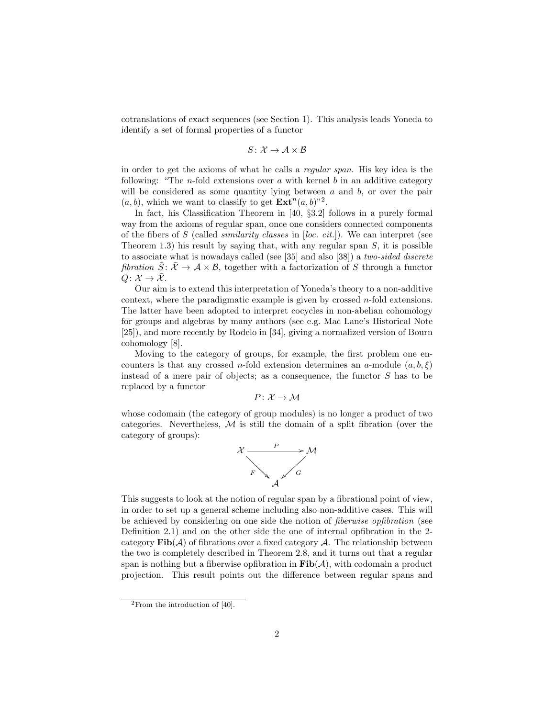cotranslations of exact sequences (see Section 1). This analysis leads Yoneda to identify a set of formal properties of a functor

$$
S\colon \mathcal{X} \to \mathcal{A} \times \mathcal{B}
$$

in order to get the axioms of what he calls a regular span. His key idea is the following: "The *n*-fold extensions over a with kernel b in an additive category will be considered as some quantity lying between  $a$  and  $b$ , or over the pair  $(a, b)$ , which we want to classify to get  $\mathbf{Ext}^n(a, b)^{n^2}$ .

In fact, his Classification Theorem in [40, §3.2] follows in a purely formal way from the axioms of regular span, once one considers connected components of the fibers of  $S$  (called *similarity classes* in [loc. cit.]). We can interpret (see Theorem 1.3) his result by saying that, with any regular span  $S$ , it is possible to associate what is nowadays called (see [35] and also [38]) a two-sided discrete fibration  $S: \mathcal{X} \to \mathcal{A} \times \mathcal{B}$ , together with a factorization of S through a functor  $Q: \mathcal{X} \to \overline{\mathcal{X}}$ .

Our aim is to extend this interpretation of Yoneda's theory to a non-additive context, where the paradigmatic example is given by crossed  $n$ -fold extensions. The latter have been adopted to interpret cocycles in non-abelian cohomology for groups and algebras by many authors (see e.g. Mac Lane's Historical Note [25]), and more recently by Rodelo in [34], giving a normalized version of Bourn cohomology [8].

Moving to the category of groups, for example, the first problem one encounters is that any crossed n-fold extension determines an a-module  $(a, b, \xi)$ instead of a mere pair of objects; as a consequence, the functor  $S$  has to be replaced by a functor

$$
P\colon \mathcal{X}\to \mathcal{M}
$$

whose codomain (the category of group modules) is no longer a product of two categories. Nevertheless,  $M$  is still the domain of a split fibration (over the category of groups):



This suggests to look at the notion of regular span by a fibrational point of view, in order to set up a general scheme including also non-additive cases. This will be achieved by considering on one side the notion of fiberwise opfibration (see Definition 2.1) and on the other side the one of internal opfibration in the 2 category  $\text{Fib}(\mathcal{A})$  of fibrations over a fixed category  $\mathcal{A}$ . The relationship between the two is completely described in Theorem 2.8, and it turns out that a regular span is nothing but a fiberwise opfibration in  $\text{Fib}(\mathcal{A})$ , with codomain a product projection. This result points out the difference between regular spans and

 ${}^{2}$ From the introduction of [40].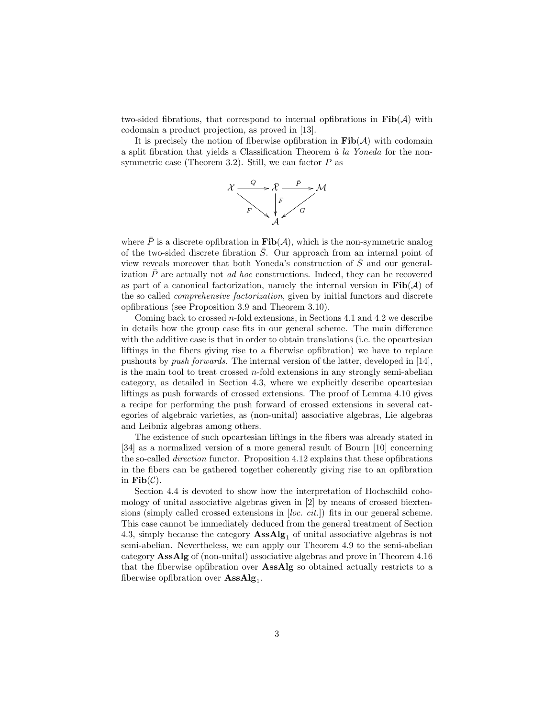two-sided fibrations, that correspond to internal opfibrations in  $\text{Fib}(\mathcal{A})$  with codomain a product projection, as proved in [13].

It is precisely the notion of fiberwise opfibration in  $\text{Fib}(\mathcal{A})$  with codomain a split fibration that yields a Classification Theorem  $\dot{a}$  la Yoneda for the nonsymmetric case (Theorem 3.2). Still, we can factor  $P$  as



where  $\bar{P}$  is a discrete opfibration in  $\text{Fib}(\mathcal{A})$ , which is the non-symmetric analog of the two-sided discrete fibration  $\overline{S}$ . Our approach from an internal point of view reveals moreover that both Yoneda's construction of  $\overline{S}$  and our generalization  $\overline{P}$  are actually not *ad hoc* constructions. Indeed, they can be recovered as part of a canonical factorization, namely the internal version in  $\text{Fib}(\mathcal{A})$  of the so called comprehensive factorization, given by initial functors and discrete opfibrations (see Proposition 3.9 and Theorem 3.10).

Coming back to crossed  $n$ -fold extensions, in Sections 4.1 and 4.2 we describe in details how the group case fits in our general scheme. The main difference with the additive case is that in order to obtain translations (i.e. the opcartesian liftings in the fibers giving rise to a fiberwise opfibration) we have to replace pushouts by push forwards. The internal version of the latter, developed in [14], is the main tool to treat crossed  $n$ -fold extensions in any strongly semi-abelian category, as detailed in Section 4.3, where we explicitly describe opcartesian liftings as push forwards of crossed extensions. The proof of Lemma 4.10 gives a recipe for performing the push forward of crossed extensions in several categories of algebraic varieties, as (non-unital) associative algebras, Lie algebras and Leibniz algebras among others.

The existence of such opcartesian liftings in the fibers was already stated in [34] as a normalized version of a more general result of Bourn [10] concerning the so-called direction functor. Proposition 4.12 explains that these opfibrations in the fibers can be gathered together coherently giving rise to an opfibration in  $\textbf{Fib}(\mathcal{C})$ .

Section 4.4 is devoted to show how the interpretation of Hochschild cohomology of unital associative algebras given in [2] by means of crossed biextensions (simply called crossed extensions in [loc. cit.]) fits in our general scheme. This case cannot be immediately deduced from the general treatment of Section 4.3, simply because the category  $\mathbf{AssAlg}_1$  of unital associative algebras is not semi-abelian. Nevertheless, we can apply our Theorem 4.9 to the semi-abelian category AssAlg of (non-unital) associative algebras and prove in Theorem 4.16 that the fiberwise opfibration over AssAlg so obtained actually restricts to a fiberwise opfibration over  $\text{AssAlg}_1$ .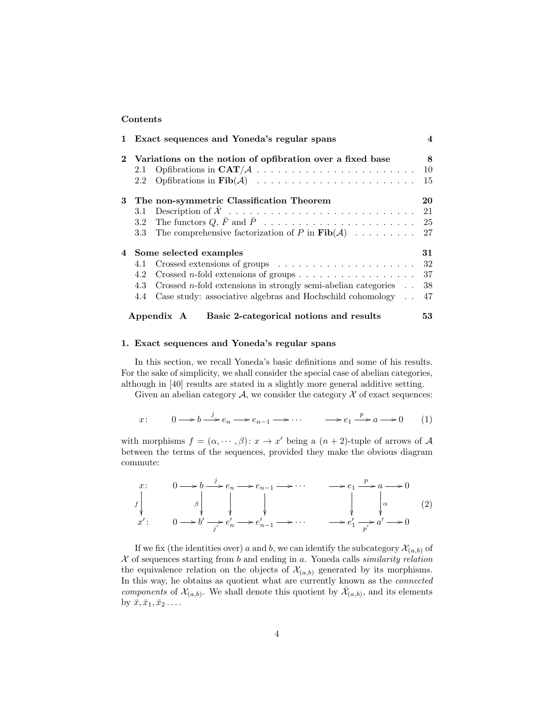#### Contents

|  |                                                             | 1 Exact sequences and Yoneda's regular spans                                      | $\overline{\mathbf{4}}$ |
|--|-------------------------------------------------------------|-----------------------------------------------------------------------------------|-------------------------|
|  | 2 Variations on the notion of opfibration over a fixed base |                                                                                   | 8                       |
|  | 2.1                                                         |                                                                                   | <sup>10</sup>           |
|  | $2.2^{\circ}$                                               |                                                                                   | 15                      |
|  | 3 The non-symmetric Classification Theorem                  |                                                                                   | 20                      |
|  | 3.1                                                         |                                                                                   |                         |
|  |                                                             |                                                                                   |                         |
|  | $3.3\,$                                                     | The comprehensive factorization of P in $\text{Fib}(\mathcal{A})$ 27              |                         |
|  | 4 Some selected examples                                    |                                                                                   | 31                      |
|  | 4.1                                                         | Crossed extensions of groups $\dots \dots \dots \dots \dots \dots \dots \dots$ 32 |                         |
|  | 4.2                                                         |                                                                                   |                         |
|  | 4.3                                                         | Crossed <i>n</i> -fold extensions in strongly semi-abelian categories $\ldots$    | 38                      |
|  | 4.4                                                         | Case study: associative algebras and Hochschild cohomology $\ldots$ 47            |                         |
|  |                                                             | Basic 2-categorical notions and results<br>Appendix A                             | 53.                     |

## 1. Exact sequences and Yoneda's regular spans

In this section, we recall Yoneda's basic definitions and some of his results. For the sake of simplicity, we shall consider the special case of abelian categories, although in [40] results are stated in a slightly more general additive setting.

Given an abelian category  $A$ , we consider the category  $\mathcal X$  of exact sequences:

$$
x: \qquad 0 \longrightarrow b \stackrel{j}{\longrightarrow} e_n \longrightarrow e_{n-1} \longrightarrow \cdots \qquad \longrightarrow e_1 \stackrel{p}{\longrightarrow} a \longrightarrow 0 \qquad (1)
$$

with morphisms  $f = (\alpha, \dots, \beta) : x \to x'$  being a  $(n + 2)$ -tuple of arrows of A between the terms of the sequences, provided they make the obvious diagram commute:

$$
\begin{array}{ccc}\nx: & 0 \longrightarrow b \stackrel{j}{\longrightarrow} e_n \longrightarrow e_{n-1} \longrightarrow \cdots & \longrightarrow e_1 \stackrel{p}{\longrightarrow} a \longrightarrow 0 \\
f \downarrow & & \downarrow & & \downarrow & & \downarrow & \\
x': & 0 \longrightarrow b' \stackrel{j}{\longrightarrow} e'_n \longrightarrow e'_{n-1} \longrightarrow \cdots & \longrightarrow e'_1 \stackrel{j}{\longrightarrow} a' \longrightarrow 0\n\end{array}\n\tag{2}
$$

If we fix (the identities over) a and b, we can identify the subcategory  $\mathcal{X}_{(a,b)}$  of  $X$  of sequences starting from  $b$  and ending in  $a$ . Yoneda calls *similarity relation* the equivalence relation on the objects of  $\mathcal{X}_{(a,b)}$  generated by its morphisms. In this way, he obtains as quotient what are currently known as the connected components of  $\mathcal{X}_{(a,b)}$ . We shall denote this quotient by  $\bar{\mathcal{X}}_{(a,b)}$ , and its elements by  $\bar{x}, \bar{x}_1, \bar{x}_2 \ldots$ .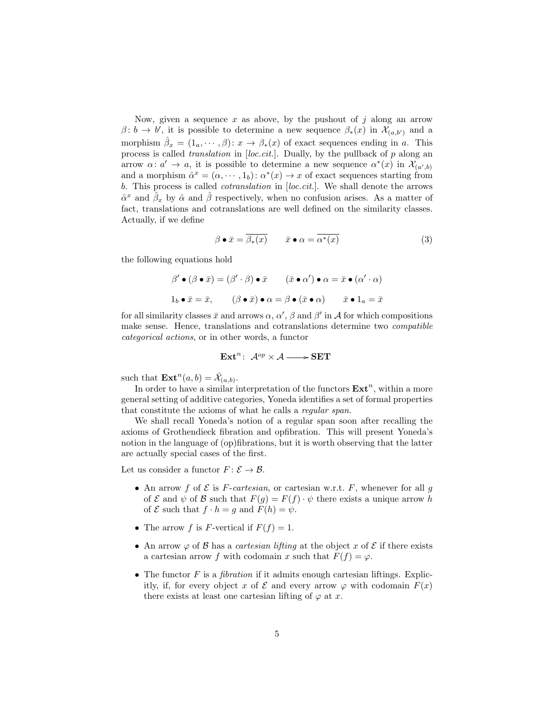Now, given a sequence  $x$  as above, by the pushout of  $j$  along an arrow  $\beta$ :  $b \to b'$ , it is possible to determine a new sequence  $\beta_*(x)$  in  $\mathcal{X}_{(a,b')}$  and a morphism  $\hat{\beta}_x = (1_a, \dots, \beta) : x \to \beta_*(x)$  of exact sequences ending in a. This process is called *translation* in  $[loc. cit.]$ . Dually, by the pullback of  $p$  along an arrow  $\alpha: \alpha' \to \alpha$ , it is possible to determine a new sequence  $\alpha^*(x)$  in  $\mathcal{X}_{(\alpha',b)}$ and a morphism  $\hat{\alpha}^x = (\alpha, \dots, 1_b) : \alpha^*(x) \to x$  of exact sequences starting from b. This process is called cotranslation in [loc.cit.]. We shall denote the arrows  $\hat{\alpha}^x$  and  $\hat{\beta}_x$  by  $\hat{\alpha}$  and  $\hat{\beta}$  respectively, when no confusion arises. As a matter of fact, translations and cotranslations are well defined on the similarity classes. Actually, if we define

$$
\beta \bullet \bar{x} = \overline{\beta_*(x)} \qquad \bar{x} \bullet \alpha = \overline{\alpha^*(x)} \tag{3}
$$

the following equations hold

$$
\beta' \bullet (\beta \bullet \bar{x}) = (\beta' \cdot \beta) \bullet \bar{x} \qquad (\bar{x} \bullet \alpha') \bullet \alpha = \bar{x} \bullet (\alpha' \cdot \alpha)
$$

$$
1_b \bullet \bar{x} = \bar{x}, \qquad (\beta \bullet \bar{x}) \bullet \alpha = \beta \bullet (\bar{x} \bullet \alpha) \qquad \bar{x} \bullet 1_a = \bar{x}
$$

for all similarity classes  $\bar{x}$  and arrows  $\alpha$ ,  $\alpha'$ ,  $\beta$  and  $\beta'$  in A for which compositions make sense. Hence, translations and cotranslations determine two compatible categorical actions, or in other words, a functor

$$
\mathbf{Ext}^{n}\colon\thinspace \mathcal{A}^{op}\times\mathcal{A} \longrightarrow \mathbf{SET}
$$

such that  $\mathbf{Ext}^n(a,b) = \overline{\mathcal{X}}_{(a,b)}$ .

In order to have a similar interpretation of the functors  $\text{Ext}^n$ , within a more general setting of additive categories, Yoneda identifies a set of formal properties that constitute the axioms of what he calls a regular span.

We shall recall Yoneda's notion of a regular span soon after recalling the axioms of Grothendieck fibration and opfibration. This will present Yoneda's notion in the language of (op)fibrations, but it is worth observing that the latter are actually special cases of the first.

Let us consider a functor  $F: \mathcal{E} \to \mathcal{B}$ .

- An arrow f of  $\mathcal E$  is F-cartesian, or cartesian w.r.t. F, whenever for all g of  $\mathcal E$  and  $\psi$  of  $\mathcal B$  such that  $F(g) = F(f) \cdot \psi$  there exists a unique arrow h of  $\mathcal E$  such that  $f \cdot h = g$  and  $F(h) = \psi$ .
- The arrow f is F-vertical if  $F(f) = 1$ .
- An arrow  $\varphi$  of  $\beta$  has a *cartesian lifting* at the object x of  $\mathcal E$  if there exists a cartesian arrow f with codomain x such that  $F(f) = \varphi$ .
- The functor  $F$  is a *fibration* if it admits enough cartesian liftings. Explicitly, if, for every object x of  $\mathcal E$  and every arrow  $\varphi$  with codomain  $F(x)$ there exists at least one cartesian lifting of  $\varphi$  at x.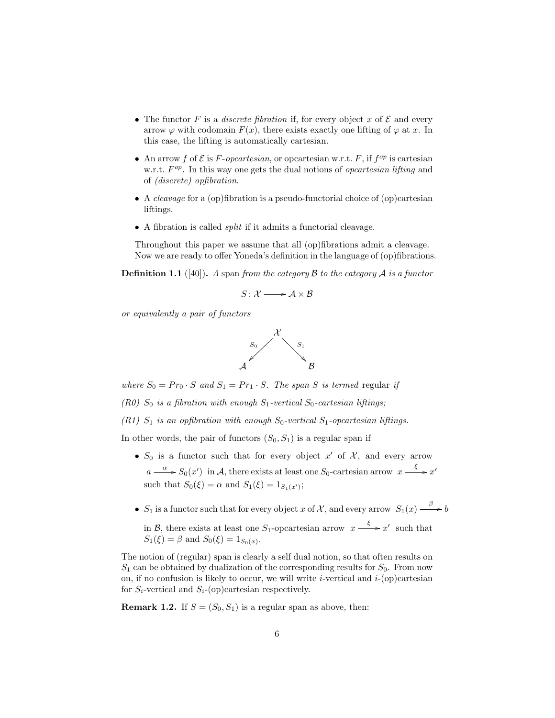- The functor F is a *discrete fibration* if, for every object x of  $\mathcal E$  and every arrow  $\varphi$  with codomain  $F(x)$ , there exists exactly one lifting of  $\varphi$  at x. In this case, the lifting is automatically cartesian.
- An arrow f of  $\mathcal E$  is F-opcartesian, or opcartesian w.r.t. F, if  $f^{op}$  is cartesian w.r.t.  $F^{op}$ . In this way one gets the dual notions of *opcartesian lifting* and of (discrete) opfibration.
- A *cleavage* for a (op)fibration is a pseudo-functorial choice of (op)cartesian liftings.
- A fibration is called split if it admits a functorial cleavage.

Throughout this paper we assume that all (op)fibrations admit a cleavage. Now we are ready to offer Yoneda's definition in the language of (op)fibrations.

**Definition 1.1** ([40]). A span from the category B to the category A is a functor

$$
S\colon \mathcal{X} \longrightarrow \mathcal{A} \times \mathcal{B}
$$

or equivalently a pair of functors



where  $S_0 = Pr_0 \cdot S$  and  $S_1 = Pr_1 \cdot S$ . The span S is termed regular if

(R0)  $S_0$  is a fibration with enough  $S_1$ -vertical  $S_0$ -cartesian liftings;

(R1)  $S_1$  is an opfibration with enough  $S_0$ -vertical  $S_1$ -opcartesian liftings.

In other words, the pair of functors  $(S_0, S_1)$  is a regular span if

- $S_0$  is a functor such that for every object x' of X, and every arrow  $a \xrightarrow{\alpha} S_0(x')$  in A, there exists at least one  $S_0$ -cartesian arrow  $x \xrightarrow{\xi} x'$ such that  $S_0(\xi) = \alpha$  and  $S_1(\xi) = 1_{S_1(x')}$ ;
- $S_1$  is a functor such that for every object x of X, and every arrow  $S_1(x) \xrightarrow{\beta} b$

in B, there exists at least one  $S_1$ -opcartesian arrow  $x \xrightarrow{\xi} x'$  such that  $S_1(\xi) = \beta$  and  $S_0(\xi) = 1_{S_0(x)}$ .

The notion of (regular) span is clearly a self dual notion, so that often results on  $S_1$  can be obtained by dualization of the corresponding results for  $S_0$ . From now on, if no confusion is likely to occur, we will write *i*-vertical and  $i$ -(op)cartesian for  $S_i$ -vertical and  $S_i$ -(op)cartesian respectively.

**Remark 1.2.** If  $S = (S_0, S_1)$  is a regular span as above, then: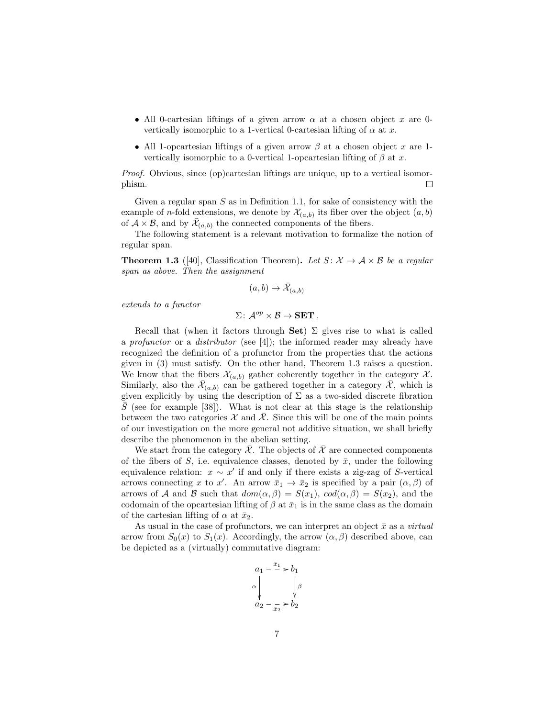- All 0-cartesian liftings of a given arrow  $\alpha$  at a chosen object x are 0vertically isomorphic to a 1-vertical 0-cartesian lifting of  $\alpha$  at x.
- All 1-opcartesian liftings of a given arrow  $\beta$  at a chosen object x are 1vertically isomorphic to a 0-vertical 1-opcartesian lifting of  $\beta$  at x.

Proof. Obvious, since (op)cartesian liftings are unique, up to a vertical isomorphism.  $\Box$ 

Given a regular span  $S$  as in Definition 1.1, for sake of consistency with the example of *n*-fold extensions, we denote by  $\mathcal{X}_{(a,b)}$  its fiber over the object  $(a,b)$ of  $A \times B$ , and by  $\bar{\mathcal{X}}_{(a,b)}$  the connected components of the fibers.

The following statement is a relevant motivation to formalize the notion of regular span.

**Theorem 1.3** ([40], Classification Theorem). Let  $S: \mathcal{X} \to \mathcal{A} \times \mathcal{B}$  be a regular span as above. Then the assignment

$$
(a,b)\mapsto \bar{\mathcal{X}}_{(a,b)}
$$

extends to a functor

 $\Sigma \colon \mathcal{A}^{op} \times \mathcal{B} \to \mathbf{SET}$ .

Recall that (when it factors through Set)  $\Sigma$  gives rise to what is called a profunctor or a distributor (see [4]); the informed reader may already have recognized the definition of a profunctor from the properties that the actions given in (3) must satisfy. On the other hand, Theorem 1.3 raises a question. We know that the fibers  $\mathcal{X}_{(a,b)}$  gather coherently together in the category  $\mathcal{X}$ . Similarly, also the  $\bar{\mathcal{X}}_{(a,b)}$  can be gathered together in a category  $\bar{\mathcal{X}}$ , which is given explicitly by using the description of  $\Sigma$  as a two-sided discrete fibration  $\overline{S}$  (see for example [38]). What is not clear at this stage is the relationship between the two categories X and  $\overline{X}$ . Since this will be one of the main points of our investigation on the more general not additive situation, we shall briefly describe the phenomenon in the abelian setting.

We start from the category  $\overline{\mathcal{X}}$ . The objects of  $\overline{\mathcal{X}}$  are connected components of the fibers of S, i.e. equivalence classes, denoted by  $\bar{x}$ , under the following equivalence relation:  $x \sim x'$  if and only if there exists a zig-zag of S-vertical arrows connecting x to x'. An arrow  $\bar{x}_1 \to \bar{x}_2$  is specified by a pair  $(\alpha, \beta)$  of arrows of A and B such that  $dom(\alpha, \beta) = S(x_1)$ ,  $cod(\alpha, \beta) = S(x_2)$ , and the codomain of the opcartesian lifting of  $\beta$  at  $\bar{x}_1$  is in the same class as the domain of the cartesian lifting of  $\alpha$  at  $\bar{x}_2$ .

As usual in the case of profunctors, we can interpret an object  $\bar{x}$  as a *virtual* arrow from  $S_0(x)$  to  $S_1(x)$ . Accordingly, the arrow  $(\alpha, \beta)$  described above, can be depicted as a (virtually) commutative diagram:

$$
a_1 - \frac{\bar{x}_1}{\lambda} > b_1
$$
  
\n
$$
\alpha \downarrow \qquad \qquad \downarrow \beta
$$
  
\n
$$
a_2 - \frac{\bar{x}_2}{\bar{x}_2} > b_2
$$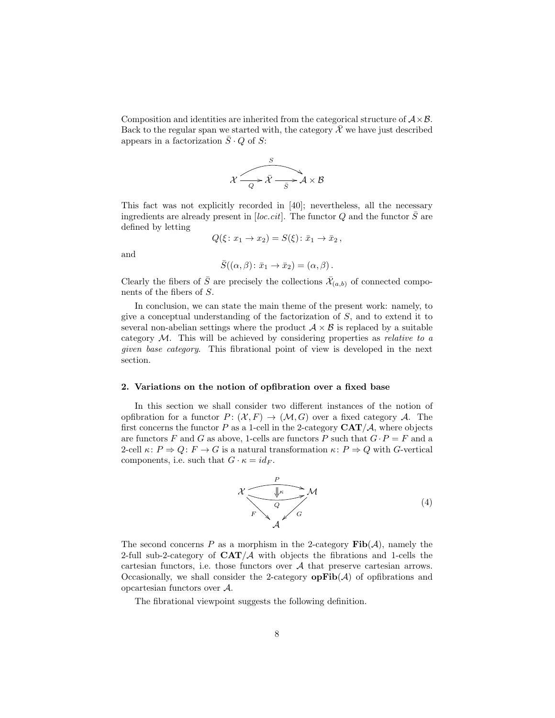Composition and identities are inherited from the categorical structure of  $\mathcal{A} \times \mathcal{B}$ . Back to the regular span we started with, the category  $\bar{\mathcal{X}}$  we have just described appears in a factorization  $S \cdot Q$  of S:



This fact was not explicitly recorded in [40]; nevertheless, all the necessary ingredients are already present in  $[loc. cit]$ . The functor  $Q$  and the functor  $S$  are defined by letting

$$
Q(\xi: x_1 \to x_2) = S(\xi): \bar{x}_1 \to \bar{x}_2,
$$

and

$$
\bar{S}((\alpha,\beta)\colon \bar{x}_1\to \bar{x}_2)=(\alpha,\beta)\,.
$$

Clearly the fibers of  $\bar{S}$  are precisely the collections  $\bar{\mathcal{X}}_{(a,b)}$  of connected components of the fibers of S.

In conclusion, we can state the main theme of the present work: namely, to give a conceptual understanding of the factorization of  $S$ , and to extend it to several non-abelian settings where the product  $A \times B$  is replaced by a suitable category  $M$ . This will be achieved by considering properties as *relative to a* given base category. This fibrational point of view is developed in the next section.

#### 2. Variations on the notion of opfibration over a fixed base

In this section we shall consider two different instances of the notion of opfibration for a functor  $P: (\mathcal{X}, F) \to (\mathcal{M}, G)$  over a fixed category A. The first concerns the functor P as a 1-cell in the 2-category  $CAT/\mathcal{A}$ , where objects are functors F and G as above, 1-cells are functors P such that  $G \cdot P = F$  and a 2-cell  $\kappa: P \Rightarrow Q: F \to G$  is a natural transformation  $\kappa: P \Rightarrow Q$  with G-vertical components, i.e. such that  $G \cdot \kappa = id_F$ .



The second concerns P as a morphism in the 2-category  $\text{Fib}(\mathcal{A})$ , namely the 2-full sub-2-category of  $CAT/A$  with objects the fibrations and 1-cells the cartesian functors, i.e. those functors over A that preserve cartesian arrows. Occasionally, we shall consider the 2-category  $opFib(\mathcal{A})$  of opfibrations and opcartesian functors over A.

The fibrational viewpoint suggests the following definition.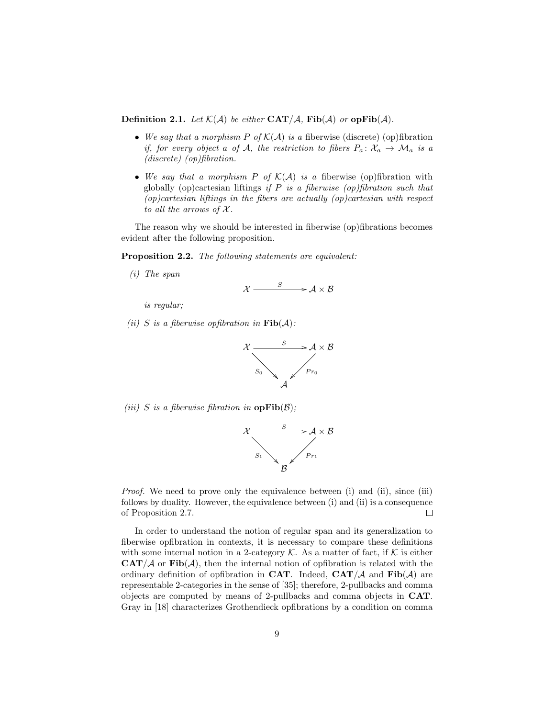**Definition 2.1.** Let  $\mathcal{K}(\mathcal{A})$  be either  $\text{CAT}/\mathcal{A}$ ,  $\text{Fib}(\mathcal{A})$  or  $\text{opFib}(\mathcal{A})$ .

- We say that a morphism P of  $K(A)$  is a fiberwise (discrete) (op)fibration if, for every object a of A, the restriction to fibers  $P_a: \mathcal{X}_a \to \mathcal{M}_a$  is a (discrete) (op)fibration.
- We say that a morphism P of  $\mathcal{K}(\mathcal{A})$  is a fiberwise (op)fibration with globally (op)cartesian liftings if  $P$  is a fiberwise (op)fibration such that  $(op) cartesian\ liftings\ in\ the\ fibers\ are\ actually\ (op)cartesian\ with\ respect$ to all the arrows of  $\mathcal{X}$ .

The reason why we should be interested in fiberwise (op)fibrations becomes evident after the following proposition.

Proposition 2.2. The following statements are equivalent:

(i) The span

$$
\mathcal{X} \xrightarrow{\qquad S} \mathcal{A} \times \mathcal{B}
$$

is regular;

(ii) S is a fiberwise opfibration in  $\text{Fib}(\mathcal{A})$ :



(iii) S is a fiberwise fibration in  $opFib(\mathcal{B})$ ;



Proof. We need to prove only the equivalence between (i) and (ii), since (iii) follows by duality. However, the equivalence between (i) and (ii) is a consequence of Proposition 2.7.  $\Box$ 

In order to understand the notion of regular span and its generalization to fiberwise opfibration in contexts, it is necessary to compare these definitions with some internal notion in a 2-category  $\mathcal K$ . As a matter of fact, if  $\mathcal K$  is either  $\mathbf{CAT}/\mathcal{A}$  or  $\mathbf{Fib}(\mathcal{A})$ , then the internal notion of opfibration is related with the ordinary definition of opfibration in CAT. Indeed,  $CAT/\mathcal{A}$  and  $Fib(\mathcal{A})$  are representable 2-categories in the sense of [35]; therefore, 2-pullbacks and comma objects are computed by means of 2-pullbacks and comma objects in CAT. Gray in [18] characterizes Grothendieck opfibrations by a condition on comma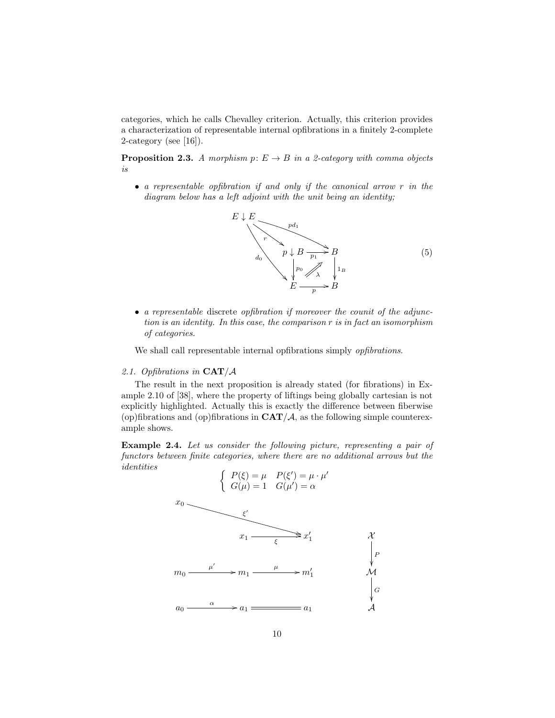categories, which he calls Chevalley criterion. Actually, this criterion provides a characterization of representable internal opfibrations in a finitely 2-complete 2-category (see [16]).

**Proposition 2.3.** A morphism  $p: E \to B$  in a 2-category with comma objects is

• a representable opfibration if and only if the canonical arrow r in the diagram below has a left adjoint with the unit being an identity;



• a representable discrete opfibration if moreover the counit of the adjunction is an identity. In this case, the comparison r is in fact an isomorphism of categories.

We shall call representable internal opfibrations simply *opfibrations*.

## 2.1. Opfibrations in  $\mathbf{CAT}/\mathcal{A}$

The result in the next proposition is already stated (for fibrations) in Example 2.10 of [38], where the property of liftings being globally cartesian is not explicitly highlighted. Actually this is exactly the difference between fiberwise (op)fibrations and (op)fibrations in  $CAT/A$ , as the following simple counterexample shows.

Example 2.4. Let us consider the following picture, representing a pair of functors between finite categories, where there are no additional arrows but the identities

$$
\begin{cases}\nP(\xi) = \mu & P(\xi') = \mu \cdot \mu' \\
G(\mu) = 1 & G(\mu') = \alpha\n\end{cases}
$$
\n
$$
x_0
$$
\n
$$
\xi'
$$
\n
$$
x_1 \longrightarrow \xi
$$
\n
$$
x_1 \longrightarrow \xi
$$
\n
$$
x_1
$$
\n
$$
\xi'
$$
\n
$$
x_1 \longrightarrow \xi
$$
\n
$$
\xi'
$$
\n
$$
\mu'
$$
\n
$$
\mu
$$
\n
$$
a_0 \longrightarrow a_1 \longrightarrow a_1
$$
\n
$$
a_1
$$
\n
$$
A
$$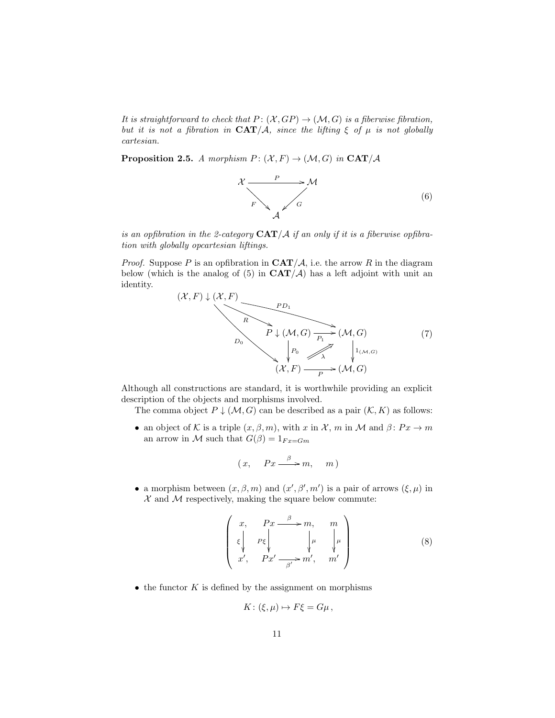It is straightforward to check that  $P: (\mathcal{X}, GP) \to (\mathcal{M}, G)$  is a fiberwise fibration, but it is not a fibration in  $CAT/A$ , since the lifting  $\xi$  of  $\mu$  is not globally cartesian.

**Proposition 2.5.** A morphism  $P: (\mathcal{X}, F) \to (\mathcal{M}, G)$  in  $\text{CAT}/\mathcal{A}$ 



is an opfibration in the 2-category  $CAT/A$  if an only if it is a fiberwise opfibration with globally opcartesian liftings.

*Proof.* Suppose P is an opfibration in  $\mathbf{CAT}/\mathcal{A}$ , i.e. the arrow R in the diagram below (which is the analog of  $(5)$  in  $CAT/\mathcal{A}$ ) has a left adjoint with unit an identity.



Although all constructions are standard, it is worthwhile providing an explicit description of the objects and morphisms involved.

The comma object  $P \downarrow (M, G)$  can be described as a pair  $(K, K)$  as follows:

• an object of K is a triple  $(x, \beta, m)$ , with x in X, m in M and  $\beta \colon Px \to m$ an arrow in M such that  $G(\beta) = 1_{Fx=Gm}$ 

$$
(x, \quad Px \xrightarrow{\beta} m, \quad m)
$$

• a morphism between  $(x, \beta, m)$  and  $(x', \beta', m')$  is a pair of arrows  $(\xi, \mu)$  in  $X$  and  $M$  respectively, making the square below commute:

$$
\begin{pmatrix} x, & Px \xrightarrow{\beta} m, & m \\ \xi & p\xi & \mu & \mu \\ x', & Px' \xrightarrow{\beta'} m', & m' \end{pmatrix}
$$
 (8)

 $\bullet$  the functor  $K$  is defined by the assignment on morphisms

$$
K: (\xi, \mu) \mapsto F\xi = G\mu \,,
$$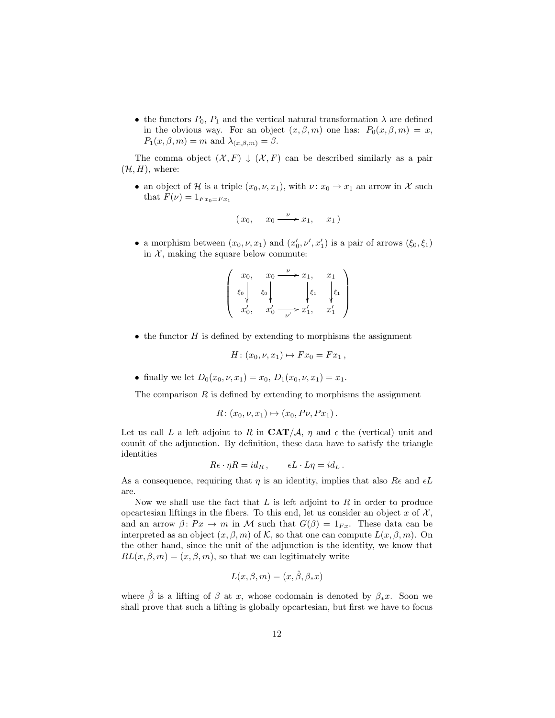• the functors  $P_0$ ,  $P_1$  and the vertical natural transformation  $\lambda$  are defined in the obvious way. For an object  $(x, \beta, m)$  one has:  $P_0(x, \beta, m) = x$ ,  $P_1(x, \beta, m) = m$  and  $\lambda_{(x, \beta, m)} = \beta$ .

The comma object  $(\mathcal{X}, F) \downarrow (\mathcal{X}, F)$  can be described similarly as a pair  $(\mathcal{H}, H)$ , where:

• an object of H is a triple  $(x_0, \nu, x_1)$ , with  $\nu: x_0 \to x_1$  an arrow in X such that  $F(\nu) = 1_{Fx_0 = Fx_1}$ 

$$
(x_0, \quad x_0 \xrightarrow{\nu} x_1, \quad x_1)
$$

• a morphism between  $(x_0, \nu, x_1)$  and  $(x'_0, \nu', x'_1)$  is a pair of arrows  $(\xi_0, \xi_1)$ in  $X$ , making the square below commute:

$$
\left(\begin{array}{ccc} x_0, & x_0 \xrightarrow{\nu} x_1, & x_1 \\ \xi_0 & \xi_0 & \xi_1 \\ x'_0, & x'_0 \xrightarrow{\nu'} x'_1, & x'_1 \end{array}\right)
$$

• the functor  $H$  is defined by extending to morphisms the assignment

$$
H: (x_0, \nu, x_1) \mapsto Fx_0 = Fx_1,
$$

• finally we let  $D_0(x_0, \nu, x_1) = x_0, D_1(x_0, \nu, x_1) = x_1$ .

The comparison  $R$  is defined by extending to morphisms the assignment

$$
R: (x_0, \nu, x_1) \mapsto (x_0, P\nu, Px_1).
$$

Let us call L a left adjoint to R in  $CAT/\mathcal{A}$ ,  $\eta$  and  $\epsilon$  the (vertical) unit and counit of the adjunction. By definition, these data have to satisfy the triangle identities

$$
R\epsilon \cdot \eta R = id_R \,, \qquad \epsilon L \cdot L\eta = id_L \,.
$$

As a consequence, requiring that  $\eta$  is an identity, implies that also  $Re$  and  $\epsilon L$ are.

Now we shall use the fact that  $L$  is left adjoint to  $R$  in order to produce opcartesian liftings in the fibers. To this end, let us consider an object x of  $\mathcal{X},$ and an arrow  $\beta \colon Px \to m$  in M such that  $G(\beta) = 1_{Fx}$ . These data can be interpreted as an object  $(x, \beta, m)$  of K, so that one can compute  $L(x, \beta, m)$ . On the other hand, since the unit of the adjunction is the identity, we know that  $RL(x, \beta, m) = (x, \beta, m)$ , so that we can legitimately write

$$
L(x, \beta, m) = (x, \hat{\beta}, \beta_* x)
$$

where  $\hat{\beta}$  is a lifting of  $\beta$  at x, whose codomain is denoted by  $\beta_*x$ . Soon we shall prove that such a lifting is globally opcartesian, but first we have to focus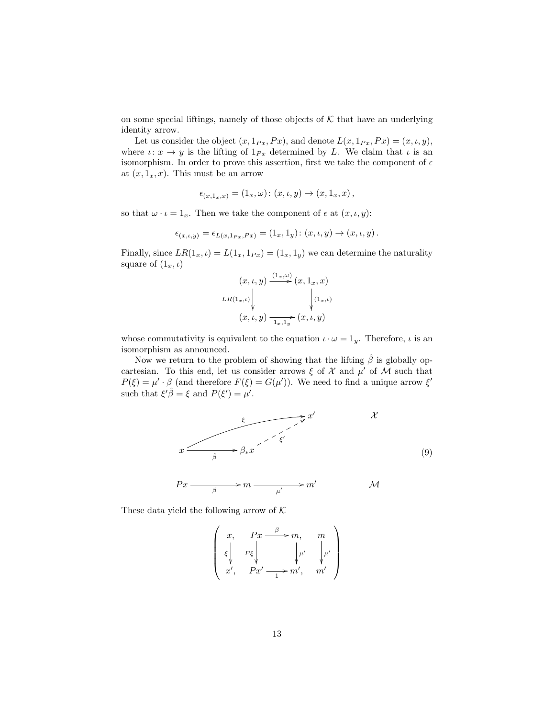on some special liftings, namely of those objects of  $K$  that have an underlying identity arrow.

Let us consider the object  $(x, 1_{Px}, Px)$ , and denote  $L(x, 1_{Px}, Px) = (x, \iota, y)$ , where  $\iota: x \to y$  is the lifting of  $1_{Px}$  determined by L. We claim that  $\iota$  is an isomorphism. In order to prove this assertion, first we take the component of  $\epsilon$ at  $(x, 1_x, x)$ . This must be an arrow

$$
\epsilon_{(x,1_x,x)}=(1_x,\omega)\colon (x,\iota,y)\to (x,1_x,x)\,,
$$

so that  $\omega \cdot \iota = 1_x$ . Then we take the component of  $\epsilon$  at  $(x, \iota, y)$ :

$$
\epsilon_{(x,\iota,y)} = \epsilon_{L(x,1_{Px},Px)} = (1_x,1_y) : (x,\iota,y) \to (x,\iota,y).
$$

Finally, since  $LR(1_x, t) = L(1_x, 1_{Px}) = (1_x, 1_y)$  we can determine the naturality square of  $(1_x, \iota)$ 

$$
(x, \iota, y) \xrightarrow{(1_x, \omega)} (x, 1_x, x)
$$
  
\n
$$
LR(1_x, \iota) \downarrow \qquad \qquad \downarrow (1_x, \iota)
$$
  
\n
$$
(x, \iota, y) \xrightarrow{1_x, 1_y} (x, \iota, y)
$$

whose commutativity is equivalent to the equation  $\iota \cdot \omega = 1_y$ . Therefore,  $\iota$  is an isomorphism as announced.

Now we return to the problem of showing that the lifting  $\hat{\beta}$  is globally opcartesian. To this end, let us consider arrows  $\xi$  of X and  $\mu'$  of M such that  $P(\xi) = \mu' \cdot \beta$  (and therefore  $F(\xi) = G(\mu')$ ). We need to find a unique arrow  $\xi'$ such that  $\xi'\hat{\beta} = \xi$  and  $P(\xi') = \mu'$ .



$$
Px \xrightarrow{\qquad \qquad \beta} m \xrightarrow{\qquad \qquad } m' \qquad \qquad \mathcal{M}
$$

These data yield the following arrow of  $K$ 

$$
\left(\begin{array}{ccc} x, & Px \xrightarrow{\beta} m, & m \\ \xi & p\xi & \psi' \\ x', & Px' \xrightarrow{1} m', & m' \end{array}\right)
$$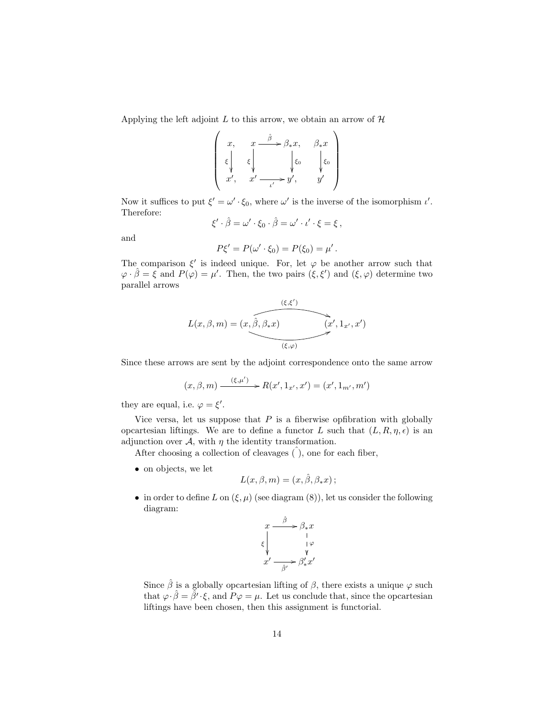Applying the left adjoint  $L$  to this arrow, we obtain an arrow of  $H$ 

$$
\begin{pmatrix} x, & x \xrightarrow{\hat{\beta}} \beta_* x, & \beta_* x \\ \xi \downarrow & \xi \downarrow & \xi_0 \\ x', & x' \xrightarrow{\iota'} y', & y' \end{pmatrix}
$$

Now it suffices to put  $\xi' = \omega' \cdot \xi_0$ , where  $\omega'$  is the inverse of the isomorphism  $\iota'$ . Therefore:

$$
\xi' \cdot \hat{\beta} = \omega' \cdot \xi_0 \cdot \hat{\beta} = \omega' \cdot \iota' \cdot \xi = \xi,
$$

and

$$
P\xi' = P(\omega' \cdot \xi_0) = P(\xi_0) = \mu'.
$$

The comparison  $\xi'$  is indeed unique. For, let  $\varphi$  be another arrow such that  $\varphi \cdot \hat{\beta} = \xi$  and  $P(\varphi) = \mu'$ . Then, the two pairs  $(\xi, \xi')$  and  $(\xi, \varphi)$  determine two parallel arrows

$$
L(x, \beta, m) = (x, \widehat{\beta}, \beta_* x) \qquad (x', 1_{x'}, x')
$$

Since these arrows are sent by the adjoint correspondence onto the same arrow

$$
(x, \beta, m) \xrightarrow{(\xi, \mu')}
$$
  $\rightarrow$   $R(x', 1_{x'}, x') = (x', 1_{m'}, m')$ 

they are equal, i.e.  $\varphi = \xi'$ .

Vice versa, let us suppose that  $P$  is a fiberwise opfibration with globally opcartesian liftings. We are to define a functor L such that  $(L, R, \eta, \epsilon)$  is an adjunction over  $A$ , with  $\eta$  the identity transformation.

After choosing a collection of cleavages  $($  ), one for each fiber,

• on objects, we let

$$
L(x, \beta, m) = (x, \hat{\beta}, \beta_* x);
$$

• in order to define L on  $(\xi, \mu)$  (see diagram (8)), let us consider the following diagram:

$$
\begin{array}{ccc}\n x & \xrightarrow{\hat{\beta}} & \beta_{*}x \\
\xi & \downarrow & \downarrow \varphi \\
x' & \xrightarrow{\hat{\beta}'} & \beta'_{*}x'\n\end{array}
$$

Since  $\hat{\beta}$  is a globally opcartesian lifting of  $\beta$ , there exists a unique  $\varphi$  such that  $\varphi \cdot \hat{\beta} = \tilde{\beta}' \cdot \xi$ , and  $P\varphi = \mu$ . Let us conclude that, since the opcartesian liftings have been chosen, then this assignment is functorial.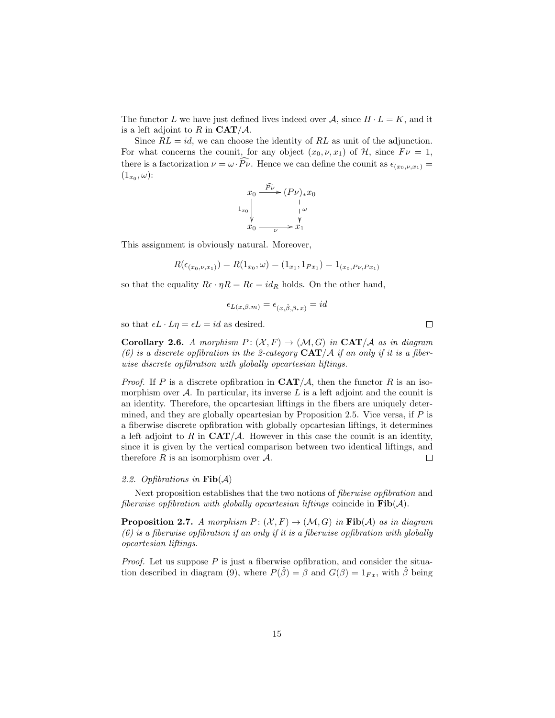The functor L we have just defined lives indeed over  $A$ , since  $H \cdot L = K$ , and it is a left adjoint to R in  $CAT/A$ .

Since  $RL = id$ , we can choose the identity of RL as unit of the adjunction. For what concerns the counit, for any object  $(x_0, \nu, x_1)$  of  $\mathcal{H}$ , since  $F\nu = 1$ , there is a factorization  $\nu = \omega \cdot \widehat{P}_{\nu}$ . Hence we can define the counit as  $\epsilon_{(x_0,\nu,x_1)} =$  $(1_{x_0},\omega)$ :

$$
x_0 \xrightarrow{\widehat{P}_{\nu}} (P_{\nu})_* x_0
$$
\n
$$
x_0 \xrightarrow[\nu]{\downarrow \omega} x_0
$$
\n
$$
x_0 \xrightarrow[\nu]{\nu} x_1
$$

This assignment is obviously natural. Moreover,

$$
R(\epsilon_{(x_0,\nu,x_1)}) = R(1_{x_0},\omega) = (1_{x_0},1_{Px_1}) = 1_{(x_0,P\nu,Px_1)}
$$

so that the equality  $R\epsilon \cdot \eta R = R\epsilon = id_R$  holds. On the other hand,

$$
\epsilon_{L(x,\beta,m)} = \epsilon_{(x,\hat{\beta},\beta_*x)} = id
$$

so that  $\epsilon L \cdot L\eta = \epsilon L = id$  as desired.

**Corollary 2.6.** A morphism  $P: (\mathcal{X}, F) \to (\mathcal{M}, G)$  in  $\mathbf{CAT}/\mathcal{A}$  as in diagram (6) is a discrete opfibration in the 2-category  $CAT/A$  if an only if it is a fiberwise discrete opfibration with globally opcartesian liftings.

*Proof.* If P is a discrete opfibration in  $\mathbf{CAT}/\mathcal{A}$ , then the functor R is an isomorphism over  $A$ . In particular, its inverse  $L$  is a left adjoint and the counit is an identity. Therefore, the opcartesian liftings in the fibers are uniquely determined, and they are globally opcartesian by Proposition 2.5. Vice versa, if  $P$  is a fiberwise discrete opfibration with globally opcartesian liftings, it determines a left adjoint to R in  $CAT/\mathcal{A}$ . However in this case the counit is an identity, since it is given by the vertical comparison between two identical liftings, and therefore  $R$  is an isomorphism over  $A$ .  $\Box$ 

#### 2.2. Opfibrations in  $\text{Fib}(\mathcal{A})$

Next proposition establishes that the two notions of fiberwise opfibration and fiberwise opfibration with globally opcartesian liftings coincide in  $\text{Fib}(\mathcal{A})$ .

**Proposition 2.7.** A morphism  $P: (\mathcal{X}, F) \to (\mathcal{M}, G)$  in  $\text{Fib}(\mathcal{A})$  as in diagram  $(6)$  is a fiberwise opfibration if an only if it is a fiberwise opfibration with globally opcartesian liftings.

*Proof.* Let us suppose  $P$  is just a fiberwise opfibration, and consider the situation described in diagram (9), where  $P(\hat{\beta}) = \beta$  and  $G(\beta) = 1_{Fx}$ , with  $\hat{\beta}$  being

15

 $\Box$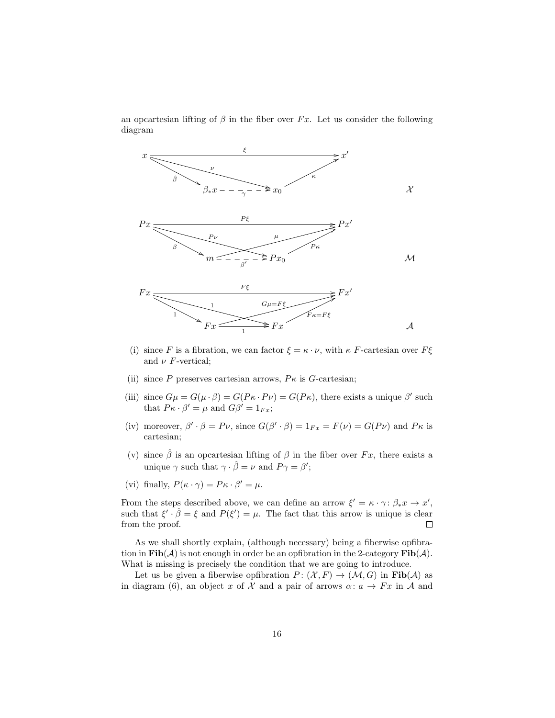an opcartesian lifting of  $\beta$  in the fiber over Fx. Let us consider the following diagram



- (i) since F is a fibration, we can factor  $\xi = \kappa \cdot \nu$ , with  $\kappa$  F-cartesian over  $F\xi$ and  $\nu$  *F*-vertical;
- (ii) since P preserves cartesian arrows,  $P\kappa$  is G-cartesian;
- (iii) since  $G\mu = G(\mu \cdot \beta) = G(P\kappa \cdot P\nu) = G(P\kappa)$ , there exists a unique  $\beta'$  such that  $P\kappa \cdot \beta' = \mu$  and  $G\beta' = 1_{Fx}$ ;
- (iv) moreover,  $\beta' \cdot \beta = P\nu$ , since  $G(\beta' \cdot \beta) = 1_{Fx} = F(\nu) = G(P\nu)$  and  $P\kappa$  is cartesian;
- (v) since  $\hat{\beta}$  is an opcartesian lifting of  $\beta$  in the fiber over  $Fx$ , there exists a unique  $\gamma$  such that  $\gamma \cdot \hat{\beta} = \nu$  and  $P\gamma = \beta'$ ;
- (vi) finally,  $P(\kappa \cdot \gamma) = P \kappa \cdot \beta' = \mu$ .

From the steps described above, we can define an arrow  $\xi' = \kappa \cdot \gamma : \beta_* x \to x'$ , such that  $\xi' \cdot \hat{\beta} = \xi$  and  $P(\xi') = \mu$ . The fact that this arrow is unique is clear from the proof.  $\Box$ 

As we shall shortly explain, (although necessary) being a fiberwise opfibration in  $\text{Fib}(\mathcal{A})$  is not enough in order be an opfibration in the 2-category  $\text{Fib}(\mathcal{A})$ . What is missing is precisely the condition that we are going to introduce.

Let us be given a fiberwise opfibration  $P: (\mathcal{X}, F) \to (\mathcal{M}, G)$  in  $\text{Fib}(\mathcal{A})$  as in diagram (6), an object x of X and a pair of arrows  $\alpha: a \to Fx$  in A and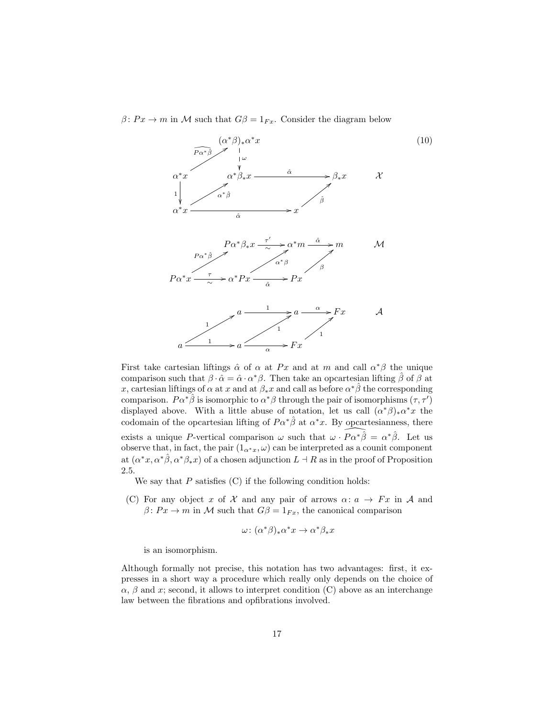$\beta \colon Px \to m$  in M such that  $G\beta = 1_{Fx}$ . Consider the diagram below



First take cartesian liftings  $\hat{\alpha}$  of  $\alpha$  at Px and at m and call  $\alpha^*\beta$  the unique comparison such that  $\beta \cdot \tilde{\alpha} = \hat{\alpha} \cdot \alpha^* \beta$ . Then take an opcartesian lifting  $\hat{\beta}$  of  $\beta$  at x, cartesian liftings of  $\alpha$  at x and at  $\beta_* x$  and call as before  $\alpha^* \hat{\beta}$  the corresponding comparison.  $P\alpha^*\hat{\beta}$  is isomorphic to  $\alpha^*\beta$  through the pair of isomorphisms  $(\tau, \tau)$ displayed above. With a little abuse of notation, let us call  $(\alpha^*\beta)_*\alpha^*x$  the codomain of the opcartesian lifting of  $P\alpha^*\hat{\beta}$  at  $\alpha^*x$ . By opcartesianness, there exists a unique P-vertical comparison  $\omega$  such that  $\omega \cdot \widehat{P\alpha^* \hat{\beta}} = \alpha^* \hat{\beta}$ . Let us observe that, in fact, the pair  $(1_{\alpha^*x}, \omega)$  can be interpreted as a counit component at  $(\alpha^*x, \alpha^*\hat{\beta}, \alpha^*\beta_*x)$  of a chosen adjunction  $L \dashv R$  as in the proof of Proposition 2.5.

We say that  $P$  satisfies  $(C)$  if the following condition holds:

(C) For any object x of X and any pair of arrows  $\alpha: a \to Fx$  in A and  $\beta \colon Px \to m$  in M such that  $G\beta = 1_{Fx}$ , the canonical comparison

$$
\omega \colon (\alpha^*\beta)_*\alpha^*x \to \alpha^*\beta_*x
$$

is an isomorphism.

Although formally not precise, this notation has two advantages: first, it expresses in a short way a procedure which really only depends on the choice of  $\alpha$ ,  $\beta$  and x; second, it allows to interpret condition (C) above as an interchange law between the fibrations and opfibrations involved.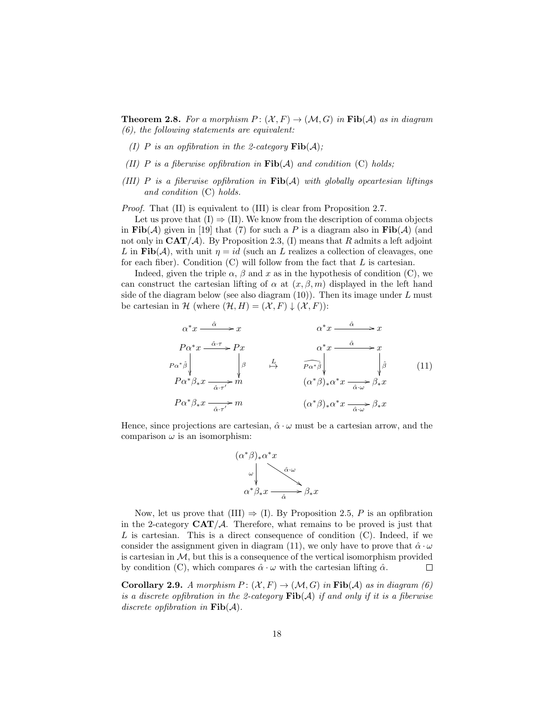**Theorem 2.8.** For a morphism  $P: (\mathcal{X}, F) \to (\mathcal{M}, G)$  in  $\text{Fib}(\mathcal{A})$  as in diagram (6), the following statements are equivalent:

- (I) P is an opfibration in the 2-category  $\text{Fib}(\mathcal{A})$ ;
- (II) P is a fiberwise opfibration in  $\text{Fib}(\mathcal{A})$  and condition (C) holds;
- (III) P is a fiberwise opfibration in  $\text{Fib}(\mathcal{A})$  with globally opcartesian liftings and condition (C) holds.

Proof. That (II) is equivalent to (III) is clear from Proposition 2.7.

Let us prove that  $(I) \Rightarrow (II)$ . We know from the description of comma objects in Fib( $A$ ) given in [19] that (7) for such a P is a diagram also in Fib( $A$ ) (and not only in  $\text{CAT}/\mathcal{A}$ ). By Proposition 2.3, (I) means that R admits a left adjoint L in Fib(A), with unit  $\eta = id$  (such an L realizes a collection of cleavages, one for each fiber). Condition  $(C)$  will follow from the fact that  $L$  is cartesian.

Indeed, given the triple  $\alpha$ ,  $\beta$  and x as in the hypothesis of condition (C), we can construct the cartesian lifting of  $\alpha$  at  $(x, \beta, m)$  displayed in the left hand side of the diagram below (see also diagram  $(10)$ ). Then its image under L must be cartesian in H (where  $(\mathcal{H}, H) = (\mathcal{X}, F) \downarrow (\mathcal{X}, F)$ ):

$$
\alpha^* x \xrightarrow{\hat{\alpha}} x \qquad \alpha^* x \xrightarrow{\hat{\alpha}} x
$$
\n
$$
P\alpha^* x \xrightarrow{\hat{\alpha} \cdot \tau} P x \qquad \alpha^* x \xrightarrow{\hat{\alpha}} x
$$
\n
$$
P\alpha^* \hat{\beta} \downarrow \qquad \qquad \beta \qquad \qquad \frac{L}{P\alpha^* \hat{\beta}} \downarrow \qquad \qquad \beta \qquad \qquad \beta \qquad \qquad \beta \qquad \qquad \beta \qquad \qquad \beta \qquad \qquad \beta \qquad \qquad \beta \qquad \qquad \beta \qquad \qquad \beta \qquad \qquad \beta \qquad \qquad \beta \qquad \qquad \beta \qquad \qquad \beta \qquad \qquad \beta \qquad \qquad \beta \qquad \qquad \beta \qquad \qquad \beta \qquad \qquad \beta \qquad \qquad \beta \qquad \qquad \beta \qquad \qquad \beta \qquad \qquad \beta \qquad \qquad \beta \qquad \qquad \beta \qquad \qquad \beta \qquad \qquad \beta \qquad \qquad \beta \qquad \qquad \beta \qquad \qquad \beta \qquad \qquad \beta \qquad \qquad \beta \qquad \qquad \beta \qquad \qquad \beta \qquad \qquad \beta \qquad \qquad \beta \qquad \qquad \beta \qquad \qquad \beta \qquad \qquad \beta \qquad \qquad \beta \qquad \qquad \beta \qquad \qquad \beta \qquad \qquad \beta \qquad \qquad \beta \qquad \qquad \beta \qquad \qquad \beta \qquad \qquad \beta \qquad \qquad \beta \qquad \qquad \beta \qquad \qquad \beta \qquad \qquad \beta \qquad \qquad \beta \qquad \qquad \beta \qquad \qquad \beta \qquad \qquad \beta \qquad \qquad \beta \qquad \qquad \beta \qquad \qquad \beta \qquad \qquad \beta \qquad \qquad \beta \qquad \qquad \beta \qquad \qquad \beta \qquad \qquad \beta \qquad \qquad \beta \qquad \qquad \beta \qquad \qquad \beta \qquad \qquad \beta \qquad \qquad \beta \qquad \qquad \beta \qquad \qquad \beta \qquad \qquad \beta \qquad \qquad \beta \qquad \qquad \beta \qquad \qquad \beta \qquad \qquad \beta \qquad \qquad \beta \qquad \qquad \beta \qquad \qquad \beta \qquad \qquad \beta \q
$$

Hence, since projections are cartesian,  $\hat{\alpha} \cdot \omega$  must be a cartesian arrow, and the comparison  $\omega$  is an isomorphism:



Now, let us prove that (III)  $\Rightarrow$  (I). By Proposition 2.5, P is an opfibration in the 2-category  $CAT/\mathcal{A}$ . Therefore, what remains to be proved is just that L is cartesian. This is a direct consequence of condition  $(C)$ . Indeed, if we consider the assignment given in diagram (11), we only have to prove that  $\hat{\alpha} \cdot \omega$ is cartesian in  $M$ , but this is a consequence of the vertical isomorphism provided by condition (C), which compares  $\hat{\alpha} \cdot \omega$  with the cartesian lifting  $\hat{\alpha}$ .  $\Box$ 

**Corollary 2.9.** A morphism  $P: (\mathcal{X}, F) \to (\mathcal{M}, G)$  in  $\text{Fib}(\mathcal{A})$  as in diagram (6) is a discrete opfibration in the 2-category  $\text{Fib}(A)$  if and only if it is a fiberwise discrete opfibration in  $\text{Fib}(\mathcal{A})$ .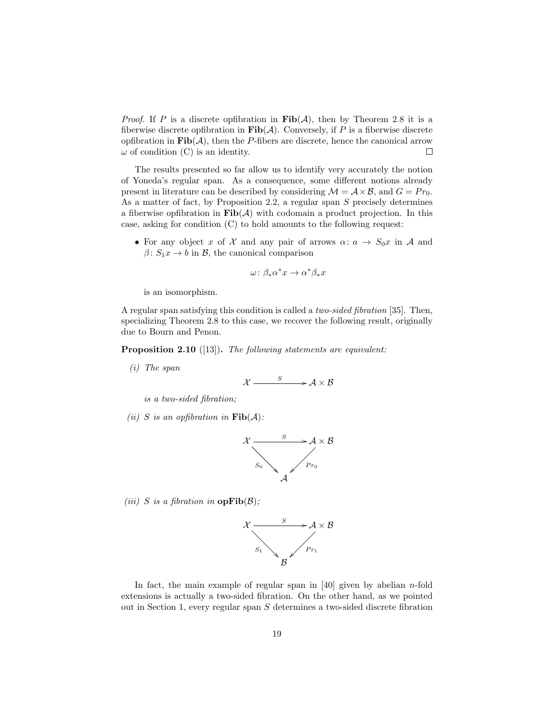*Proof.* If P is a discrete opfibration in  $\text{Fib}(\mathcal{A})$ , then by Theorem 2.8 it is a fiberwise discrete opfibration in  $\text{Fib}(\mathcal{A})$ . Conversely, if P is a fiberwise discrete opfibration in  $\textbf{Fib}(\mathcal{A})$ , then the P-fibers are discrete, hence the canonical arrow  $\Box$  $\omega$  of condition (C) is an identity.

The results presented so far allow us to identify very accurately the notion of Yoneda's regular span. As a consequence, some different notions already present in literature can be described by considering  $\mathcal{M} = \mathcal{A} \times \mathcal{B}$ , and  $G = Pr_0$ . As a matter of fact, by Proposition 2.2, a regular span S precisely determines a fiberwise opfibration in  $\text{Fib}(\mathcal{A})$  with codomain a product projection. In this case, asking for condition (C) to hold amounts to the following request:

• For any object x of X and any pair of arrows  $\alpha: a \to S_0x$  in A and  $\beta: S_1x \to b$  in B, the canonical comparison

$$
\omega\colon \beta_*\alpha^*x\to \alpha^*\beta_*x
$$

is an isomorphism.

A regular span satisfying this condition is called a two-sided fibration [35]. Then, specializing Theorem 2.8 to this case, we recover the following result, originally due to Bourn and Penon.

Proposition 2.10 ([13]). The following statements are equivalent:

(i) The span

$$
X \xrightarrow{S} A \times B
$$

is a two-sided fibration;

(ii) S is an opfibration in  $\text{Fib}(\mathcal{A})$ :



(iii) S is a fibration in  $opFib(\mathcal{B})$ ;



In fact, the main example of regular span in  $[40]$  given by abelian *n*-fold extensions is actually a two-sided fibration. On the other hand, as we pointed out in Section 1, every regular span S determines a two-sided discrete fibration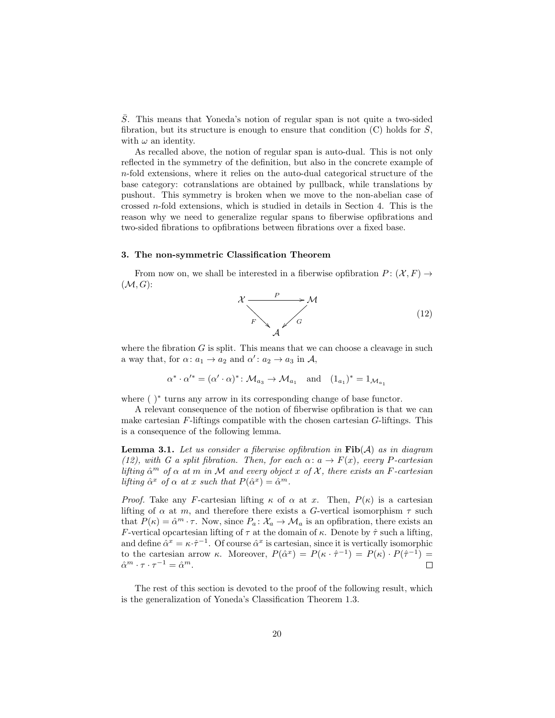S. This means that Yoneda's notion of regular span is not quite a two-sided fibration, but its structure is enough to ensure that condition  $(C)$  holds for  $\overline{S}$ , with  $\omega$  an identity.

As recalled above, the notion of regular span is auto-dual. This is not only reflected in the symmetry of the definition, but also in the concrete example of n-fold extensions, where it relies on the auto-dual categorical structure of the base category: cotranslations are obtained by pullback, while translations by pushout. This symmetry is broken when we move to the non-abelian case of crossed n-fold extensions, which is studied in details in Section 4. This is the reason why we need to generalize regular spans to fiberwise opfibrations and two-sided fibrations to opfibrations between fibrations over a fixed base.

### 3. The non-symmetric Classification Theorem

From now on, we shall be interested in a fiberwise opfibration  $P: (\mathcal{X}, F) \to$  $(M, G)$ :



where the fibration  $G$  is split. This means that we can choose a cleavage in such a way that, for  $\alpha: a_1 \to a_2$  and  $\alpha': a_2 \to a_3$  in A,

$$
\alpha^* \cdot \alpha'^* = (\alpha' \cdot \alpha)^* \colon \mathcal{M}_{a_3} \to \mathcal{M}_{a_1} \quad \text{and} \quad (1_{a_1})^* = 1_{\mathcal{M}_{a_1}}
$$

where ( )<sup>∗</sup> turns any arrow in its corresponding change of base functor.

A relevant consequence of the notion of fiberwise opfibration is that we can make cartesian  $F$ -liftings compatible with the chosen cartesian  $G$ -liftings. This is a consequence of the following lemma.

**Lemma 3.1.** Let us consider a fiberwise opfibration in  $\text{Fib}(\mathcal{A})$  as in diagram (12), with G a split fibration. Then, for each  $\alpha: \alpha \to F(x)$ , every P-cartesian lifting  $\hat{\alpha}^m$  of  $\alpha$  at m in M and every object x of X, there exists an F-cartesian lifting  $\hat{\alpha}^x$  of  $\alpha$  at x such that  $P(\hat{\alpha}^x) = \hat{\alpha}^m$ .

*Proof.* Take any F-cartesian lifting  $\kappa$  of  $\alpha$  at x. Then,  $P(\kappa)$  is a cartesian lifting of  $\alpha$  at m, and therefore there exists a G-vertical isomorphism  $\tau$  such that  $P(\kappa) = \hat{\alpha}^m \cdot \tau$ . Now, since  $P_a: \mathcal{X}_a \to \mathcal{M}_a$  is an opfibration, there exists an F-vertical opcartesian lifting of  $\tau$  at the domain of  $\kappa$ . Denote by  $\hat{\tau}$  such a lifting, and define  $\hat{\alpha}^x = \kappa \cdot \hat{\tau}^{-1}$ . Of course  $\hat{\alpha}^x$  is cartesian, since it is vertically isomorphic to the cartesian arrow  $\kappa$ . Moreover,  $P(\hat{\alpha}^x) = P(\kappa \cdot \hat{\tau}^{-1}) = P(\kappa) \cdot P(\hat{\tau}^{-1}) =$  $\hat{\alpha}^m \cdot \tau \cdot \tau^{-1} = \hat{\alpha}^m.$  $\Box$ 

The rest of this section is devoted to the proof of the following result, which is the generalization of Yoneda's Classification Theorem 1.3.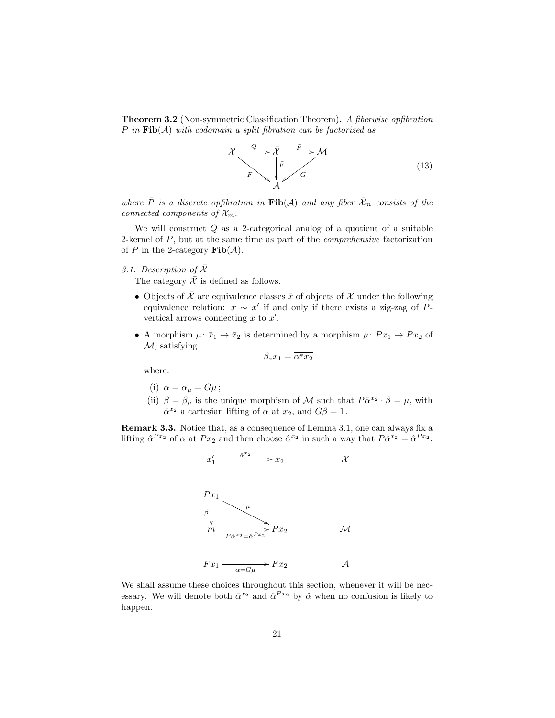Theorem 3.2 (Non-symmetric Classification Theorem). A fiberwise opfibration P in  $\text{Fib}(A)$  with codomain a split fibration can be factorized as



where  $\overline{P}$  is a discrete opfibration in  $\textbf{Fib}(\mathcal{A})$  and any fiber  $\overline{\mathcal{X}}_m$  consists of the connected components of  $\mathcal{X}_m$ .

We will construct  $Q$  as a 2-categorical analog of a quotient of a suitable 2-kernel of P, but at the same time as part of the comprehensive factorization of P in the 2-category  $\text{Fib}(\mathcal{A})$ .

## 3.1. Description of  $\overline{\mathcal{X}}$

The category  $\overline{\mathcal{X}}$  is defined as follows.

- Objects of  $\overline{X}$  are equivalence classes  $\overline{x}$  of objects of X under the following equivalence relation:  $x \sim x'$  if and only if there exists a zig-zag of Pvertical arrows connecting  $x$  to  $x'$ .
- A morphism  $\mu: \bar{x}_1 \to \bar{x}_2$  is determined by a morphism  $\mu: Px_1 \to Px_2$  of  $M$ , satisfying

$$
\overline{\beta_* x_1} = \overline{\alpha^* x_2}
$$

where:

- (i)  $\alpha = \alpha_{\mu} = G\mu$ ;
- (ii)  $\beta = \beta_{\mu}$  is the unique morphism of M such that  $P\hat{\alpha}^{x_2} \cdot \beta = \mu$ , with  $\hat{\alpha}^{x_2}$  a cartesian lifting of  $\alpha$  at  $x_2$ , and  $G\beta = 1$ .

Remark 3.3. Notice that, as a consequence of Lemma 3.1, one can always fix a lifting  $\hat{\alpha}^{Px_2}$  of  $\alpha$  at  $Px_2$  and then choose  $\hat{\alpha}^{x_2}$  in such a way that  $P\hat{\alpha}^{x_2} = \hat{\alpha}^{Px_2}$ :

$$
x_1' \xrightarrow{\hat{\alpha}^{x_2}} x_2 \qquad \qquad x
$$



$$
Fx_1 \xrightarrow[\alpha = G\mu]{} Fx_2 \qquad A
$$

We shall assume these choices throughout this section, whenever it will be necessary. We will denote both  $\hat{\alpha}^{x_2}$  and  $\hat{\alpha}^{Px_2}$  by  $\hat{\alpha}$  when no confusion is likely to happen.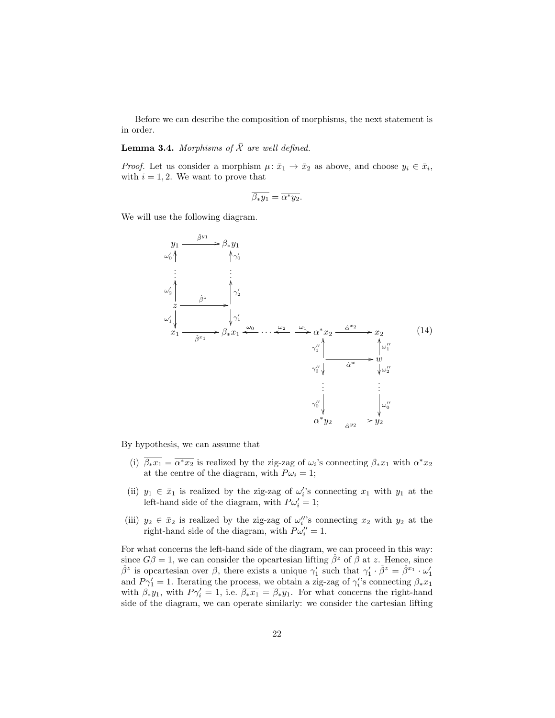Before we can describe the composition of morphisms, the next statement is in order.

## **Lemma 3.4.** Morphisms of  $\overline{X}$  are well defined.

*Proof.* Let us consider a morphism  $\mu: \bar{x}_1 \to \bar{x}_2$  as above, and choose  $y_i \in \bar{x}_i$ , with  $i = 1, 2$ . We want to prove that

$$
\overline{\beta_* y_1} = \overline{\alpha^* y_2}.
$$

We will use the following diagram.



By hypothesis, we can assume that

- (i)  $\overline{\beta_* x_1} = \overline{\alpha^* x_2}$  is realized by the zig-zag of  $\omega_i$ 's connecting  $\beta_* x_1$  with  $\alpha^* x_2$ at the centre of the diagram, with  $P\omega_i = 1$ ;
- (ii)  $y_1 \in \bar{x}_1$  is realized by the zig-zag of  $\omega_i$ 's connecting  $x_1$  with  $y_1$  at the left-hand side of the diagram, with  $P\omega_i' = 1$ ;
- (iii)  $y_2 \in \bar{x}_2$  is realized by the zig-zag of  $\omega_i''$ 's connecting  $x_2$  with  $y_2$  at the right-hand side of the diagram, with  $P\omega_i'' = 1$ .

For what concerns the left-hand side of the diagram, we can proceed in this way: since  $G\beta = 1$ , we can consider the opcartesian lifting  $\hat{\beta}^z$  of  $\beta$  at z. Hence, since  $\hat{\beta}^z$  is opcartesian over  $\beta$ , there exists a unique  $\gamma'_1$  such that  $\gamma'_1 \cdot \hat{\beta}^z = \hat{\beta}^{x_1} \cdot \omega'_1$ and  $P\gamma_1' = 1$ . Iterating the process, we obtain a zig-zag of  $\gamma_i$ 's connecting  $\beta_* x_1$ with  $\beta_* y_1$ , with  $P\gamma'_i = 1$ , i.e.  $\overline{\beta_* x_1} = \overline{\beta_* y_1}$ . For what concerns the right-hand side of the diagram, we can operate similarly: we consider the cartesian lifting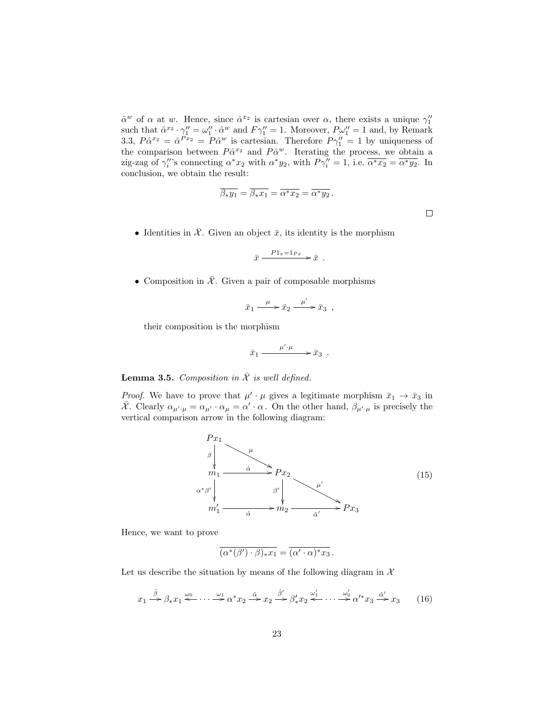$\hat{\alpha}^w$  of  $\alpha$  at w. Hence, since  $\hat{\alpha}^{x_2}$  is cartesian over  $\alpha$ , there exists a unique  $\gamma_1''$ such that  $\hat{\alpha}^{x_2} \cdot \gamma_1'' = \omega_1'' \cdot \hat{\alpha}^w$  and  $F\gamma_1'' = 1$ . Moreover,  $P\omega_1'' = 1$  and, by Remark 3.3,  $P\hat{\alpha}^{x_2} = \hat{\alpha}^{Px_2} = P\hat{\alpha}^w$  is cartesian. Therefore  $P\gamma_1'' = 1$  by uniqueness of the comparison between  $P\hat{\alpha}^{x_2}$  and  $P\hat{\alpha}^{w}$ . Iterating the process, we obtain a zig-zag of  $\gamma_i''$ 's connecting  $\alpha^* x_2$  with  $\alpha^* y_2$ , with  $P\gamma_i'' = 1$ , i.e.  $\overline{\alpha^* x_2} = \overline{\alpha^* y_2}$ . In conclusion, we obtain the result:

$$
\overline{\beta_* y_1} = \overline{\beta_* x_1} = \overline{\alpha^* x_2} = \overline{\alpha^* y_2}.
$$

 $\Box$ 

• Identities in  $\overline{\mathcal{X}}$ . Given an object  $\overline{x}$ , its identity is the morphism

$$
\bar{x} \xrightarrow{P1_x=1_{Px}} \bar{x} .
$$

• Composition in  $\overline{\mathcal{X}}$ . Given a pair of composable morphisms

$$
\bar{x}_1 \xrightarrow{\mu} \bar{x}_2 \xrightarrow{\mu'} \bar{x}_3 ,
$$

their composition is the morphism

$$
\bar{x}_1 \xrightarrow{\mu' \cdot \mu} \bar{x}_3 .
$$

**Lemma 3.5.** Composition in  $\overline{\mathcal{X}}$  is well defined.

*Proof.* We have to prove that  $\mu' \cdot \mu$  gives a legitimate morphism  $\bar{x}_1 \to \bar{x}_3$  in  $\bar{\mathcal{X}}$ . Clearly  $\alpha_{\mu',\mu} = \alpha_{\mu'} \cdot \alpha_{\mu} = \alpha' \cdot \alpha$ . On the other hand,  $\beta_{\mu',\mu}$  is precisely the vertical comparison arrow in the following diagram:



Hence, we want to prove

$$
\overline{(\alpha^*(\beta')\cdot\beta)_*x_1}=\overline{(\alpha'\cdot\alpha)^*x_3}.
$$

Let us describe the situation by means of the following diagram in  $\mathcal{X}$ 

$$
x_1 \xrightarrow{\hat{\beta}} \beta_* x_1 \xleftarrow{\omega_0} \cdots \xrightarrow{\omega_1} \alpha^* x_2 \xrightarrow{\hat{\alpha}} x_2 \xrightarrow{\hat{\beta}'} \beta'_* x_2 \xleftarrow{\omega'_1} \cdots \xrightarrow{\omega'_0} \alpha'^* x_3 \xrightarrow{\hat{\alpha}'} x_3 \tag{16}
$$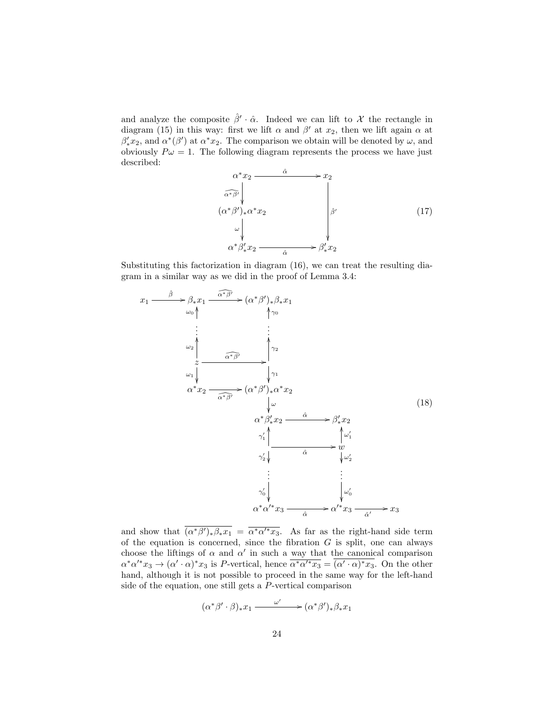and analyze the composite  $\hat{\beta}' \cdot \hat{\alpha}$ . Indeed we can lift to X the rectangle in diagram (15) in this way: first we lift  $\alpha$  and  $\beta'$  at  $x_2$ , then we lift again  $\alpha$  at  $\beta'_*x_2$ , and  $\alpha^*(\beta')$  at  $\alpha^*x_2$ . The comparison we obtain will be denoted by  $\omega$ , and obviously  $P\omega = 1$ . The following diagram represents the process we have just described:

$$
\begin{array}{ccc}\n\alpha^* x_2 & \xrightarrow{\hat{\alpha}} & x_2 \\
\hline\n\widehat{\alpha^* \beta'} & & \\
(\alpha^* \beta')_* \alpha^* x_2 & & \\
\downarrow \omega & & \\
\alpha^* \beta'_* x_2 & \xrightarrow{\hat{\alpha}} & \xrightarrow{\hat{\beta}'} x_2\n\end{array} \tag{17}
$$

Substituting this factorization in diagram (16), we can treat the resulting diagram in a similar way as we did in the proof of Lemma 3.4:

$$
x_{1} \xrightarrow{\hat{\beta}} \beta_{*} x_{1} \xrightarrow{\hat{\alpha}^{*} \beta^{'}} \rightarrow (\alpha^{*} \beta')_{*} \beta_{*} x_{1}
$$
\n
$$
\vdots
$$
\n
$$
\downarrow \gamma_{0}
$$
\n
$$
\vdots
$$
\n
$$
\omega_{2} \downarrow \qquad \qquad \downarrow \gamma_{2}
$$
\n
$$
\omega_{1} \downarrow \qquad \qquad \downarrow \gamma_{1}
$$
\n
$$
\alpha^{*} x_{2} \xrightarrow{\hat{\alpha}^{*} \beta'} (\alpha^{*} \beta')_{*} \alpha^{*} x_{2}
$$
\n
$$
\downarrow \omega
$$
\n
$$
\alpha^{*} \beta'_{*} x_{2} \xrightarrow{\hat{\alpha}} \beta'_{*} x_{2}
$$
\n
$$
\gamma_{1}' \downarrow \qquad \qquad \downarrow \omega_{1}'
$$
\n
$$
\gamma_{2}' \downarrow \qquad \qquad \hat{\alpha} \qquad \qquad \downarrow \omega_{2}'
$$
\n
$$
\vdots
$$
\n
$$
\vdots
$$
\n
$$
\gamma_{0}' \downarrow \qquad \qquad \downarrow \omega_{0}'
$$
\n
$$
\alpha^{*} \alpha'^{*} x_{3} \xrightarrow{\hat{\alpha}} \alpha'^{*} x_{3} \xrightarrow{\hat{\alpha}'} x_{3}
$$
\n
$$
\vdots
$$

and show that  $(\alpha^*)^{\prime}, \beta_* x_1 = \overline{\alpha^* \alpha^{\prime *} x_3}$ . As far as the right-hand side term of the equation is concerned, since the fibration  $G$  is split, one can always choose the liftings of  $\alpha$  and  $\alpha'$  in such a way that the canonical comparison  $\alpha^*\alpha'^*x_3 \to (\alpha'\cdot\alpha)^*x_3$  is P-vertical, hence  $\overline{\alpha^*\alpha'^*x_3} = \overline{(\alpha'\cdot\alpha)^*x_3}$ . On the other hand, although it is not possible to proceed in the same way for the left-hand side of the equation, one still gets a P-vertical comparison

$$
(\alpha^*\beta'\cdot\beta)_*x_1 \xrightarrow{\omega'} (\alpha^*\beta')_*\beta_*x_1
$$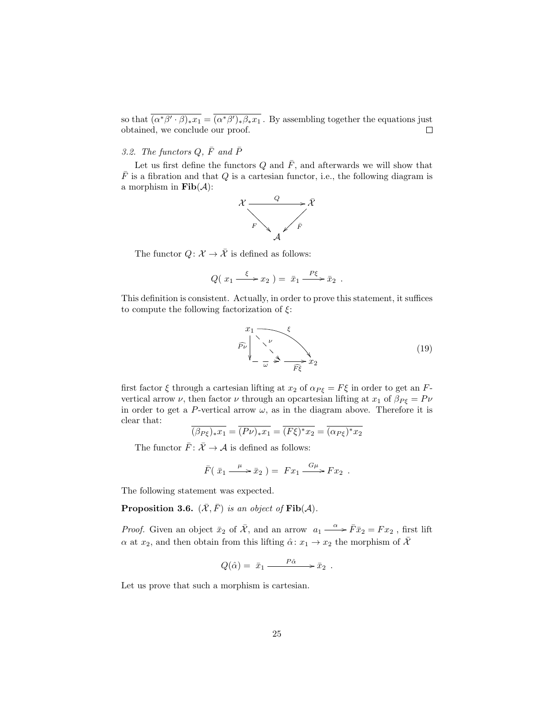so that  $\overline{(\alpha^*\beta'\cdot\beta)_*x_1} = \overline{(\alpha^*\beta')_*\beta_*x_1}$ . By assembling together the equations just obtained, we conclude our proof.  $\Box$ 

# 3.2. The functors  $Q, \bar{F}$  and  $\bar{P}$

Let us first define the functors  $Q$  and  $\overline{F}$ , and afterwards we will show that  $\bar{F}$  is a fibration and that Q is a cartesian functor, i.e., the following diagram is a morphism in  $\textbf{Fib}(\mathcal{A})$ :



The functor  $Q: \mathcal{X} \to \overline{\mathcal{X}}$  is defined as follows:

$$
Q(\ x_1 \xrightarrow{\xi} x_2) = \overline{x}_1 \xrightarrow{P\xi} \overline{x}_2 .
$$

This definition is consistent. Actually, in order to prove this statement, it suffices to compute the following factorization of  $\xi$ :

$$
\widehat{P\nu} \downarrow^{\mathcal{L}} \downarrow^{\mathcal{L}} \downarrow^{\mathcal{L}} \downarrow^{\mathcal{L}} \downarrow^{\mathcal{L}} \downarrow^{\mathcal{L}} \downarrow^{\mathcal{L}} \downarrow^{\mathcal{L}} \downarrow^{\mathcal{L}} \downarrow^{\mathcal{L}} \downarrow^{\mathcal{L}} \downarrow^{\mathcal{L}} \downarrow^{\mathcal{L}} \downarrow^{\mathcal{L}} \downarrow^{\mathcal{L}} \downarrow^{\mathcal{L}} \downarrow^{\mathcal{L}} \downarrow^{\mathcal{L}} \downarrow^{\mathcal{L}} \downarrow^{\mathcal{L}} \downarrow^{\mathcal{L}} \downarrow^{\mathcal{L}} \downarrow^{\mathcal{L}} \downarrow^{\mathcal{L}} \downarrow^{\mathcal{L}} \downarrow^{\mathcal{L}} \downarrow^{\mathcal{L}} \downarrow^{\mathcal{L}} \downarrow^{\mathcal{L}} \downarrow^{\mathcal{L}} \downarrow^{\mathcal{L}} \downarrow^{\mathcal{L}} \downarrow^{\mathcal{L}} \downarrow^{\mathcal{L}} \downarrow^{\mathcal{L}} \downarrow^{\mathcal{L}} \downarrow^{\mathcal{L}} \downarrow^{\mathcal{L}} \downarrow^{\mathcal{L}} \downarrow^{\mathcal{L}} \downarrow^{\mathcal{L}} \downarrow^{\mathcal{L}} \downarrow^{\mathcal{L}} \downarrow^{\mathcal{L}} \downarrow^{\mathcal{L}} \downarrow^{\mathcal{L}} \downarrow^{\mathcal{L}} \downarrow^{\mathcal{L}} \downarrow^{\mathcal{L}} \downarrow^{\mathcal{L}} \downarrow^{\mathcal{L}} \downarrow^{\mathcal{L}} \downarrow^{\mathcal{L}} \downarrow^{\mathcal{L}} \downarrow^{\mathcal{L}} \downarrow^{\mathcal{L}} \downarrow^{\mathcal{L}} \downarrow^{\mathcal{L}} \downarrow^{\mathcal{L}} \downarrow^{\mathcal{L}} \downarrow^{\mathcal{L}} \downarrow^{\mathcal{L}} \downarrow^{\mathcal{L}} \downarrow^{\mathcal{L}} \downarrow^{\mathcal{L}} \downarrow^{\mathcal{L}} \downarrow^{\mathcal{L}} \downarrow^{\mathcal{L}} \downarrow^{\mathcal{L}} \downarrow^{\mathcal{L}} \downarrow^{\mathcal{L}} \downarrow^{\mathcal{L}} \downarrow^{\mathcal{L}} \downarrow^{\mathcal{L}} \downarrow^{\mathcal{L}} \down
$$

first factor  $\xi$  through a cartesian lifting at  $x_2$  of  $\alpha_{P\xi} = F\xi$  in order to get an Fvertical arrow  $\nu$ , then factor  $\nu$  through an opcartesian lifting at  $x_1$  of  $\beta_{P\xi} = P\nu$ in order to get a P-vertical arrow  $\omega$ , as in the diagram above. Therefore it is clear that:

$$
\overline{(\beta_{P\xi})_*x_1} = \overline{(P\nu)_*x_1} = \overline{(F\xi)^*x_2} = \overline{(\alpha_{P\xi})^*x_2}
$$

The functor  $\bar{F}$ :  $\bar{\mathcal{X}} \to \mathcal{A}$  is defined as follows:

$$
\bar{F}(\bar{x}_1 \xrightarrow{\mu} \bar{x}_2) = Fx_1 \xrightarrow{G\mu} Fx_2 .
$$

The following statement was expected.

**Proposition 3.6.**  $(\bar{\mathcal{X}}, \bar{F})$  is an object of  $\text{Fib}(\mathcal{A})$ .

*Proof.* Given an object  $\bar{x}_2$  of  $\bar{\mathcal{X}}$ , and an arrow  $a_1 \stackrel{\alpha}{\longrightarrow} \bar{F} \bar{x}_2 = F x_2$ , first lift  $\alpha$  at  $x_2$ , and then obtain from this lifting  $\hat{\alpha} \colon x_1 \to x_2$  the morphism of  $\overline{\mathcal{X}}$ 

$$
Q(\hat{\alpha}) = \bar{x}_1 \xrightarrow{P\hat{\alpha}} \bar{x}_2 .
$$

Let us prove that such a morphism is cartesian.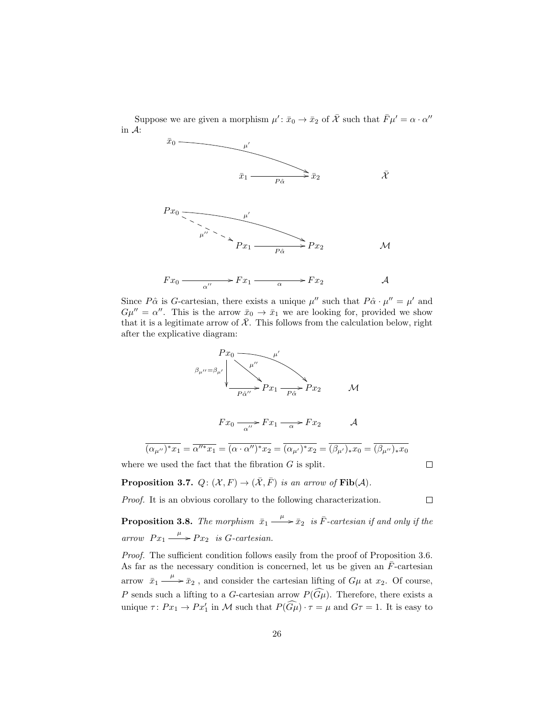Suppose we are given a morphism  $\mu' : \bar{x}_0 \to \bar{x}_2$  of  $\bar{\mathcal{X}}$  such that  $\bar{F}\mu' = \alpha \cdot \alpha''$ in A:



Since  $P\hat{\alpha}$  is G-cartesian, there exists a unique  $\mu''$  such that  $P\hat{\alpha} \cdot \mu'' = \mu'$  and  $G\mu'' = \alpha''$ . This is the arrow  $\bar{x}_0 \to \bar{x}_1$  we are looking for, provided we show that it is a legitimate arrow of  $\overline{\mathcal{X}}$ . This follows from the calculation below, right after the explicative diagram:



$$
\overline{(\alpha_{\mu^{\prime\prime}})^*x_1} = \overline{\alpha^{\prime\prime*}x_1} = \overline{(\alpha \cdot \alpha^{\prime\prime})^*x_2} = \overline{(\alpha_{\mu^\prime})^*x_2} = \overline{(\beta_{\mu^\prime})_*x_0} = \overline{(\beta_{\mu^{\prime\prime}})_*x_0}
$$
  
where we used the fact that the fibration *G* is split.

**Proposition 3.7.**  $Q: (\mathcal{X}, F) \to (\overline{\mathcal{X}}, \overline{F})$  is an arrow of  $\text{Fib}(\mathcal{A})$ .

Proof. It is an obvious corollary to the following characterization.

**Proposition 3.8.** The morphism  $\bar{x}_1 \xrightarrow{\mu} \bar{x}_2$  is  $\bar{F}$ -cartesian if and only if the arrow  $Px_1 \xrightarrow{\mu} Px_2$  is G-cartesian.

*Proof.* The sufficient condition follows easily from the proof of Proposition 3.6. As far as the necessary condition is concerned, let us be given an  $\bar{F}$ -cartesian arrow  $\bar{x}_1 \xrightarrow{\mu} \bar{x}_2$ , and consider the cartesian lifting of  $G\mu$  at  $x_2$ . Of course, P sends such a lifting to a G-cartesian arrow  $P(\widehat{G\mu})$ . Therefore, there exists a unique  $\tau: Px_1 \to Px'_1$  in M such that  $P(\widehat{G\mu}) \cdot \tau = \mu$  and  $G\tau = 1$ . It is easy to

 $\Box$ 

 $\Box$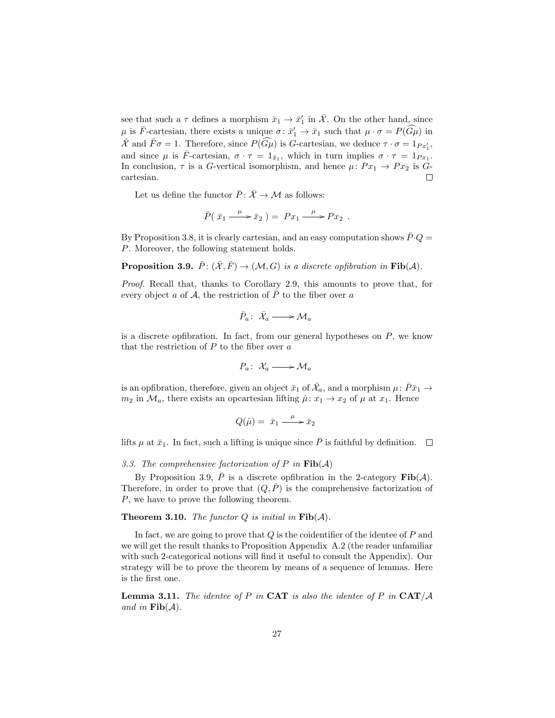see that such a  $\tau$  defines a morphism  $\bar{x}_1 \to \bar{x}'_1$  in  $\bar{\mathcal{X}}$ . On the other hand, since  $\mu$  is  $\bar{F}$ -cartesian, there exists a unique  $\sigma: \bar{x}'_1 \to \bar{x}_1$  such that  $\mu \cdot \sigma = P(\widehat{G\mu})$  in  $\overline{\mathcal{X}}$  and  $\overline{F}\sigma = 1$ . Therefore, since  $P(\widehat{G}\mu)$  is G-cartesian, we deduce  $\tau \cdot \sigma = 1_{Px'_1}$ , and since  $\mu$  is  $\bar{F}$ -cartesian,  $\sigma \cdot \tau = 1_{\bar{x}_1}$ , which in turn implies  $\sigma \cdot \tau = 1_{Px_1}$ . In conclusion,  $\tau$  is a G-vertical isomorphism, and hence  $\mu: Px_1 \to Px_2$  is Gcartesian.

Let us define the functor  $\overline{P}$ :  $\overline{X} \to M$  as follows:

$$
\bar{P}(\bar{x}_1 \xrightarrow{\mu} \bar{x}_2) = Px_1 \xrightarrow{\mu} Px_2 .
$$

By Proposition 3.8, it is clearly cartesian, and an easy computation shows  $\bar{P} \cdot Q =$ P. Moreover, the following statement holds.

**Proposition 3.9.**  $\bar{P}$ :  $(\bar{X}, \bar{F}) \rightarrow (\mathcal{M}, G)$  is a discrete opfibration in Fib(A).

Proof. Recall that, thanks to Corollary 2.9, this amounts to prove that, for every object a of A, the restriction of  $\bar{P}$  to the fiber over a

$$
\bar{P}_a\colon\thinspace\bar{\mathcal{X}}_a\longrightarrow{\mathcal M}_a
$$

is a discrete opfibration. In fact, from our general hypotheses on  $P$ , we know that the restriction of  $P$  to the fiber over  $a$ 

$$
P_a\colon\thinspace \mathcal X_a\longrightarrow \mathcal M_a
$$

is an opfibration, therefore, given an object  $\bar{x}_1$  of  $\bar{\mathcal{X}}_a$ , and a morphism  $\mu$ :  $\bar{P}\bar{x}_1 \rightarrow$  $m_2$  in  $\mathcal{M}_a$ , there exists an opcartesian lifting  $\hat{\mu}: x_1 \to x_2$  of  $\mu$  at  $x_1$ . Hence

$$
Q(\hat{\mu}) = \bar{x}_1 \xrightarrow{\mu} \bar{x}_2
$$

lifts  $\mu$  at  $\bar{x}_1$ . In fact, such a lifting is unique since  $\bar{P}$  is faithful by definition.  $\Box$ 

3.3. The comprehensive factorization of P in  $\text{Fib}(\mathcal{A})$ 

By Proposition 3.9,  $\bar{P}$  is a discrete opfibration in the 2-category Fib(A). Therefore, in order to prove that  $(Q, \overline{P})$  is the comprehensive factorization of P, we have to prove the following theorem.

**Theorem 3.10.** The functor  $Q$  is initial in  $\text{Fib}(\mathcal{A})$ .

In fact, we are going to prove that  $Q$  is the coidentifier of the identee of  $P$  and we will get the result thanks to Proposition Appendix A.2 (the reader unfamiliar with such 2-categorical notions will find it useful to consult the Appendix). Our strategy will be to prove the theorem by means of a sequence of lemmas. Here is the first one.

**Lemma 3.11.** The identee of P in CAT is also the identee of P in CAT/ $\mathcal A$ and in  $\text{Fib}(\mathcal{A})$ .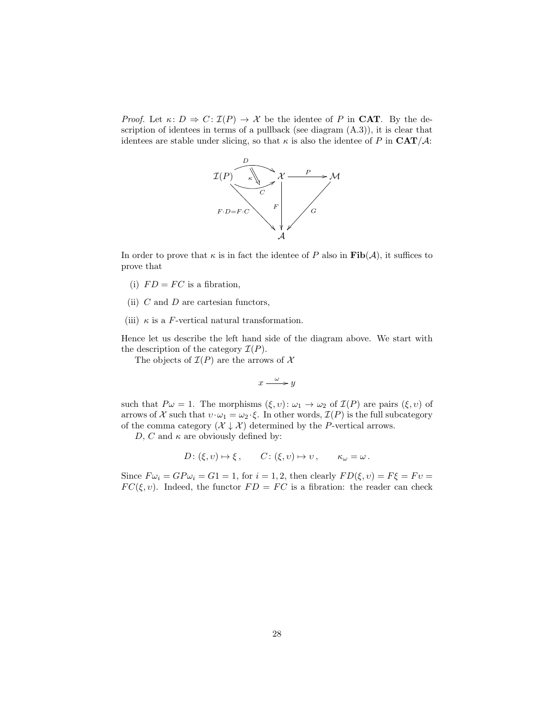*Proof.* Let  $\kappa: D \Rightarrow C: \mathcal{I}(P) \to \mathcal{X}$  be the identee of P in CAT. By the description of identees in terms of a pullback (see diagram  $(A.3)$ ), it is clear that identees are stable under slicing, so that  $\kappa$  is also the identee of P in CAT/A:



In order to prove that  $\kappa$  is in fact the identee of P also in  $\text{Fib}(\mathcal{A})$ , it suffices to prove that

- (i)  $FD = FC$  is a fibration,
- (ii)  $C$  and  $D$  are cartesian functors,
- (iii)  $\kappa$  is a F-vertical natural transformation.

Hence let us describe the left hand side of the diagram above. We start with the description of the category  $\mathcal{I}(P)$ .

The objects of  $\mathcal{I}(P)$  are the arrows of X

$$
x \xrightarrow{\omega} y
$$

such that  $P\omega = 1$ . The morphisms  $(\xi, v): \omega_1 \to \omega_2$  of  $\mathcal{I}(P)$  are pairs  $(\xi, v)$  of arrows of X such that  $v \cdot \omega_1 = \omega_2 \cdot \xi$ . In other words,  $\mathcal{I}(P)$  is the full subcategory of the comma category  $(\mathcal{X} \downarrow \mathcal{X})$  determined by the P-vertical arrows.

D, C and  $\kappa$  are obviously defined by:

$$
D: (\xi, v) \mapsto \xi, \qquad C: (\xi, v) \mapsto v, \qquad \kappa_{\omega} = \omega.
$$

Since  $F\omega_i = GP\omega_i = G1 = 1$ , for  $i = 1, 2$ , then clearly  $FD(\xi, v) = F\xi = Fv$  $FC(\xi, v)$ . Indeed, the functor  $FD = FC$  is a fibration: the reader can check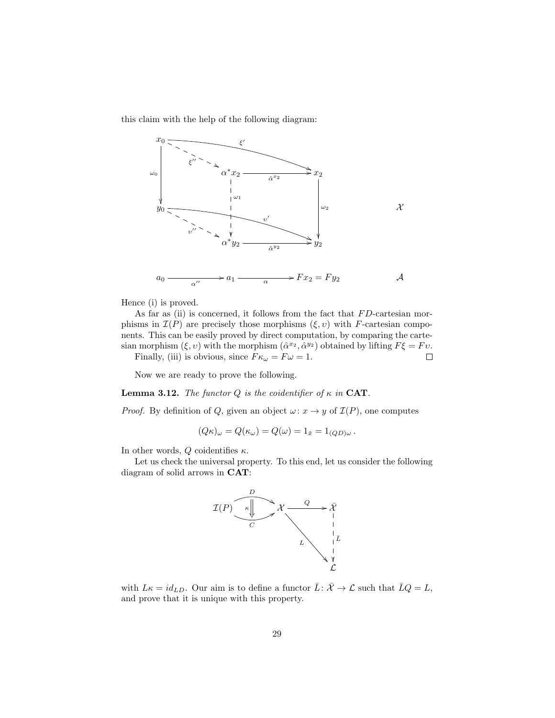this claim with the help of the following diagram:



Hence (i) is proved.

As far as (ii) is concerned, it follows from the fact that  $FD$ -cartesian morphisms in  $\mathcal{I}(P)$  are precisely those morphisms  $(\xi, v)$  with F-cartesian components. This can be easily proved by direct computation, by comparing the cartesian morphism  $(\xi, v)$  with the morphism  $(\hat{\alpha}^{x_2}, \hat{\alpha}^{y_2})$  obtained by lifting  $F\xi = Fv$ .  $\Box$ 

Finally, (iii) is obvious, since  $F\kappa_{\omega} = F\omega = 1$ .

Now we are ready to prove the following.

**Lemma 3.12.** The functor Q is the coidentifier of  $\kappa$  in CAT.

*Proof.* By definition of Q, given an object  $\omega: x \to y$  of  $\mathcal{I}(P)$ , one computes

$$
(Q\kappa)_{\omega} = Q(\kappa_{\omega}) = Q(\omega) = 1_{\bar{x}} = 1_{(QD)\omega}.
$$

In other words, Q coidentifies  $\kappa$ .

Let us check the universal property. To this end, let us consider the following diagram of solid arrows in CAT:



with  $L\kappa = id_{LD}$ . Our aim is to define a functor  $\bar{L}$ :  $\bar{\mathcal{X}} \to \mathcal{L}$  such that  $\bar{L}Q = L$ , and prove that it is unique with this property.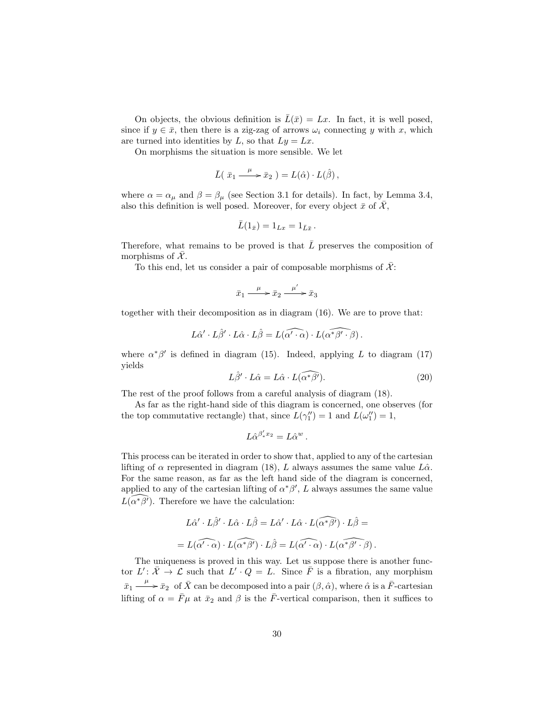On objects, the obvious definition is  $\bar{L}(\bar{x}) = Lx$ . In fact, it is well posed, since if  $y \in \bar{x}$ , then there is a zig-zag of arrows  $\omega_i$  connecting y with x, which are turned into identities by L, so that  $Ly = Lx$ .

On morphisms the situation is more sensible. We let

$$
\bar{L}(\bar{x}_1 \xrightarrow{\mu} \bar{x}_2) = L(\hat{\alpha}) \cdot L(\hat{\beta}),
$$

where  $\alpha = \alpha_{\mu}$  and  $\beta = \beta_{\mu}$  (see Section 3.1 for details). In fact, by Lemma 3.4, also this definition is well posed. Moreover, for every object  $\bar{x}$  of  $\bar{\mathcal{X}}$ ,

$$
\bar{L}(1_{\bar{x}})=1_{Lx}=1_{\bar{L}\bar{x}}.
$$

Therefore, what remains to be proved is that  $\overline{L}$  preserves the composition of morphisms of  $\overline{\mathcal{X}}$ .

To this end, let us consider a pair of composable morphisms of  $\overline{\mathcal{X}}$ :

$$
\bar{x}_1 \xrightarrow{\mu} \bar{x}_2 \xrightarrow{\mu'} \bar{x}_3
$$

together with their decomposition as in diagram (16). We are to prove that:

$$
L\hat{\alpha}' \cdot L\hat{\beta}' \cdot L\hat{\alpha} \cdot L\hat{\beta} = L(\widehat{\alpha' \cdot \alpha}) \cdot L(\widehat{\alpha^*\beta' \cdot \beta}).
$$

where  $\alpha^* \beta'$  is defined in diagram (15). Indeed, applying L to diagram (17) yields

$$
L\hat{\beta}' \cdot L\hat{\alpha} = L\hat{\alpha} \cdot L(\widehat{\alpha^*\beta'})
$$
 (20)

The rest of the proof follows from a careful analysis of diagram (18).

As far as the right-hand side of this diagram is concerned, one observes (for the top commutative rectangle) that, since  $L(\gamma_1'') = 1$  and  $L(\omega_1'') = 1$ ,

$$
L\hat{\alpha}^{\beta_*'x_2}=L\hat{\alpha}^w\,.
$$

This process can be iterated in order to show that, applied to any of the cartesian lifting of  $\alpha$  represented in diagram (18), L always assumes the same value  $L\hat{\alpha}$ . For the same reason, as far as the left hand side of the diagram is concerned, applied to any of the cartesian lifting of  $\alpha^* \beta'$ , L always assumes the same value  $\widehat{L(\alpha^*\beta')}$ . Therefore we have the calculation:

$$
L\hat{\alpha}' \cdot L\hat{\beta}' \cdot L\hat{\alpha} \cdot L\hat{\beta} = L\hat{\alpha}' \cdot L\hat{\alpha} \cdot L(\widehat{\alpha^*\beta'}) \cdot L\hat{\beta} =
$$

$$
= L(\widehat{\alpha' \cdot \alpha}) \cdot L(\widehat{\alpha^*\beta'}) \cdot L\hat{\beta} = L(\widehat{\alpha' \cdot \alpha}) \cdot L(\widehat{\alpha^*\beta'} \cdot \beta).
$$

The uniqueness is proved in this way. Let us suppose there is another functor  $L' \colon \overline{X} \to \mathcal{L}$  such that  $L' \cdot Q = L$ . Since  $\overline{F}$  is a fibration, any morphism  $\bar{x}_1 \stackrel{\mu}{\longrightarrow} \bar{x}_2$  of  $\bar{X}$  can be decomposed into a pair  $(\beta, \hat{\alpha})$ , where  $\hat{\alpha}$  is a  $\bar{F}$ -cartesian lifting of  $\alpha = \bar{F}\mu$  at  $\bar{x}_2$  and  $\beta$  is the  $\bar{F}$ -vertical comparison, then it suffices to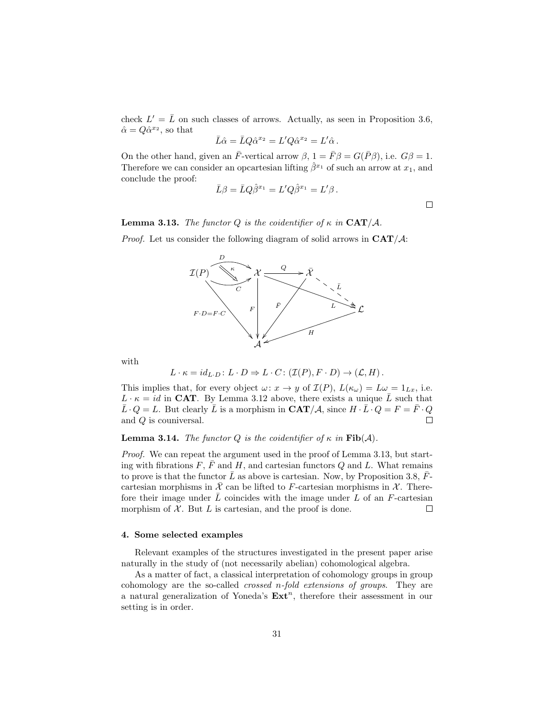check  $L' = \bar{L}$  on such classes of arrows. Actually, as seen in Proposition 3.6,  $\hat{\alpha} = Q\hat{\alpha}^{x_2}$ , so that

$$
\bar{L}\hat{\alpha} = \bar{L}Q\hat{\alpha}^{x_2} = L'Q\hat{\alpha}^{x_2} = L'\hat{\alpha}.
$$

On the other hand, given an  $\bar{F}$ -vertical arrow  $\beta$ ,  $1 = \bar{F}\beta = G(\bar{P}\beta)$ , i.e.  $G\beta = 1$ . Therefore we can consider an opcartesian lifting  $\hat{\beta}^{x_1}$  of such an arrow at  $x_1$ , and conclude the proof:

$$
\bar L\beta=\bar L Q\hat\beta^{x_1}=L'Q\hat\beta^{x_1}=L'\beta\,.
$$

 $\Box$ 

**Lemma 3.13.** The functor Q is the coidentifier of  $\kappa$  in  $\mathbf{CAT}/\mathcal{A}$ .

*Proof.* Let us consider the following diagram of solid arrows in  $CAT/A$ :



with

$$
L \cdot \kappa = id_{L \cdot D} \colon L \cdot D \Rightarrow L \cdot C \colon (\mathcal{I}(P), F \cdot D) \to (\mathcal{L}, H) .
$$

This implies that, for every object  $\omega: x \to y$  of  $\mathcal{I}(P)$ ,  $L(\kappa_{\omega}) = L\omega = 1_{Lx}$ , i.e.  $L \cdot \kappa = id$  in CAT. By Lemma 3.12 above, there exists a unique  $\overline{L}$  such that  $\bar{L} \cdot Q = L$ . But clearly  $\bar{L}$  is a morphism in  $\mathbf{CAT}/\mathcal{A}$ , since  $H \cdot \bar{L} \cdot Q = F = \bar{F} \cdot Q$ and Q is couniversal.  $\Box$ 

### **Lemma 3.14.** The functor Q is the coidentifier of  $\kappa$  in Fib(A).

*Proof.* We can repeat the argument used in the proof of Lemma 3.13, but starting with fibrations F,  $\overline{F}$  and H, and cartesian functors Q and L. What remains to prove is that the functor  $\bar{L}$  as above is cartesian. Now, by Proposition 3.8,  $\bar{F}$ cartesian morphisms in  $\mathcal X$  can be lifted to F-cartesian morphisms in  $\mathcal X$ . Therefore their image under  $\bar{L}$  coincides with the image under  $L$  of an F-cartesian morphism of  $X$ . But  $L$  is cartesian, and the proof is done.  $\Box$ 

#### 4. Some selected examples

Relevant examples of the structures investigated in the present paper arise naturally in the study of (not necessarily abelian) cohomological algebra.

As a matter of fact, a classical interpretation of cohomology groups in group cohomology are the so-called crossed n-fold extensions of groups. They are a natural generalization of Yoneda's  $\text{Ext}^n$ , therefore their assessment in our setting is in order.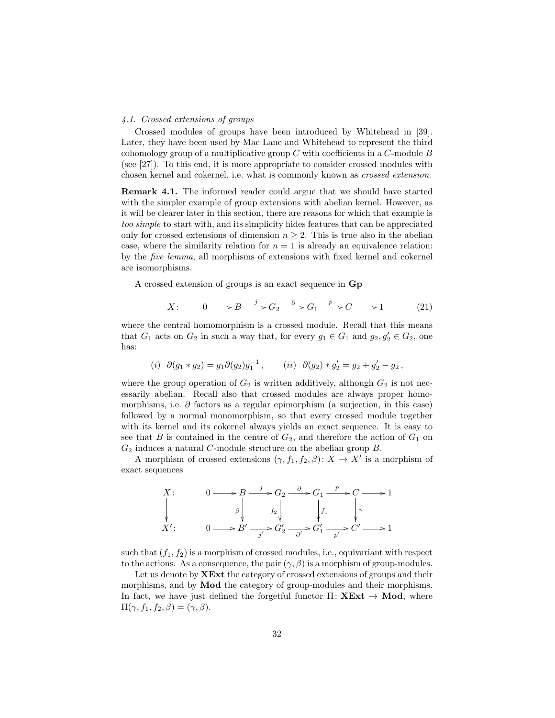#### 4.1. Crossed extensions of groups

Crossed modules of groups have been introduced by Whitehead in [39]. Later, they have been used by Mac Lane and Whitehead to represent the third cohomology group of a multiplicative group  $C$  with coefficients in a  $C$ -module  $B$ (see [27]). To this end, it is more appropriate to consider crossed modules with chosen kernel and cokernel, i.e. what is commonly known as crossed extension.

Remark 4.1. The informed reader could argue that we should have started with the simpler example of group extensions with abelian kernel. However, as it will be clearer later in this section, there are reasons for which that example is too simple to start with, and its simplicity hides features that can be appreciated only for crossed extensions of dimension  $n \geq 2$ . This is true also in the abelian case, where the similarity relation for  $n = 1$  is already an equivalence relation: by the five lemma, all morphisms of extensions with fixed kernel and cokernel are isomorphisms.

A crossed extension of groups is an exact sequence in Gp

$$
X: \qquad 0 \longrightarrow B \xrightarrow{j} G_2 \xrightarrow{\partial} G_1 \xrightarrow{p} C \longrightarrow 1 \tag{21}
$$

where the central homomorphism is a crossed module. Recall that this means that  $G_1$  acts on  $G_2$  in such a way that, for every  $g_1 \in G_1$  and  $g_2, g'_2 \in G_2$ , one has:

(i) 
$$
\partial(g_1 * g_2) = g_1 \partial(g_2) g_1^{-1}
$$
, (ii)  $\partial(g_2) * g_2' = g_2 + g_2' - g_2$ ,

where the group operation of  $G_2$  is written additively, although  $G_2$  is not necessarily abelian. Recall also that crossed modules are always proper homomorphisms, i.e.  $\partial$  factors as a regular epimorphism (a surjection, in this case) followed by a normal monomorphism, so that every crossed module together with its kernel and its cokernel always yields an exact sequence. It is easy to see that B is contained in the centre of  $G_2$ , and therefore the action of  $G_1$  on  $G_2$  induces a natural C-module structure on the abelian group  $B$ .

A morphism of crossed extensions  $(\gamma, f_1, f_2, \beta)$ :  $X \to X'$  is a morphism of exact sequences

X:  
\n
$$
0 \longrightarrow B \longrightarrow G_2 \longrightarrow G_1 \longrightarrow C \longrightarrow 1
$$
\n
$$
\downarrow \qquad \qquad \downarrow \qquad \qquad \downarrow \qquad \downarrow \qquad \downarrow \qquad \downarrow \qquad \downarrow \qquad \downarrow \qquad \downarrow \qquad \downarrow \qquad \downarrow \qquad \downarrow \qquad \downarrow \qquad \downarrow \qquad \downarrow \qquad \downarrow \qquad \downarrow \qquad \downarrow \qquad \downarrow \qquad \downarrow \qquad \downarrow \qquad \downarrow \qquad \downarrow \qquad \downarrow \qquad \downarrow \qquad \downarrow \qquad \downarrow \qquad \downarrow \qquad \downarrow \qquad \downarrow \qquad \downarrow \qquad \downarrow \qquad \downarrow \qquad \downarrow \qquad \downarrow \qquad \downarrow \qquad \downarrow \qquad \downarrow \qquad \downarrow \qquad \downarrow \qquad \downarrow \qquad \downarrow \qquad \downarrow \qquad \downarrow \qquad \downarrow \qquad \downarrow \qquad \downarrow \qquad \downarrow \qquad \downarrow \qquad \downarrow \qquad \downarrow \qquad \downarrow \qquad \downarrow \qquad \downarrow \qquad \downarrow \qquad \downarrow \qquad \downarrow \qquad \downarrow \qquad \downarrow \qquad \downarrow \qquad \downarrow \qquad \downarrow \qquad \downarrow \qquad \downarrow \qquad \downarrow \qquad \downarrow \qquad \downarrow \qquad \downarrow \qquad \downarrow \qquad \downarrow \qquad \downarrow \qquad \downarrow \qquad \downarrow \qquad \downarrow \qquad \downarrow \qquad \downarrow \qquad \downarrow \qquad \downarrow \qquad \downarrow \qquad \downarrow \qquad \downarrow \qquad \downarrow \qquad \downarrow \qquad \downarrow \qquad \downarrow \qquad \downarrow \qquad \downarrow \qquad \downarrow \qquad \downarrow \qquad \downarrow \qquad \downarrow \qquad \downarrow \qquad \downarrow \qquad \downarrow \qquad \downarrow \qquad \downarrow \qquad \downarrow \qquad \downarrow \qquad \downarrow \qquad \downarrow \qquad \downarrow \qquad \downarrow \qquad \downarrow \qquad \downarrow \qquad \downarrow \qquad \downarrow \qquad \downarrow \qquad \downarrow \qquad \downarrow \qquad \downarrow \qquad \downarrow \qquad \downarrow \qquad \downarrow \qquad \downarrow \qquad \downarrow \qquad \downarrow \qquad \downarrow \qquad \downarrow \qquad \downarrow \qquad \downarrow \
$$

such that  $(f_1, f_2)$  is a morphism of crossed modules, i.e., equivariant with respect to the actions. As a consequence, the pair  $(\gamma, \beta)$  is a morphism of group-modules.

Let us denote by **XExt** the category of crossed extensions of groups and their morphisms, and by Mod the category of group-modules and their morphisms. In fact, we have just defined the forgetful functor  $\Pi: \mathbf{X} \mathbf{Ext} \to \mathbf{Mod}$ , where  $\Pi(\gamma, f_1, f_2, \beta) = (\gamma, \beta).$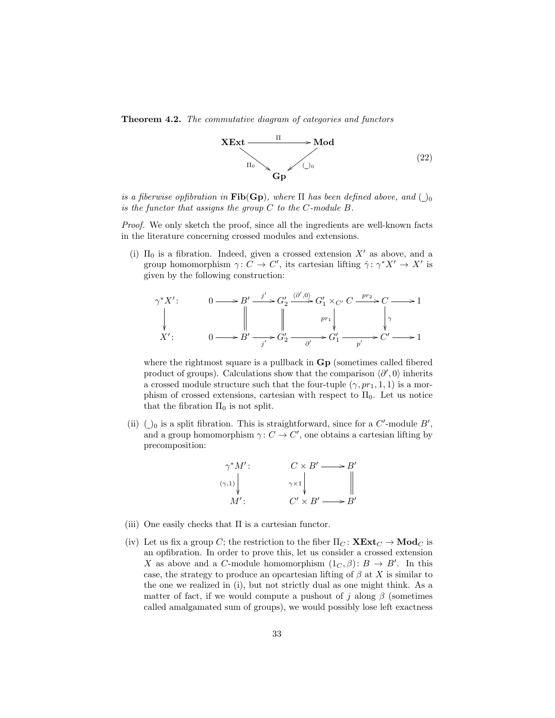Theorem 4.2. The commutative diagram of categories and functors



is a fiberwise opfibration in  $\text{Fib}(Gp)$ , where  $\Pi$  has been defined above, and  $\Box_0$ is the functor that assigns the group  $C$  to the C-module  $B$ .

Proof. We only sketch the proof, since all the ingredients are well-known facts in the literature concerning crossed modules and extensions.

(i)  $\Pi_0$  is a fibration. Indeed, given a crossed extension X' as above, and a group homomorphism  $\gamma: C \to C'$ , its cartesian lifting  $\hat{\gamma}: \gamma^* X' \to X'$  is given by the following construction:

$$
\gamma^* X': \qquad 0 \longrightarrow B' \xrightarrow{j'} G_2' \xrightarrow{\langle \partial', 0 \rangle} G_1' \times_{C'} C \xrightarrow{pr_2} C \longrightarrow 1
$$
  
\n
$$
\downarrow \qquad \qquad \downarrow
$$
  
\n
$$
X': \qquad 0 \longrightarrow B' \xrightarrow{j'} G_2' \xrightarrow{\partial'} G_1' \xrightarrow{p'} C' \longrightarrow 1
$$

where the rightmost square is a pullback in  $G_p$  (sometimes called fibered product of groups). Calculations show that the comparison  $\langle \partial', 0 \rangle$  inherits a crossed module structure such that the four-tuple  $(\gamma, pr_1, 1, 1)$  is a morphism of crossed extensions, cartesian with respect to  $\Pi_0$ . Let us notice that the fibration  $\Pi_0$  is not split.

(ii)  $\langle$ )<sub>0</sub> is a split fibration. This is straightforward, since for a C'-module B', and a group homomorphism  $\gamma: C \to C'$ , one obtains a cartesian lifting by precomposition:

$$
\begin{array}{ccc}\n\gamma^* M' : & C \times B' \longrightarrow B' \\
(\gamma, 1) & & \gamma \times 1 \\
M' : & C' \times B' \longrightarrow B'\n\end{array}
$$

- (iii) One easily checks that  $\Pi$  is a cartesian functor.
- (iv) Let us fix a group C; the restriction to the fiber  $\Pi_C: \mathbf{XExt}_C \to \mathbf{Mod}_C$  is an opfibration. In order to prove this, let us consider a crossed extension X as above and a C-module homomorphism  $(1_C, \beta)$ :  $B \to B'$ . In this case, the strategy to produce an opcartesian lifting of  $\beta$  at X is similar to the one we realized in (i), but not strictly dual as one might think. As a matter of fact, if we would compute a pushout of j along  $\beta$  (sometimes called amalgamated sum of groups), we would possibly lose left exactness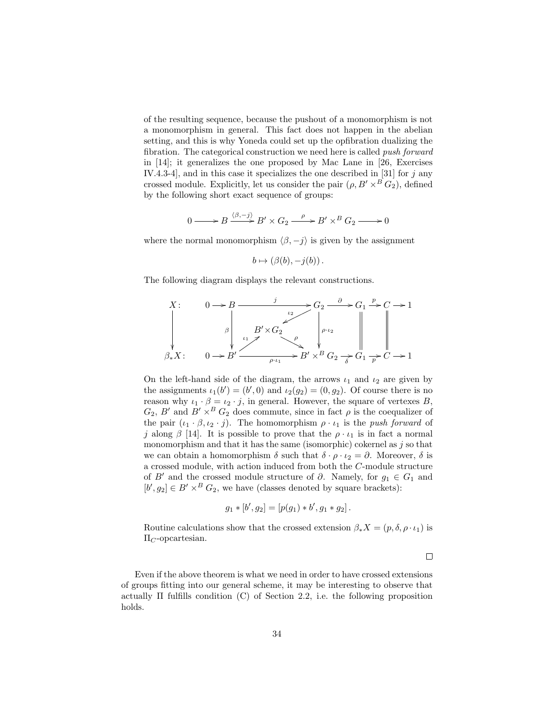of the resulting sequence, because the pushout of a monomorphism is not a monomorphism in general. This fact does not happen in the abelian setting, and this is why Yoneda could set up the opfibration dualizing the fibration. The categorical construction we need here is called *push forward* in [14]; it generalizes the one proposed by Mac Lane in [26, Exercises IV.4.3-4], and in this case it specializes the one described in  $[31]$  for j any crossed module. Explicitly, let us consider the pair  $(\rho, B' \times^B G_2)$ , defined by the following short exact sequence of groups:

$$
0 \longrightarrow B \xrightarrow{\langle \beta, -j \rangle} B' \times G_2 \xrightarrow{\rho} B' \times^B G_2 \longrightarrow 0
$$

where the normal monomorphism  $\langle \beta, -j \rangle$  is given by the assignment

$$
b \mapsto (\beta(b), -j(b)).
$$

The following diagram displays the relevant constructions.

X: 
$$
0 \rightarrow B
$$
  
\n
$$
\downarrow \qquad \qquad \downarrow \qquad \downarrow \qquad \downarrow \qquad \downarrow \qquad \downarrow \qquad \downarrow \qquad \downarrow \qquad \downarrow \qquad \downarrow \qquad \downarrow \qquad \downarrow \qquad \downarrow \qquad \downarrow \qquad \downarrow \qquad \downarrow \qquad \downarrow \qquad \downarrow \qquad \downarrow \qquad \downarrow \qquad \downarrow \qquad \downarrow \qquad \downarrow \qquad \downarrow \qquad \downarrow \qquad \downarrow \qquad \downarrow \qquad \downarrow \qquad \downarrow \qquad \downarrow \qquad \downarrow \qquad \downarrow \qquad \downarrow \qquad \downarrow \qquad \downarrow \qquad \downarrow \qquad \downarrow \qquad \downarrow \qquad \downarrow \qquad \downarrow \qquad \downarrow \qquad \downarrow \qquad \downarrow \qquad \downarrow \qquad \downarrow \qquad \downarrow \qquad \downarrow \qquad \downarrow \qquad \downarrow \qquad \downarrow \qquad \downarrow \qquad \downarrow \qquad \downarrow \qquad \downarrow \qquad \downarrow \qquad \downarrow \qquad \downarrow \qquad \downarrow \qquad \downarrow \qquad \downarrow \qquad \downarrow \qquad \downarrow \qquad \downarrow \qquad \downarrow \qquad \downarrow \qquad \downarrow \qquad \downarrow \qquad \downarrow \qquad \downarrow \qquad \downarrow \qquad \downarrow \qquad \downarrow \qquad \downarrow \qquad \downarrow \qquad \downarrow \qquad \downarrow \qquad \downarrow \qquad \downarrow \qquad \downarrow \qquad \downarrow \qquad \downarrow \qquad \downarrow \qquad \downarrow \qquad \downarrow \qquad \downarrow \qquad \downarrow \qquad \downarrow \qquad \downarrow \qquad \downarrow \qquad \downarrow \qquad \downarrow \qquad \downarrow \qquad \downarrow \qquad \downarrow \qquad \downarrow \qquad \downarrow \qquad \downarrow \qquad \downarrow \qquad \downarrow \qquad \downarrow \qquad \downarrow \qquad \downarrow \qquad \downarrow \qquad \downarrow \qquad \downarrow \qquad \downarrow \qquad \downarrow \qquad \downarrow \qquad \downarrow \qquad \downarrow \qquad \downarrow \qquad \downarrow \qquad \downarrow \qquad \downarrow \qquad \downarrow \qquad \downarrow \qquad \downarrow \qquad \downarrow \qquad \downarrow \qquad \downarrow \qquad \downarrow \qquad \downarrow \qquad \downarrow \qquad \
$$

On the left-hand side of the diagram, the arrows  $\iota_1$  and  $\iota_2$  are given by the assignments  $\iota_1(b') = (b', 0)$  and  $\iota_2(g_2) = (0, g_2)$ . Of course there is no reason why  $\iota_1 \cdot \beta = \iota_2 \cdot j$ , in general. However, the square of vertexes B,  $G_2$ , B' and  $B' \times^B G_2$  does commute, since in fact  $\rho$  is the coequalizer of the pair  $(\iota_1 \cdot \beta, \iota_2 \cdot j)$ . The homomorphism  $\rho \cdot \iota_1$  is the push forward of j along  $\beta$  [14]. It is possible to prove that the  $\rho \cdot \iota_1$  is in fact a normal monomorphism and that it has the same (isomorphic) cokernel as  $j$  so that we can obtain a homomorphism  $\delta$  such that  $\delta \cdot \rho \cdot \iota_2 = \partial$ . Moreover,  $\delta$  is a crossed module, with action induced from both the C-module structure of B' and the crossed module structure of  $\partial$ . Namely, for  $g_1 \in G_1$  and  $[b', g_2] \in B' \times^B G_2$ , we have (classes denoted by square brackets):

$$
g_1 * [b', g_2] = [p(g_1) * b', g_1 * g_2].
$$

Routine calculations show that the crossed extension  $\beta_* X = (p, \delta, \rho \cdot \iota_1)$  is  $\Pi_C$ -opcartesian.

 $\Box$ 

Even if the above theorem is what we need in order to have crossed extensions of groups fitting into our general scheme, it may be interesting to observe that actually Π fulfills condition (C) of Section 2.2, i.e. the following proposition holds.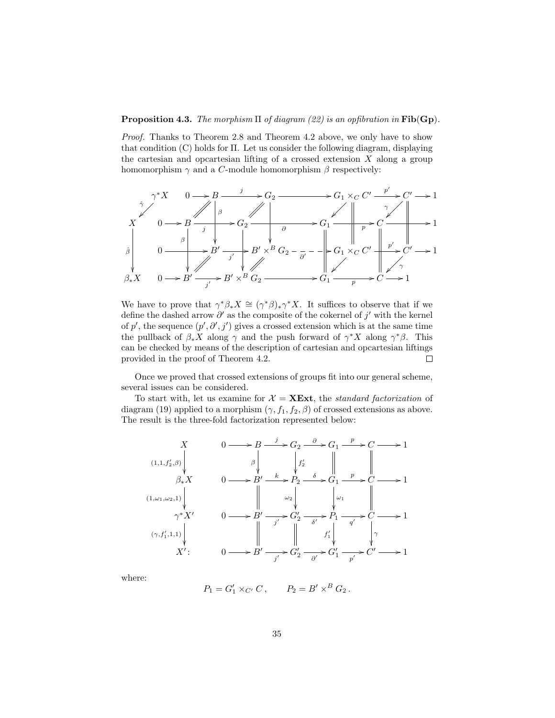### **Proposition 4.3.** The morphism  $\Pi$  of diagram (22) is an opfibration in Fib(Gp).

Proof. Thanks to Theorem 2.8 and Theorem 4.2 above, we only have to show that condition  $(C)$  holds for  $\Pi$ . Let us consider the following diagram, displaying the cartesian and opcartesian lifting of a crossed extension  $X$  along a group homomorphism  $\gamma$  and a C-module homomorphism  $\beta$  respectively:



We have to prove that  $\gamma^*\beta_*X \cong (\gamma^*\beta)_*\gamma^*X$ . It suffices to observe that if we define the dashed arrow  $\partial'$  as the composite of the cokernel of  $j'$  with the kernel of p', the sequence  $(p', \partial', j')$  gives a crossed extension which is at the same time the pullback of  $\beta_* X$  along  $\gamma$  and the push forward of  $\gamma^* X$  along  $\gamma^* \beta$ . This can be checked by means of the description of cartesian and opcartesian liftings provided in the proof of Theorem 4.2.  $\Box$ 

Once we proved that crossed extensions of groups fit into our general scheme, several issues can be considered.

To start with, let us examine for  $\mathcal{X} = \mathbf{X} \mathbf{Ext}$ , the standard factorization of diagram (19) applied to a morphism  $(\gamma, f_1, f_2, \beta)$  of crossed extensions as above. The result is the three-fold factorization represented below:

$$
\begin{array}{ccc}\nX & 0 \longrightarrow B \xrightarrow{j} G_2 \xrightarrow{\partial} G_1 \xrightarrow{p} C \longrightarrow 1 \\
(1,1,f'_2,\beta) & \beta & \gamma' \\
\beta \downarrow X & 0 \longrightarrow B' \xrightarrow{k} P_2 \xrightarrow{\delta} G_1 \xrightarrow{p} C \longrightarrow 1 \\
(1,\omega_1,\omega_2,1) & \gamma^* X' & 0 \longrightarrow B' \xrightarrow{j'} G'_2 \xrightarrow{\delta} P_1 \longrightarrow C \longrightarrow 1 \\
(\gamma, f'_1,1,1) & \beta & \gamma^* G'_2 \xrightarrow{j'} G'_2 \xrightarrow{\delta'} P_1 \longrightarrow C \longrightarrow 1 \\
X': & 0 \longrightarrow B' \longrightarrow G'_2 \longrightarrow G'_1 \longrightarrow C' \longrightarrow 1\n\end{array}
$$

where:

$$
P_1 = G'_1 \times_{C'} C
$$
,  $P_2 = B' \times^B G_2$ .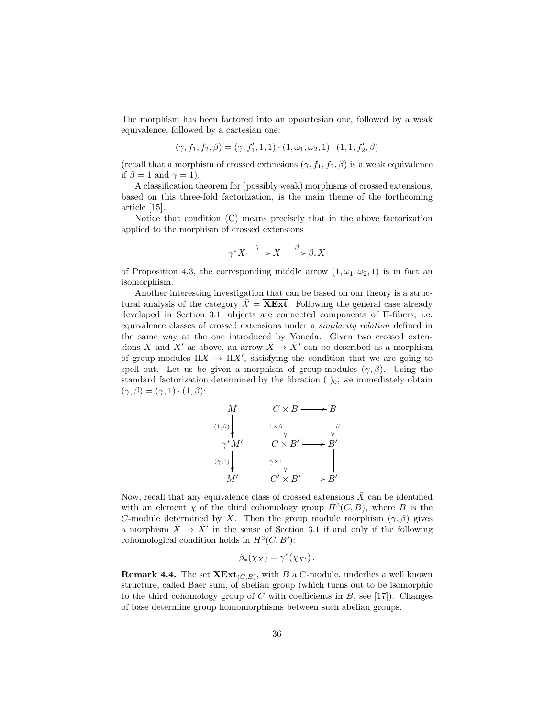The morphism has been factored into an opcartesian one, followed by a weak equivalence, followed by a cartesian one:

$$
(\gamma, f_1, f_2, \beta) = (\gamma, f'_1, 1, 1) \cdot (1, \omega_1, \omega_2, 1) \cdot (1, 1, f'_2, \beta)
$$

(recall that a morphism of crossed extensions  $(\gamma, f_1, f_2, \beta)$  is a weak equivalence if  $\beta = 1$  and  $\gamma = 1$ ).

A classification theorem for (possibly weak) morphisms of crossed extensions, based on this three-fold factorization, is the main theme of the forthcoming article [15].

Notice that condition (C) means precisely that in the above factorization applied to the morphism of crossed extensions

$$
\gamma^\ast X \overset{\hat{\gamma}}{\xrightarrow{\quad \ }} X \overset{\hat{\beta}}{\xrightarrow{\quad \ }} \beta_\ast X
$$

of Proposition 4.3, the corresponding middle arrow  $(1, \omega_1, \omega_2, 1)$  is in fact an isomorphism.

Another interesting investigation that can be based on our theory is a structural analysis of the category  $\mathcal{X} = \overline{\mathbf{X} \mathbf{Ext}}$ . Following the general case already developed in Section 3.1, objects are connected components of Π-fibers, i.e. equivalence classes of crossed extensions under a similarity relation defined in the same way as the one introduced by Yoneda. Given two crossed extensions X and X' as above, an arrow  $\bar{X} \to \bar{X}'$  can be described as a morphism of group-modules  $\Pi X \to \Pi X'$ , satisfying the condition that we are going to spell out. Let us be given a morphism of group-modules  $(\gamma, \beta)$ . Using the standard factorization determined by the fibration  $($ )<sub>0</sub>, we immediately obtain  $(\gamma, \beta) = (\gamma, 1) \cdot (1, \beta)$ :

$$
\begin{array}{ccc}\nM & C \times B \longrightarrow B \\
(1,\beta) & & 1 \times \beta & \beta \\
\gamma^* M' & & C \times B' \longrightarrow B' \\
(\gamma,1) & & \gamma \times 1 & \beta \\
M' & & C' \times B' \longrightarrow B'\n\end{array}
$$

Now, recall that any equivalence class of crossed extensions  $\bar{X}$  can be identified with an element  $\chi$  of the third cohomology group  $H^3(C, B)$ , where B is the C-module determined by X. Then the group module morphism  $(\gamma, \beta)$  gives a morphism  $\bar{X} \to \bar{X}'$  in the sense of Section 3.1 if and only if the following cohomological condition holds in  $H^3(C, B')$ :

$$
\beta_*(\chi_X) = \gamma^*(\chi_{X'}).
$$

**Remark 4.4.** The set  $XExt_{(C,B)}$ , with B a C-module, underlies a well known structure, called Baer sum, of abelian group (which turns out to be isomorphic to the third cohomology group of C with coefficients in  $B$ , see [17]). Changes of base determine group homomorphisms between such abelian groups.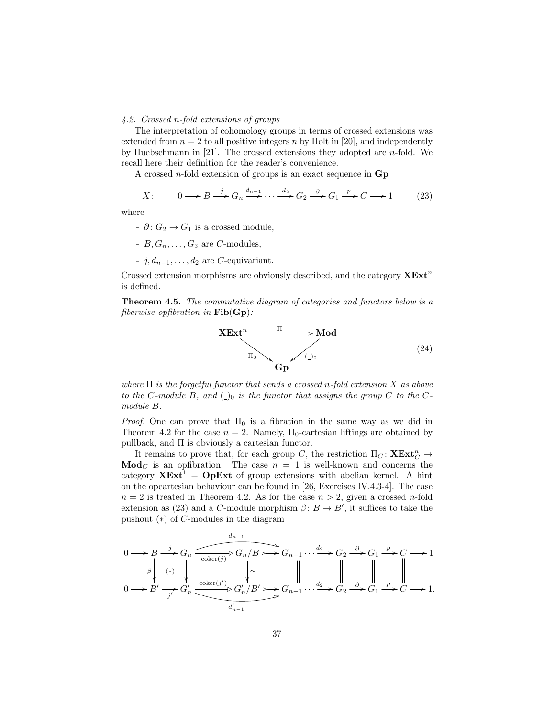#### 4.2. Crossed n-fold extensions of groups

The interpretation of cohomology groups in terms of crossed extensions was extended from  $n = 2$  to all positive integers n by Holt in [20], and independently by Huebschmann in  $[21]$ . The crossed extensions they adopted are *n*-fold. We recall here their definition for the reader's convenience.

A crossed *n*-fold extension of groups is an exact sequence in  $\mathbf{Gp}$ 

$$
X: \qquad 0 \longrightarrow B \stackrel{j}{\longrightarrow} G_n \stackrel{d_{n-1}}{\longrightarrow} \cdots \stackrel{d_2}{\longrightarrow} G_2 \stackrel{\partial}{\longrightarrow} G_1 \stackrel{p}{\longrightarrow} C \longrightarrow 1 \tag{23}
$$

where

- $\cdot$  ∂:  $G_2 \rightarrow G_1$  is a crossed module,
- $B, G_n, \ldots, G_3$  are C-modules,
- $\vdots$  *i*,  $d_{n-1}, \dots, d_2$  are *C*-equivariant.

Crossed extension morphisms are obviously described, and the category  $\mathbf{X} \mathbf{Ext}^n$ is defined.

Theorem 4.5. The commutative diagram of categories and functors below is a fiberwise opfibration in  $\text{Fib}(\text{Gp})$ :



where  $\Pi$  is the forgetful functor that sends a crossed n-fold extension  $X$  as above to the C-module B, and  $\bigcirc$  is the functor that assigns the group C to the Cmodule B.

*Proof.* One can prove that  $\Pi_0$  is a fibration in the same way as we did in Theorem 4.2 for the case  $n = 2$ . Namely,  $\Pi_0$ -cartesian liftings are obtained by pullback, and Π is obviously a cartesian functor.

It remains to prove that, for each group C, the restriction  $\Pi_C \colon \mathbf{XExt}^n_C \to$  $\mathbf{Mod}_{\mathbb{C}}$  is an opfibration. The case  $n = 1$  is well-known and concerns the category  $XExt^1 = OpExt$  of group extensions with abelian kernel. A hint on the opcartesian behaviour can be found in [26, Exercises IV.4.3-4]. The case  $n = 2$  is treated in Theorem 4.2. As for the case  $n > 2$ , given a crossed n-fold extension as (23) and a C-module morphism  $\beta: B \to B'$ , it suffices to take the pushout (∗) of C-modules in the diagram

 $\overline{d}$ 

$$
0 \longrightarrow B \xrightarrow{j} G_n \xrightarrow{\text{coker}(j)} G_n/B \longrightarrow G_{n-1} \cdots \xrightarrow{d_2} G_2 \xrightarrow{\partial} G_1 \xrightarrow{p} C \longrightarrow 1
$$
  
\n
$$
\downarrow
$$
\n
$$
0 \longrightarrow B' \xrightarrow{j'} G'_n \xrightarrow{\text{coker}(j')} G'_n/B' \longrightarrow G_{n-1} \cdots \xrightarrow{d_2} G_2 \xrightarrow{\partial} G_1 \xrightarrow{p} C \longrightarrow 1.
$$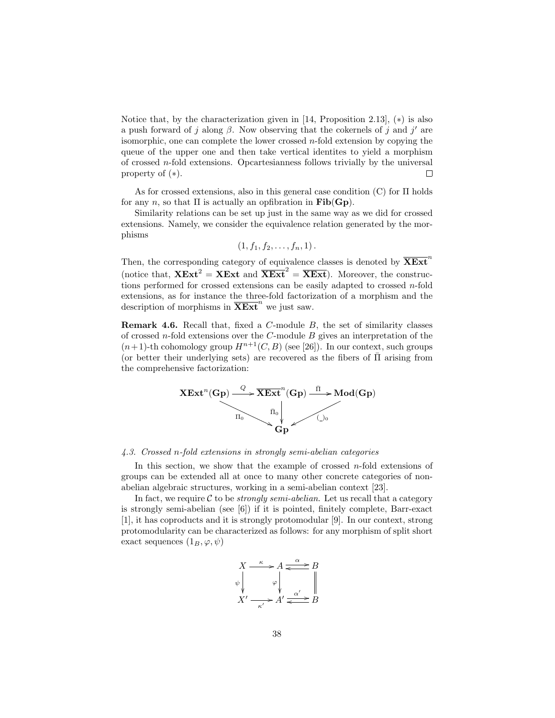Notice that, by the characterization given in [14, Proposition 2.13],  $(*)$  is also a push forward of j along  $\beta$ . Now observing that the cokernels of j and j' are isomorphic, one can complete the lower crossed  $n$ -fold extension by copying the queue of the upper one and then take vertical identites to yield a morphism of crossed  $n$ -fold extensions. Opcartesianness follows trivially by the universal property of (∗).  $\Box$ 

As for crossed extensions, also in this general case condition (C) for Π holds for any n, so that  $\Pi$  is actually an opfibration in  $\text{Fib}(\text{Gp})$ .

Similarity relations can be set up just in the same way as we did for crossed extensions. Namely, we consider the equivalence relation generated by the morphisms

$$
(1,f_1,f_2,\ldots,f_n,1).
$$

Then, the corresponding category of equivalence classes is denoted by  $\overline{\text{XExt}}^r$ (notice that,  $XExt^2 = XExt$  and  $\overline{XExt}^2 = \overline{XExt}$ ). Moreover, the constructions performed for crossed extensions can be easily adapted to crossed  $n$ -fold extensions, as for instance the three-fold factorization of a morphism and the description of morphisms in  $\overline{\mathbf{X}\mathbf{Ext}}^n$  we just saw.

**Remark 4.6.** Recall that, fixed a  $C$ -module  $B$ , the set of similarity classes of crossed *n*-fold extensions over the  $C$ -module  $B$  gives an interpretation of the  $(n+1)$ -th cohomology group  $H^{n+1}(C, B)$  (see [26]). In our context, such groups (or better their underlying sets) are recovered as the fibers of  $\overline{\Pi}$  arising from the comprehensive factorization:



#### 4.3. Crossed n-fold extensions in strongly semi-abelian categories

In this section, we show that the example of crossed  $n$ -fold extensions of groups can be extended all at once to many other concrete categories of nonabelian algebraic structures, working in a semi-abelian context [23].

In fact, we require  $C$  to be *strongly semi-abelian*. Let us recall that a category is strongly semi-abelian (see [6]) if it is pointed, finitely complete, Barr-exact [1], it has coproducts and it is strongly protomodular [9]. In our context, strong protomodularity can be characterized as follows: for any morphism of split short exact sequences  $(1_B, \varphi, \psi)$ 

$$
X \xrightarrow{\kappa} A \xrightarrow{\alpha} B
$$
  
\n
$$
\begin{array}{c}\n\downarrow \\
\downarrow \\
X' \xrightarrow{\kappa'} A' \xrightarrow{\alpha'} B \\
B\n\end{array}
$$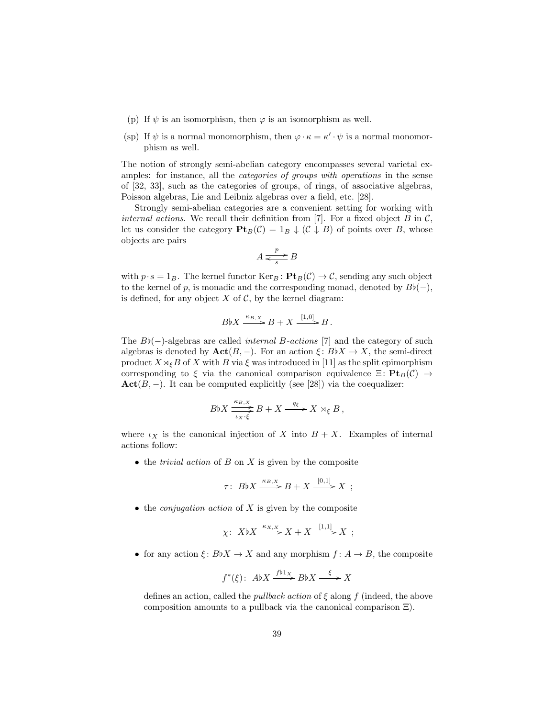- (p) If  $\psi$  is an isomorphism, then  $\varphi$  is an isomorphism as well.
- (sp) If  $\psi$  is a normal monomorphism, then  $\varphi \cdot \kappa = \kappa' \cdot \psi$  is a normal monomorphism as well.

The notion of strongly semi-abelian category encompasses several varietal examples: for instance, all the categories of groups with operations in the sense of [32, 33], such as the categories of groups, of rings, of associative algebras, Poisson algebras, Lie and Leibniz algebras over a field, etc. [28].

Strongly semi-abelian categories are a convenient setting for working with internal actions. We recall their definition from [7]. For a fixed object  $B$  in  $\mathcal{C}$ , let us consider the category  $\mathbf{Pt}_B(\mathcal{C}) = 1_B \downarrow (\mathcal{C} \downarrow B)$  of points over B, whose objects are pairs

$$
A \xrightarrow[s]{p} B
$$

with  $p \cdot s = 1_B$ . The kernel functor  $\text{Ker}_B : \textbf{Pt}_B(\mathcal{C}) \to \mathcal{C}$ , sending any such object to the kernel of p, is monadic and the corresponding monad, denoted by  $B\flat(-)$ , is defined, for any object  $X$  of  $C$ , by the kernel diagram:

$$
B\natural X \xrightarrow{\kappa_{B,X}} B + X \xrightarrow{[1,0]} B.
$$

The  $B\flat(-)$ -algebras are called *internal* B-actions [7] and the category of such algebras is denoted by  $\text{Act}(B, -)$ . For an action  $\xi : B\ni X \to X$ , the semi-direct product  $X \rtimes_{\xi} B$  of X with B via  $\xi$  was introduced in [11] as the split epimorphism corresponding to ξ via the canonical comparison equivalence  $\Xi\colon \mathbf{Pt}_B(\mathcal{C}) \to$  $\textbf{Act}(B, -)$ . It can be computed explicitly (see [28]) via the coequalizer:

$$
B\natural X \xrightarrow[t_X,\xi]{\kappa_{B,X}} B + X \xrightarrow{q_{\xi}} X \rtimes_{\xi} B,
$$

where  $\iota_X$  is the canonical injection of X into  $B + X$ . Examples of internal actions follow:

 $\bullet$  the *trivial action* of  $B$  on  $X$  is given by the composite

$$
\tau\colon B\flat X \xrightarrow{\kappa_{B,X}} B + X \xrightarrow{[0,1]} X ;
$$

 $\bullet$  the *conjugation action* of X is given by the composite

$$
\chi\colon X\flat X \xrightarrow{\kappa_{X,X}} X + X \xrightarrow{[1,1]} X ;
$$

• for any action  $\xi: B\ni X \to X$  and any morphism  $f: A \to B$ , the composite

$$
f^*(\xi): A\nflat X \xrightarrow{f\nflat_X} B\nflat X \xrightarrow{\xi} X
$$

defines an action, called the *pullback action* of  $\xi$  along f (indeed, the above composition amounts to a pullback via the canonical comparison Ξ).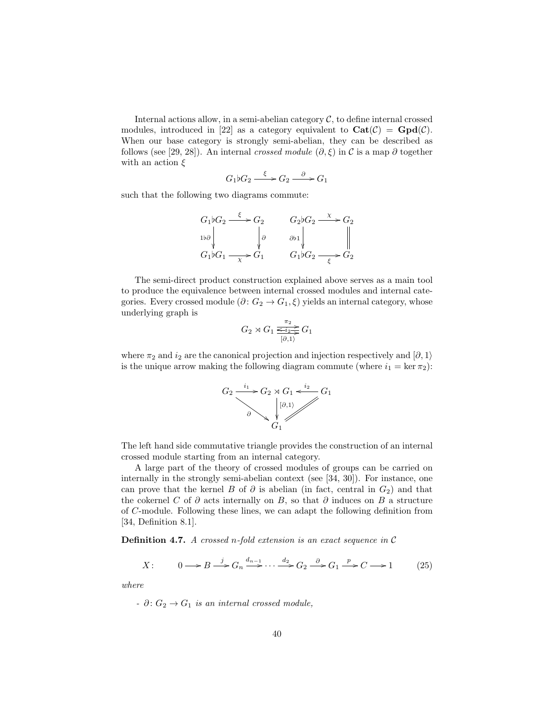Internal actions allow, in a semi-abelian category  $C$ , to define internal crossed modules, introduced in [22] as a category equivalent to  $\mathbf{Cat}(\mathcal{C}) = \mathbf{Gpd}(\mathcal{C})$ . When our base category is strongly semi-abelian, they can be described as follows (see [29, 28]). An internal *crossed module*  $(\partial, \xi)$  in C is a map  $\partial$  together with an action  $\xi$ 

G1[G<sup>2</sup> ξ /G<sup>2</sup> <sup>∂</sup> /G<sup>1</sup>

such that the following two diagrams commute:

$$
G_1 \flat G_2 \xrightarrow{\xi} G_2 \qquad G_2 \flat G_2 \xrightarrow{\chi} G_2
$$
  
\n
$$
\downarrow \delta \qquad \qquad \downarrow \delta \qquad \qquad \delta \flat \downarrow \qquad \qquad \parallel
$$
  
\n
$$
G_1 \flat G_1 \xrightarrow{\chi} G_1 \qquad G_1 \flat G_2 \xrightarrow{\xi} G_2
$$

The semi-direct product construction explained above serves as a main tool to produce the equivalence between internal crossed modules and internal categories. Every crossed module  $(\partial: G_2 \to G_1, \xi)$  yields an internal category, whose underlying graph is

$$
G_2 \rtimes G_1 \xrightarrow[0,1]{\pi_2} G_1
$$

where  $\pi_2$  and  $i_2$  are the canonical projection and injection respectively and  $\ket{\partial, 1}$ is the unique arrow making the following diagram commute (where  $i_1 = \ker \pi_2$ ):



The left hand side commutative triangle provides the construction of an internal crossed module starting from an internal category.

A large part of the theory of crossed modules of groups can be carried on internally in the strongly semi-abelian context (see [34, 30]). For instance, one can prove that the kernel B of  $\partial$  is abelian (in fact, central in  $G_2$ ) and that the cokernel C of  $\partial$  acts internally on B, so that  $\partial$  induces on B a structure of C-module. Following these lines, we can adapt the following definition from [34, Definition 8.1].

**Definition 4.7.** A crossed n-fold extension is an exact sequence in  $\mathcal{C}$ 

$$
X: \qquad 0 \longrightarrow B \stackrel{j}{\longrightarrow} G_n \stackrel{d_{n-1}}{\longrightarrow} \cdots \stackrel{d_2}{\longrightarrow} G_2 \stackrel{\partial}{\longrightarrow} G_1 \stackrel{p}{\longrightarrow} C \longrightarrow 1 \tag{25}
$$

where

- 
$$
\partial: G_2 \to G_1
$$
 is an internal crossed module,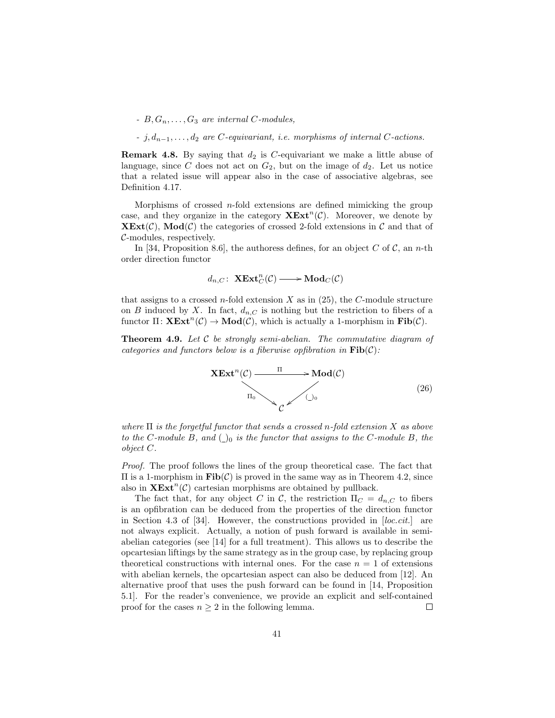-  $B, G_n, \ldots, G_3$  are internal C-modules,

 $-$  j,  $d_{n-1}, \ldots, d_2$  are C-equivariant, i.e. morphisms of internal C-actions.

**Remark 4.8.** By saying that  $d_2$  is C-equivariant we make a little abuse of language, since C does not act on  $G_2$ , but on the image of  $d_2$ . Let us notice that a related issue will appear also in the case of associative algebras, see Definition 4.17.

Morphisms of crossed  $n$ -fold extensions are defined mimicking the group case, and they organize in the category  $\mathbf{X} \mathbf{Ext}^n(\mathcal{C})$ . Moreover, we denote by  $\mathbf{XExt}(\mathcal{C})$ ,  $\mathbf{Mod}(\mathcal{C})$  the categories of crossed 2-fold extensions in  $\mathcal{C}$  and that of C-modules, respectively.

In [34, Proposition 8.6], the authoress defines, for an object C of C, an n-th order direction functor

$$
d_{n,C}\colon \operatorname{\mathbf{XExt}}^n_C(\mathcal{C})\longrightarrow \operatorname{\mathbf{Mod}}_C(\mathcal{C})
$$

that assigns to a crossed *n*-fold extension  $X$  as in (25), the  $C$ -module structure on B induced by X. In fact,  $d_{n,C}$  is nothing but the restriction to fibers of a functor  $\Pi: \mathbf{X} \mathbf{Ext}^n(\mathcal{C}) \to \mathbf{Mod}(\mathcal{C})$ , which is actually a 1-morphism in  $\mathbf{Fib}(\mathcal{C})$ .

**Theorem 4.9.** Let  $C$  be strongly semi-abelian. The commutative diagram of categories and functors below is a fiberwise opfibration in  $\text{Fib}(\mathcal{C})$ :



where  $\Pi$  is the forgetful functor that sends a crossed n-fold extension X as above to the C-module B, and  $\bigcirc$  is the functor that assigns to the C-module B, the object C.

Proof. The proof follows the lines of the group theoretical case. The fact that  $\Pi$  is a 1-morphism in  $\text{Fib}(\mathcal{C})$  is proved in the same way as in Theorem 4.2, since also in  $\mathbf{X} \mathbf{Ext}^n(\mathcal{C})$  cartesian morphisms are obtained by pullback.

The fact that, for any object C in C, the restriction  $\Pi_C = d_{n,C}$  to fibers is an opfibration can be deduced from the properties of the direction functor in Section 4.3 of [34]. However, the constructions provided in [loc.cit.] are not always explicit. Actually, a notion of push forward is available in semiabelian categories (see [14] for a full treatment). This allows us to describe the opcartesian liftings by the same strategy as in the group case, by replacing group theoretical constructions with internal ones. For the case  $n = 1$  of extensions with abelian kernels, the opcartesian aspect can also be deduced from [12]. An alternative proof that uses the push forward can be found in [14, Proposition 5.1]. For the reader's convenience, we provide an explicit and self-contained proof for the cases  $n \geq 2$  in the following lemma.  $\Box$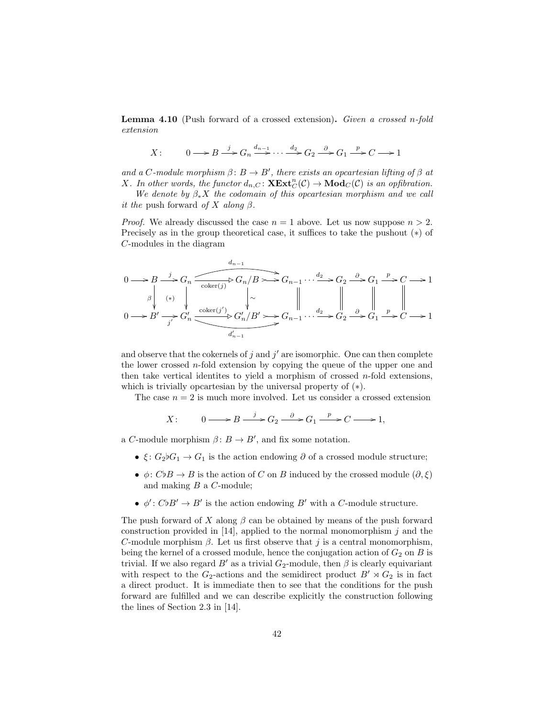Lemma 4.10 (Push forward of a crossed extension). Given a crossed n-fold extension

$$
X: \qquad 0 \longrightarrow B \stackrel{j}{\longrightarrow} G_n \stackrel{d_{n-1}}{\longrightarrow} \cdots \stackrel{d_2}{\longrightarrow} G_2 \stackrel{\partial}{\longrightarrow} G_1 \stackrel{p}{\longrightarrow} C \longrightarrow 1
$$

and a C-module morphism  $\beta: B \to B'$ , there exists an opcartesian lifting of  $\beta$  at X. In other words, the functor  $d_{n,C} \colon \mathbf{XExt}^n_C(\mathcal{C}) \to \mathbf{Mod}_C(\mathcal{C})$  is an opfibration.

We denote by  $\beta_* X$  the codomain of this opcartesian morphism and we call *it the* push forward *of* X along  $\beta$ .

*Proof.* We already discussed the case  $n = 1$  above. Let us now suppose  $n > 2$ . Precisely as in the group theoretical case, it suffices to take the pushout (∗) of C-modules in the diagram

$$
0 \longrightarrow B \longrightarrow G_n
$$
  
\n
$$
\downarrow
$$
  
\n
$$
\downarrow
$$
  
\n
$$
0 \longrightarrow B' \longrightarrow G_n
$$
  
\n
$$
\downarrow
$$
  
\n
$$
\downarrow
$$
  
\n
$$
\downarrow
$$
  
\n
$$
\downarrow
$$
  
\n
$$
\downarrow
$$
  
\n
$$
\downarrow
$$
  
\n
$$
\downarrow
$$
  
\n
$$
\downarrow
$$
  
\n
$$
\downarrow
$$
  
\n
$$
\downarrow
$$
  
\n
$$
\downarrow
$$
  
\n
$$
\downarrow
$$
  
\n
$$
\downarrow
$$
  
\n
$$
\downarrow
$$
  
\n
$$
\downarrow
$$
  
\n
$$
\downarrow
$$
  
\n
$$
\downarrow
$$
  
\n
$$
\downarrow
$$
  
\n
$$
\downarrow
$$
  
\n
$$
\downarrow
$$
  
\n
$$
\downarrow
$$
  
\n
$$
\downarrow
$$
  
\n
$$
\downarrow
$$
  
\n
$$
\downarrow
$$
  
\n
$$
\downarrow
$$
  
\n
$$
\downarrow
$$
  
\n
$$
\downarrow
$$
  
\n
$$
\downarrow
$$
  
\n
$$
\downarrow
$$
  
\n
$$
\downarrow
$$
  
\n
$$
\downarrow
$$
  
\n
$$
\downarrow
$$
  
\n
$$
\downarrow
$$
  
\n
$$
\downarrow
$$
  
\n
$$
\downarrow
$$
  
\n
$$
\downarrow
$$
  
\n
$$
\downarrow
$$
  
\n
$$
\downarrow
$$
  
\n
$$
\downarrow
$$
  
\n
$$
\downarrow
$$
  
\n
$$
\downarrow
$$
  
\n
$$
\downarrow
$$
  
\n
$$
\downarrow
$$
  
\n
$$
\downarrow
$$
  
\n
$$
\downarrow
$$
  
\n
$$
\downarrow
$$
  
\n
$$
\downarrow
$$
  
\n
$$
\downarrow
$$
  
\n
$$
\downarrow
$$
  
\n
$$
\downarrow
$$

and observe that the cokernels of  $j$  and  $j'$  are isomorphic. One can then complete the lower crossed n-fold extension by copying the queue of the upper one and then take vertical identites to yield a morphism of crossed  $n$ -fold extensions, which is trivially opcartesian by the universal property of  $(*)$ .

The case  $n = 2$  is much more involved. Let us consider a crossed extension

$$
X: \qquad 0 \longrightarrow B \xrightarrow{j} G_2 \xrightarrow{\partial} G_1 \xrightarrow{p} C \longrightarrow 1,
$$

a C-module morphism  $\beta: B \to B'$ , and fix some notation.

- $\xi: G_2\ni G_1 \to G_1$  is the action endowing  $\partial$  of a crossed module structure;
- $\phi: C \flat B \to B$  is the action of C on B induced by the crossed module  $(\partial, \xi)$ and making B a C-module;
- $\phi' : C \flat B' \to B'$  is the action endowing B' with a C-module structure.

The push forward of X along  $\beta$  can be obtained by means of the push forward construction provided in [14], applied to the normal monomorphism  $j$  and the C-module morphism  $\beta$ . Let us first observe that j is a central monomorphism, being the kernel of a crossed module, hence the conjugation action of  $G_2$  on B is trivial. If we also regard  $B'$  as a trivial  $G_2$ -module, then  $\beta$  is clearly equivariant with respect to the  $G_2$ -actions and the semidirect product  $B' \rtimes G_2$  is in fact a direct product. It is immediate then to see that the conditions for the push forward are fulfilled and we can describe explicitly the construction following the lines of Section 2.3 in [14].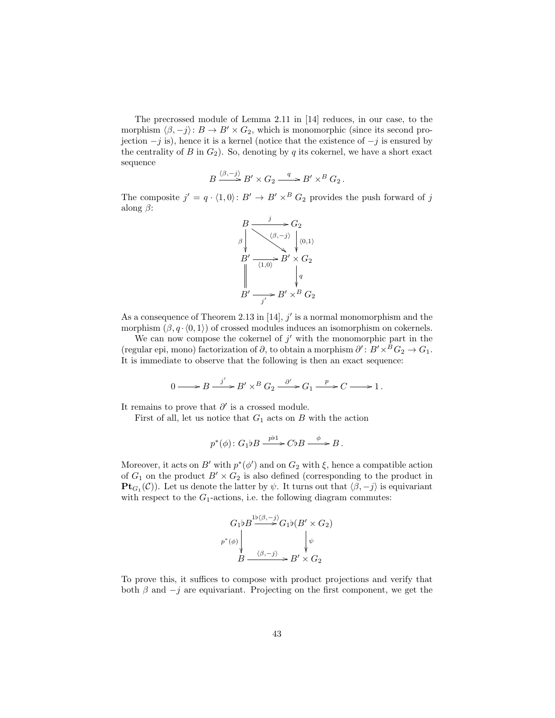The precrossed module of Lemma 2.11 in [14] reduces, in our case, to the morphism  $\langle \beta, -j \rangle: B \to B' \times G_2$ , which is monomorphic (since its second projection  $-j$  is), hence it is a kernel (notice that the existence of  $-j$  is ensured by the centrality of B in  $G_2$ ). So, denoting by q its cokernel, we have a short exact sequence

$$
B \xrightarrow{\langle \beta, -j \rangle} B' \times G_2 \xrightarrow{q} B' \times^B G_2.
$$

The composite  $j' = q \cdot \langle 1, 0 \rangle : B' \to B' \times^B G_2$  provides the push forward of j along  $\beta$ :



As a consequence of Theorem 2.13 in  $[14]$ ,  $j'$  is a normal monomorphism and the morphism  $(\beta, q \cdot \langle 0, 1 \rangle)$  of crossed modules induces an isomorphism on cokernels.

We can now compose the cokernel of  $j'$  with the monomorphic part in the (regular epi, mono) factorization of  $\partial$ , to obtain a morphism  $\partial' : B' \times^B G_2 \to G_1$ . It is immediate to observe that the following is then an exact sequence:

$$
0 \longrightarrow B \xrightarrow{j'} B' \times^B G_2 \xrightarrow{\partial'} G_1 \xrightarrow{p} C \longrightarrow 1.
$$

It remains to prove that  $\partial'$  is a crossed module.

First of all, let us notice that  $G_1$  acts on B with the action

$$
p^*(\phi): G_1 \flat B \xrightarrow{pb1} C \flat B \xrightarrow{\phi} B.
$$

Moreover, it acts on  $B'$  with  $p^*(\phi')$  and on  $G_2$  with  $\xi$ , hence a compatible action of  $G_1$  on the product  $B' \times G_2$  is also defined (corresponding to the product in **Pt**<sub> $G_1$ </sub>(C)). Let us denote the latter by  $\psi$ . It turns out that  $\langle \beta, -j \rangle$  is equivariant with respect to the  $G_1$ -actions, i.e. the following diagram commutes:

$$
G_1 b B \xrightarrow{\psi(\beta, -j)} G_1 b (B' \times G_2)
$$
\n
$$
p^*(\phi)
$$
\n
$$
B \xrightarrow{\langle \beta, -j \rangle} B' \times G_2
$$

To prove this, it suffices to compose with product projections and verify that both  $\beta$  and  $-j$  are equivariant. Projecting on the first component, we get the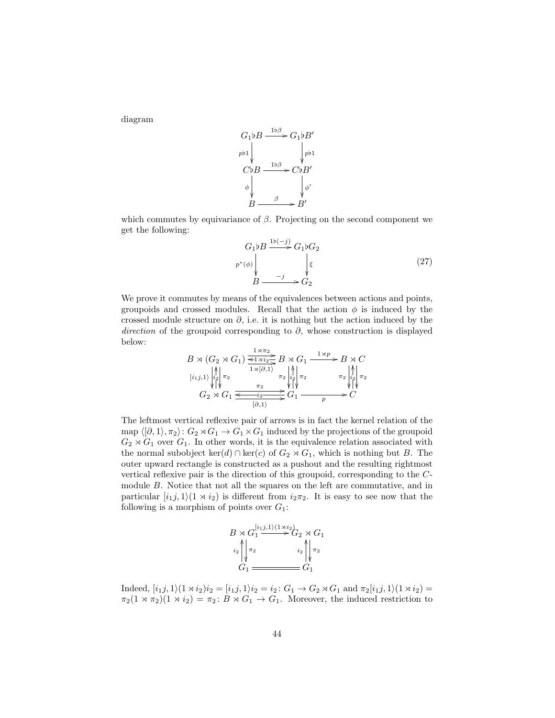diagram

$$
G_1 \flat B \xrightarrow{1 \flat \beta} G_1 \flat B'
$$
  
\n
$$
C \flat B \xrightarrow{1 \flat \beta} C \flat B'
$$
  
\n
$$
\phi \qquad \qquad \phi'
$$
  
\n
$$
B \xrightarrow{\beta} B'
$$

which commutes by equivariance of  $\beta$ . Projecting on the second component we get the following:

$$
G_1 \flat B \xrightarrow{\text{1b}(-j)} G_1 \flat G_2
$$
\n
$$
p^*(\phi) \downarrow \qquad \qquad \downarrow \xi
$$
\n
$$
B \xrightarrow{\qquad \qquad -j} G_2 \qquad (27)
$$

We prove it commutes by means of the equivalences between actions and points, groupoids and crossed modules. Recall that the action  $\phi$  is induced by the crossed module structure on  $\partial$ , i.e. it is nothing but the action induced by the direction of the groupoid corresponding to  $\partial$ , whose construction is displayed below:

B o (G<sup>2</sup> o G1) <sup>1</sup>oπ<sup>2</sup> / 1o[∂,1i / π<sup>2</sup> [i1j,1i B o G<sup>1</sup> π<sup>2</sup> π<sup>2</sup> 1op <sup>1</sup>o<sup>i</sup> / <sup>2</sup> o B o C π<sup>2</sup> π<sup>2</sup> G<sup>2</sup> o G<sup>1</sup> <sup>π</sup><sup>2</sup> / [∂,1i / i2 OO G<sup>1</sup> <sup>p</sup> i / <sup>2</sup> o i2 OO C i2 OO

The leftmost vertical reflexive pair of arrows is in fact the kernel relation of the map  $\langle \langle \partial, 1 \rangle, \pi_2 \rangle : G_2 \rtimes G_1 \to G_1 \times G_1$  induced by the projections of the groupoid  $G_2 \rtimes G_1$  over  $G_1$ . In other words, it is the equivalence relation associated with the normal subobject  $\ker(d) \cap \ker(c)$  of  $G_2 \rtimes G_1$ , which is nothing but B. The outer upward rectangle is constructed as a pushout and the resulting rightmost vertical reflexive pair is the direction of this groupoid, corresponding to the Cmodule B. Notice that not all the squares on the left are commutative, and in particular  $[i_1j, 1/(1 \times i_2)]$  is different from  $i_2\pi_2$ . It is easy to see now that the following is a morphism of points over  $G_1$ :

$$
B \rtimes G_1^{\{i_1, j, 1\}(1 \rtimes i_2)} G_2 \rtimes G_1
$$
  
\n
$$
\downarrow i_2 \qquad \qquad i_2 \qquad \qquad i_2 \qquad \qquad \downarrow \qquad \qquad \pi_2
$$
  
\n
$$
G_1 \longrightarrow G_1
$$

Indeed,  $[i_1j, 1\rangle(1 \times i_2)i_2 = [i_1j, 1\rangle i_2 = i_2 : G_1 \to G_2 \rtimes G_1$  and  $\pi_2[i_1j, 1\rangle(1 \rtimes i_2) =$  $\pi_2(1 \rtimes \pi_2)(1 \rtimes i_2) = \pi_2 \colon B \rtimes G_1 \to G_1$ . Moreover, the induced restriction to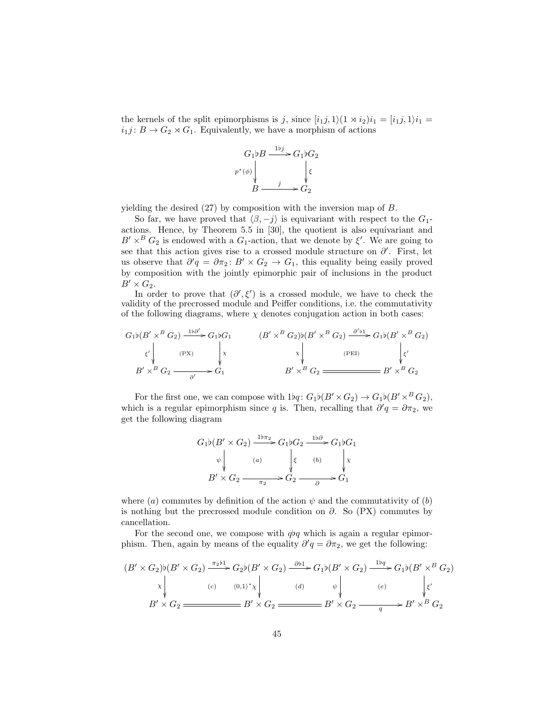the kernels of the split epimorphisms is j, since  $[i_1j, 1\rangle(1 \times i_2)i_1 = [i_1j, 1\rangle i_1 =$  $i_1j: B \to G_2 \rtimes G_1$ . Equivalently, we have a morphism of actions



yielding the desired (27) by composition with the inversion map of B.

So far, we have proved that  $\langle \beta, -j \rangle$  is equivariant with respect to the  $G_1$ actions. Hence, by Theorem 5.5 in [30], the quotient is also equivariant and  $B' \times^B G_2$  is endowed with a  $G_1$ -action, that we denote by  $\xi'$ . We are going to see that this action gives rise to a crossed module structure on  $\partial'$ . First, let us observe that  $\partial' q = \partial \pi_2 \colon B' \times G_2 \to G_1$ , this equality being easily proved by composition with the jointly epimorphic pair of inclusions in the product  $B' \times G_2$ .

In order to prove that  $(\partial', \xi')$  is a crossed module, we have to check the validity of the precrossed module and Peiffer conditions, i.e. the commutativity of the following diagrams, where  $\chi$  denotes conjugation action in both cases:

$$
G_1\nb(B' \times^B G_2) \xrightarrow{\text{1b}\partial' \sim} G_1\nbG_1
$$
\n
$$
\begin{array}{ccc}\n(B' \times^B G_2)\n\end{array}\n\begin{array}{ccc}\n(B' \times^B G_2)\n\end{array}\n\begin{array}{ccc}\n(B' \times^B G_2)\n\end{array}\n\begin{array}{ccc}\n(B' \times^B G_2) & \xrightarrow{\partial' \flat 1} G_1\n\end{array}\n\begin{array}{ccc}\n(B' \times^B G_2) & \xrightarrow{\text{1b}\n\end{array}\n\begin{array}{ccc}\n(B' \times^B G_2) & \xrightarrow{\text{1b}\n\end{array}\n\begin{array}{ccc}\n(B' \times^B G_2) & \xrightarrow{\text{1b}\n\end{array}\n\begin{array}{ccc}\n(B' \times^B G_2) & \xrightarrow{\text{1b}\n\end{array}\n\begin{array}{ccc}\n(B' \times^B G_2) & \xrightarrow{\text{1b}\n\end{array}\n\begin{array}{ccc}\n(B' \times^B G_2) & \xrightarrow{\text{1b}\n\end{array}\n\begin{array}{ccc}\n(B' \times^B G_2) & \xrightarrow{\text{1b}\n\end{array}\n\begin{array}{ccc}\n(B' \times^B G_2) & \xrightarrow{\text{1b}\n\end{array}\n\begin{array}{ccc}\n(B' \times^B G_2) & \xrightarrow{\text{1b}\n\end{array}\n\begin{array}{ccc}\n(B' \times^B G_2) & \xrightarrow{\text{1b}\n\end{array}\n\begin{array}{ccc}\n(B' \times^B G_2) & \xrightarrow{\text{1b}\n\end{array}\n\begin{array}{ccc}\n(B' \times^B G_2) & \xrightarrow{\text{1b}\n\end{array}\n\begin{array}{ccc}\n(B' \times^B G_2) & \xrightarrow{\text{1b}\n\end{array}\n\end{array}
$$

For the first one, we can compose with  $1bq: G_1b(B' \times G_2) \to G_1b(B' \times^B G_2)$ , which is a regular epimorphism since q is. Then, recalling that  $\partial' q = \partial \pi_2$ , we get the following diagram

$$
G_1 \flat (B' \times G_2) \xrightarrow{1 \flat \pi_2} G_1 \flat G_2 \xrightarrow{1 \flat \partial} G_1 \flat G_1
$$
  
\n
$$
\downarrow \qquad (a) \qquad \qquad \downarrow \xi \qquad (b) \qquad \downarrow \chi
$$
  
\n
$$
B' \times G_2 \xrightarrow{\pi_2} G_2 \xrightarrow{\partial} G_1
$$

where (a) commutes by definition of the action  $\psi$  and the commutativity of (b) is nothing but the precrossed module condition on  $\partial$ . So (PX) commutes by cancellation.

For the second one, we compose with  $q\bar{q}q$  which is again a regular epimorphism. Then, again by means of the equality  $\partial' q = \partial \pi_2$ , we get the following:

$$
(B' \times G_2) \flat (B' \times G_2) \xrightarrow{\pi_2 \flat 1} G_2 \flat (B' \times G_2) \xrightarrow{\partial \flat 1} G_1 \flat (B' \times G_2) \xrightarrow{1 \flat q} G_1 \flat (B' \times^B G_2)
$$
  
\n
$$
\times \downarrow \qquad (c) \qquad \langle 0,1 \rangle^* \times \downarrow \qquad (d) \qquad \psi \downarrow \qquad (e) \qquad \downarrow \varepsilon'
$$
  
\n
$$
B' \times G_2 \xrightarrow{B' \times G_2} B' \times G_2 \xrightarrow{q} B' \times^B G_2
$$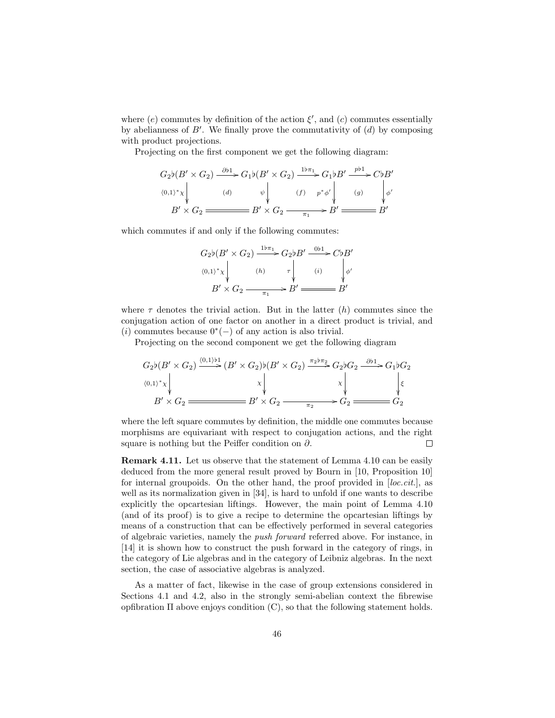where  $(e)$  commutes by definition of the action  $\xi'$ , and  $(c)$  commutes essentially by abelianness of  $B'$ . We finally prove the commutativity of  $(d)$  by composing with product projections.

Projecting on the first component we get the following diagram:

$$
G_2\nb(B' \times G_2) \xrightarrow{\partial b1} G_1\nb(B' \times G_2) \xrightarrow{1b\pi_1} G_1\nb B' \xrightarrow{p b1} C\nb B'
$$
  
\n
$$
\langle 0,1 \rangle^* \chi \Big|_{A'} \qquad\n(d) \qquad\n\psi \Big|_{B'} \qquad\n(f) \qquad\np^* \phi' \Big|_{B'} \qquad\n(g) \qquad\n\psi'
$$
  
\n
$$
B' \times G_2 \xrightarrow{\pi_1} B' \xrightarrow{\pi_1} B' \xrightarrow{\pi_2} B'
$$

which commutes if and only if the following commutes:

$$
G_2\nb(B' \times G_2) \xrightarrow{1b\pi_1} G_2\nb B' \xrightarrow{\quad 0b1} C\nb B'
$$
  
\n
$$
\langle 0,1 \rangle^* \times \begin{vmatrix} \n\langle 0,1 \rangle^* & \langle 0,1 \rangle^* & \langle 0,1 \rangle^* \langle 0,1 \rangle^* \langle 0,1 \rangle^* \langle 0,1 \rangle^* \langle 0,1 \rangle^* & \langle 0,1 \rangle^* \langle 0,1 \rangle^* \langle 0,1 \rangle^* \langle 0,1 \rangle^* \langle 0,1 \rangle^* \langle 0,1 \rangle^* \langle 0,1 \rangle^* \langle 0,1 \rangle^* \langle 0,1 \rangle^* \langle 0,1 \rangle^* \langle 0,1 \rangle^* \langle 0,1 \rangle^* \langle 0,1 \rangle^* \langle 0,1 \rangle^* \langle 0,1 \rangle^* \langle 0,1 \rangle^* \langle 0,1 \rangle^* \langle 0,1 \rangle^* \langle 0,1 \rangle^* \langle 0,1 \rangle^* \langle 0,1 \rangle^* \langle 0,1 \rangle^* \langle 0,1 \rangle^* \langle 0,1 \rangle^* \langle 0,1 \rangle^* \langle 0,1 \rangle^* \langle 0,1 \rangle^* \langle 0,1 \rangle^* \langle 0,1 \rangle^* \langle 0,1 \rangle^* \langle 0,1 \rangle^* \langle 0,1 \rangle^* \langle 0,1 \rangle^* \langle 0,1 \rangle^* \langle 0,1 \rangle^* \langle 0,1 \rangle^* \langle 0,1 \rangle^* \langle 0,1 \rangle^* \langle 0,1 \rangle^* \langle 0,1 \rangle^* \langle 0,1 \rangle^* \langle 0,1 \rangle^* \langle 0,1 \rangle^* \langle 0,1 \rangle^* \langle 0,1 \rangle^* \langle 0,1 \rangle^* \langle 0,1 \rangle^* \langle 0,1 \rangle^* \langle 0,1 \rangle^* \langle 0,1 \rangle^* \langle 0,1 \rangle^* \langle 0,1 \rangle^* \langle 0,1 \rangle^* \langle 0,1 \rangle^* \langle 0,1 \rangle^* \langle 0,1 \rangle^* \langle 0,1 \rangle^* \langle 0,1 \rangle^* \langle 0,1 \rangle^* \langle 0,1 \rangle^* \langle 0,1 \rangle^*
$$

where  $\tau$  denotes the trivial action. But in the latter  $(h)$  commutes since the conjugation action of one factor on another in a direct product is trivial, and (i) commutes because  $0^*(-)$  of any action is also trivial.

Projecting on the second component we get the following diagram

$$
G_2\nb(B' \times G_2) \xrightarrow{(0,1)\uparrow 1} (B' \times G_2)\n\begin{array}{c}\n\text{(0,1)} \downarrow \\
\downarrow \\
\downarrow \\
\downarrow \\
B' \times G_2 \xrightarrow{\pi_2} G_2 \xrightarrow{\pi_2 \uparrow \pi_2} G_2\n\end{array}\n\begin{array}{c}\nG_2\nb G_2 \xrightarrow{\partial \uparrow 1} G_1\n\end{array}\nG_2\n\begin{array}{c}\nG_1\n\downarrow G_2 \\
\downarrow \\
\downarrow \\
\downarrow \\
G_2 \xrightarrow{\pi_2} G_2 \xrightarrow{\pi_2} G_2\n\end{array}
$$

where the left square commutes by definition, the middle one commutes because morphisms are equivariant with respect to conjugation actions, and the right square is nothing but the Peiffer condition on  $\partial$ .  $\Box$ 

Remark 4.11. Let us observe that the statement of Lemma 4.10 can be easily deduced from the more general result proved by Bourn in [10, Proposition 10] for internal groupoids. On the other hand, the proof provided in [loc.cit.], as well as its normalization given in [34], is hard to unfold if one wants to describe explicitly the opcartesian liftings. However, the main point of Lemma 4.10 (and of its proof) is to give a recipe to determine the opcartesian liftings by means of a construction that can be effectively performed in several categories of algebraic varieties, namely the push forward referred above. For instance, in [14] it is shown how to construct the push forward in the category of rings, in the category of Lie algebras and in the category of Leibniz algebras. In the next section, the case of associative algebras is analyzed.

As a matter of fact, likewise in the case of group extensions considered in Sections 4.1 and 4.2, also in the strongly semi-abelian context the fibrewise opfibration Π above enjoys condition (C), so that the following statement holds.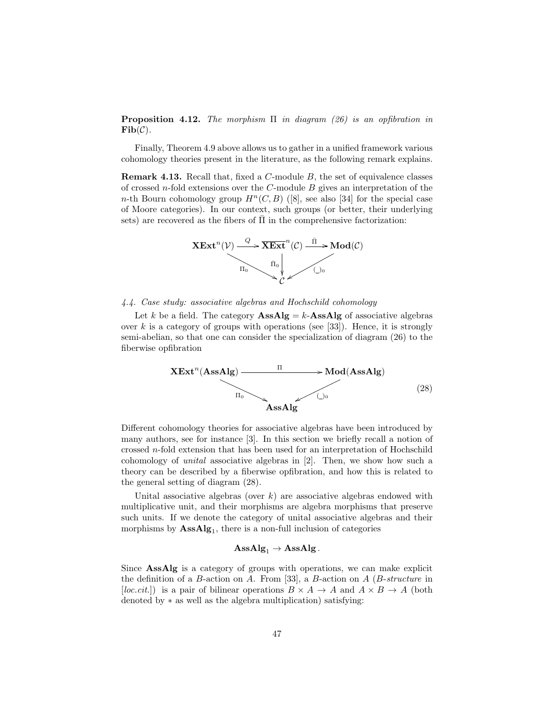**Proposition 4.12.** The morphism  $\Pi$  in diagram (26) is an opfibration in  $\mathbf{Fib}(\mathcal{C}).$ 

Finally, Theorem 4.9 above allows us to gather in a unified framework various cohomology theories present in the literature, as the following remark explains.

Remark 4.13. Recall that, fixed a C-module B, the set of equivalence classes of crossed  $n$ -fold extensions over the  $C$ -module  $B$  gives an interpretation of the n-th Bourn cohomology group  $H^n(C, B)$  ([8], see also [34] for the special case of Moore categories). In our context, such groups (or better, their underlying sets) are recovered as the fibers of  $\overline{\Pi}$  in the comprehensive factorization:



### 4.4. Case study: associative algebras and Hochschild cohomology

Let k be a field. The category  $\text{AssAlg} = k\text{-AssAlg}$  of associative algebras over  $k$  is a category of groups with operations (see [33]). Hence, it is strongly semi-abelian, so that one can consider the specialization of diagram (26) to the fiberwise opfibration



Different cohomology theories for associative algebras have been introduced by many authors, see for instance [3]. In this section we briefly recall a notion of crossed n-fold extension that has been used for an interpretation of Hochschild cohomology of unital associative algebras in [2]. Then, we show how such a theory can be described by a fiberwise opfibration, and how this is related to the general setting of diagram (28).

Unital associative algebras (over  $k$ ) are associative algebras endowed with multiplicative unit, and their morphisms are algebra morphisms that preserve such units. If we denote the category of unital associative algebras and their morphisms by  $\text{AssAlg}_1$ , there is a non-full inclusion of categories

# $\operatorname{AssAlg}_1 \to \operatorname{AssAlg}$  .

Since AssAlg is a category of groups with operations, we can make explicit the definition of a B-action on A. From [33], a B-action on  $A$  (B-structure in [loc.cit.]) is a pair of bilinear operations  $B \times A \to A$  and  $A \times B \to A$  (both denoted by ∗ as well as the algebra multiplication) satisfying: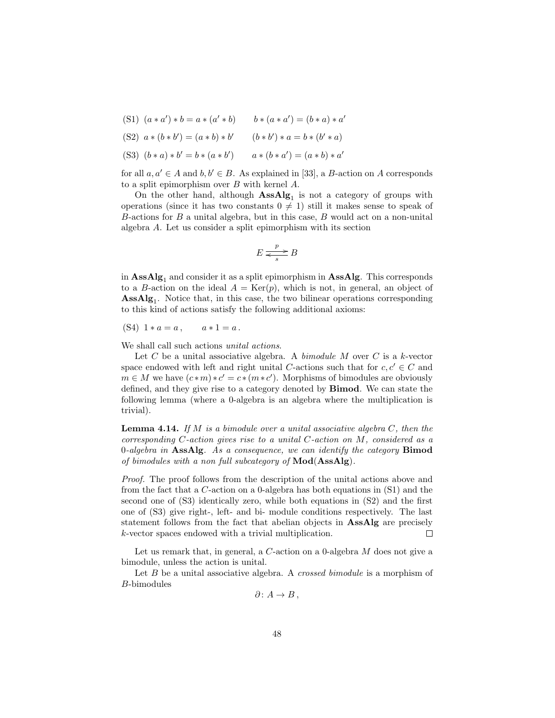- (S1)  $(a * a') * b = a * (a' * b)$   $b * (a * a') = (b * a) * a'$
- (S2)  $a * (b * b') = (a * b) * b'$   $(b * b') * a = b * (b' * a)$
- (S3)  $(b * a) * b' = b * (a * b')$ )  $a * (b * a') = (a * b) * a'$

for all  $a, a' \in A$  and  $b, b' \in B$ . As explained in [33], a B-action on A corresponds to a split epimorphism over B with kernel A.

On the other hand, although  $\text{AssAlg}_1$  is not a category of groups with operations (since it has two constants  $0 \neq 1$ ) still it makes sense to speak of  $B$ -actions for  $B$  a unital algebra, but in this case,  $B$  would act on a non-unital algebra A. Let us consider a split epimorphism with its section

$$
E \xrightarrow[s]{p} B
$$

in  $\text{AssAlg}_1$  and consider it as a split epimorphism in  $\text{AssAlg}$ . This corresponds to a B-action on the ideal  $A = \text{Ker}(p)$ , which is not, in general, an object of AssAlg<sup>1</sup> . Notice that, in this case, the two bilinear operations corresponding to this kind of actions satisfy the following additional axioms:

(S4)  $1 * a = a$ ,  $a * 1 = a$ .

We shall call such actions *unital actions*.

Let C be a unital associative algebra. A *bimodule M* over C is a k-vector space endowed with left and right unital C-actions such that for  $c, c' \in C$  and  $m \in M$  we have  $(c*m)*c' = c*(m*c')$ . Morphisms of bimodules are obviously defined, and they give rise to a category denoted by Bimod. We can state the following lemma (where a 0-algebra is an algebra where the multiplication is trivial).

**Lemma 4.14.** If  $M$  is a bimodule over a unital associative algebra  $C$ , then the corresponding  $C$ -action gives rise to a unital  $C$ -action on  $M$ , considered as a  $0$ -algebra in AssAlg. As a consequence, we can identify the category **Bimod** of bimodules with a non full subcategory of  $Mod(AssAlg)$ .

Proof. The proof follows from the description of the unital actions above and from the fact that a C-action on a 0-algebra has both equations in  $(S1)$  and the second one of (S3) identically zero, while both equations in (S2) and the first one of (S3) give right-, left- and bi- module conditions respectively. The last statement follows from the fact that abelian objects in AssAlg are precisely k-vector spaces endowed with a trivial multiplication.  $\Box$ 

Let us remark that, in general, a  $C$ -action on a 0-algebra  $M$  does not give a bimodule, unless the action is unital.

Let  $B$  be a unital associative algebra. A *crossed bimodule* is a morphism of B-bimodules

 $\partial: A \to B$ ,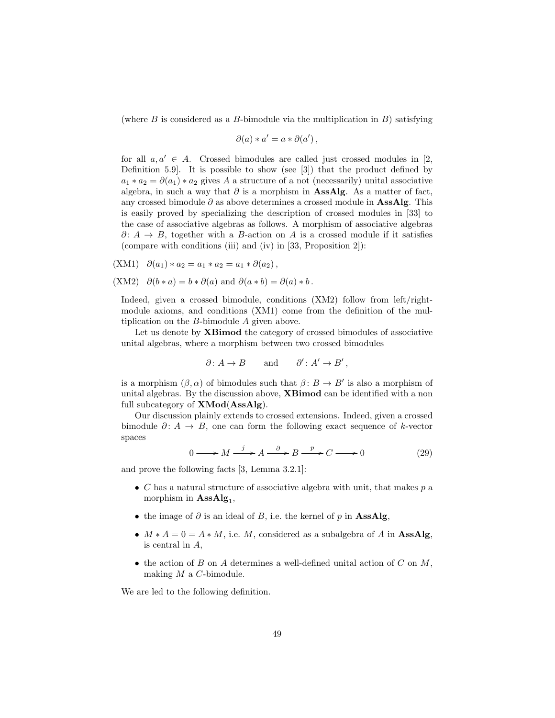(where  $B$  is considered as a  $B$ -bimodule via the multiplication in  $B$ ) satisfying

$$
\partial(a) * a' = a * \partial(a'),
$$

for all  $a, a' \in A$ . Crossed bimodules are called just crossed modules in [2, Definition 5.9]. It is possible to show (see [3]) that the product defined by  $a_1 * a_2 = \partial(a_1) * a_2$  gives A a structure of a not (necessarily) unital associative algebra, in such a way that  $\partial$  is a morphism in **AssAlg**. As a matter of fact, any crossed bimodule  $\partial$  as above determines a crossed module in **AssAlg**. This is easily proved by specializing the description of crossed modules in [33] to the case of associative algebras as follows. A morphism of associative algebras  $\partial: A \to B$ , together with a B-action on A is a crossed module if it satisfies (compare with conditions (iii) and (iv) in [33, Proposition 2]):

$$
(XM1) \quad \partial(a_1)*a_2 = a_1*a_2 = a_1*\partial(a_2),
$$

$$
(XM2)
$$
  $\partial(b*a) = b*\partial(a)$  and  $\partial(a*b) = \partial(a)*b$ .

Indeed, given a crossed bimodule, conditions (XM2) follow from left/rightmodule axioms, and conditions (XM1) come from the definition of the multiplication on the B-bimodule A given above.

Let us denote by **XBimod** the category of crossed bimodules of associative unital algebras, where a morphism between two crossed bimodules

$$
\partial: A \to B
$$
 and  $\partial': A' \to B'$ ,

is a morphism  $(\beta, \alpha)$  of bimodules such that  $\beta : B \to B'$  is also a morphism of unital algebras. By the discussion above, XBimod can be identified with a non full subcategory of XMod(AssAlg).

Our discussion plainly extends to crossed extensions. Indeed, given a crossed bimodule  $\partial: A \to B$ , one can form the following exact sequence of k-vector spaces

$$
0 \longrightarrow M \xrightarrow{j} A \xrightarrow{\partial} B \xrightarrow{p} C \longrightarrow 0
$$
 (29)

and prove the following facts [3, Lemma 3.2.1]:

- $C$  has a natural structure of associative algebra with unit, that makes  $p$  a morphism in  $\text{AssAlg}_1$ ,
- the image of  $\partial$  is an ideal of B, i.e. the kernel of p in AssAlg,
- $M * A = 0 = A * M$ , i.e. M, considered as a subalgebra of A in AssAlg, is central in A,
- the action of  $B$  on  $A$  determines a well-defined unital action of  $C$  on  $M$ , making  $M$  a  $C$ -bimodule.

We are led to the following definition.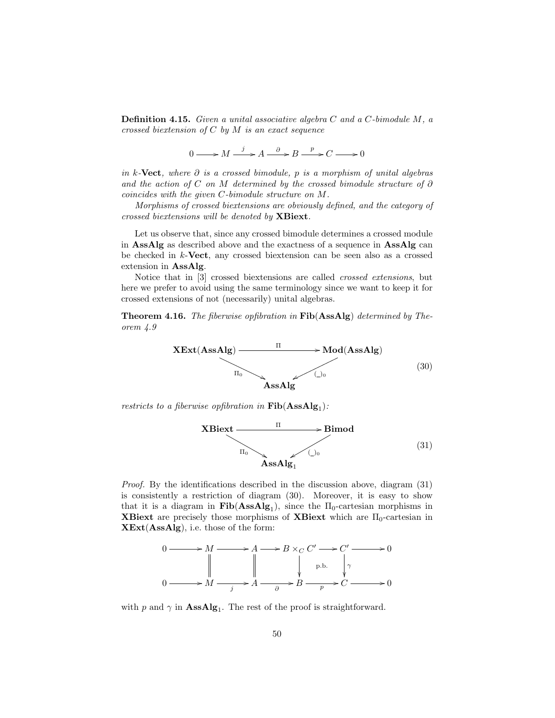**Definition 4.15.** Given a unital associative algebra  $C$  and a  $C$ -bimodule  $M$ , a crossed biextension of  $C$  by  $M$  is an exact sequence

 $0 \longrightarrow M \xrightarrow{j} A \xrightarrow{\partial} B \xrightarrow{p} C \longrightarrow 0$ 

in k-Vect, where  $\partial$  is a crossed bimodule, p is a morphism of unital algebras and the action of C on M determined by the crossed bimodule structure of  $\partial$ coincides with the given C-bimodule structure on M.

Morphisms of crossed biextensions are obviously defined, and the category of crossed biextensions will be denoted by XBiext.

Let us observe that, since any crossed bimodule determines a crossed module in AssAlg as described above and the exactness of a sequence in AssAlg can be checked in  $k$ -Vect, any crossed biextension can be seen also as a crossed extension in AssAlg.

Notice that in [3] crossed biextensions are called crossed extensions, but here we prefer to avoid using the same terminology since we want to keep it for crossed extensions of not (necessarily) unital algebras.

Theorem 4.16. The fiberwise opfibration in Fib(AssAlg) determined by Theorem 4.9

$$
XExt(AssAlg) \longrightarrow Mod(AssAlg)
$$
\n
$$
T_0 \longrightarrow Mod(AssAlg)
$$
\n(30)

restricts to a fiberwise opfibration in  $\text{Fib}(\text{AssAlg}_1)$ :



*Proof.* By the identifications described in the discussion above, diagram  $(31)$ is consistently a restriction of diagram (30). Moreover, it is easy to show that it is a diagram in  $\text{Fib}(AssAlg_1)$ , since the  $\Pi_0$ -cartesian morphisms in **XBiext** are precisely those morphisms of **XBiext** which are  $\Pi_0$ -cartesian in XExt(AssAlg), i.e. those of the form:



with p and  $\gamma$  in  $\text{AssAlg}_1$ . The rest of the proof is straightforward.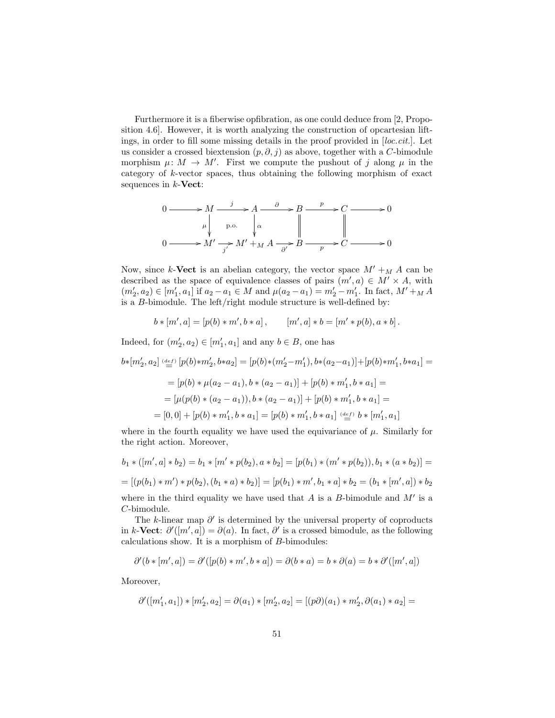Furthermore it is a fiberwise opfibration, as one could deduce from [2, Proposition 4.6]. However, it is worth analyzing the construction of opcartesian liftings, in order to fill some missing details in the proof provided in [loc.cit.]. Let us consider a crossed biextension  $(p, \partial, j)$  as above, together with a C-bimodule morphism  $\mu: M \to M'$ . First we compute the pushout of j along  $\mu$  in the category of k-vector spaces, thus obtaining the following morphism of exact sequences in  $k$ -Vect:

$$
0 \longrightarrow M \xrightarrow{j} A \xrightarrow{\partial} B \xrightarrow{p} C \longrightarrow 0
$$
  
\n
$$
\downarrow \qquad p.o. \qquad \downarrow \alpha \qquad \qquad \parallel \qquad \qquad \parallel
$$
  
\n
$$
0 \longrightarrow M' \xrightarrow{j'} M' + M A \xrightarrow{\partial'} B \xrightarrow{p} C \longrightarrow 0
$$

Now, since k-Vect is an abelian category, the vector space  $M' + M A$  can be described as the space of equivalence classes of pairs  $(m', a) \in M' \times A$ , with  $(m'_2, a_2) \in [m'_1, a_1]$  if  $a_2 - a_1 \in M$  and  $\mu(a_2 - a_1) = m'_2 - m'_1$ . In fact,  $M' + M$  A is a B-bimodule. The left/right module structure is well-defined by:

$$
b * [m', a] = [p(b) * m', b * a], \qquad [m', a] * b = [m' * p(b), a * b].
$$

Indeed, for  $(m'_2, a_2) \in [m'_1, a_1]$  and any  $b \in B$ , one has

$$
b*[m'_2, a_2] \stackrel{(def)}{=} [p(b)*m'_2, b*a_2] = [p(b)*(m'_2 - m'_1), b*(a_2 - a_1)] + [p(b)*m'_1, b*a_1] =
$$
  
\n
$$
= [p(b)*\mu(a_2 - a_1), b*(a_2 - a_1)] + [p(b)*m'_1, b*a_1] =
$$
  
\n
$$
= [\mu(p(b)*(a_2 - a_1)), b*(a_2 - a_1)] + [p(b)*m'_1, b*a_1] =
$$
  
\n
$$
= [0, 0] + [p(b)*m'_1, b*a_1] = [p(b)*m'_1, b*a_1] \stackrel{(def)}{=} b*[m'_1, a_1]
$$

where in the fourth equality we have used the equivariance of  $\mu$ . Similarly for the right action. Moreover,

$$
b_1 * ([m', a] * b_2) = b_1 * [m' * p(b_2), a * b_2] = [p(b_1) * (m' * p(b_2)), b_1 * (a * b_2)] =
$$
  
= 
$$
[(p(b_1) * m') * p(b_2), (b_1 * a) * b_2)] = [p(b_1) * m', b_1 * a] * b_2 = (b_1 * [m', a]) * b_2
$$
  
where in the third equality we have used that A is a B-bimodule and M' is a

is a C-bimodule.

The k-linear map  $\partial'$  is determined by the universal property of coproducts in k-Vect:  $\partial'([m', a]) = \partial(a)$ . In fact,  $\partial'$  is a crossed bimodule, as the following calculations show. It is a morphism of B-bimodules:

$$
\partial'(b* [m',a]) = \partial'([p(b)*m',b*a]) = \partial(b*a) = b*\partial(a) = b*\partial'([m',a])
$$

Moreover,

$$
\partial'([m'_1,a_1]) * [m'_2,a_2] = \partial(a_1) * [m'_2,a_2] = [(p\partial)(a_1) * m'_2, \partial(a_1) * a_2] =
$$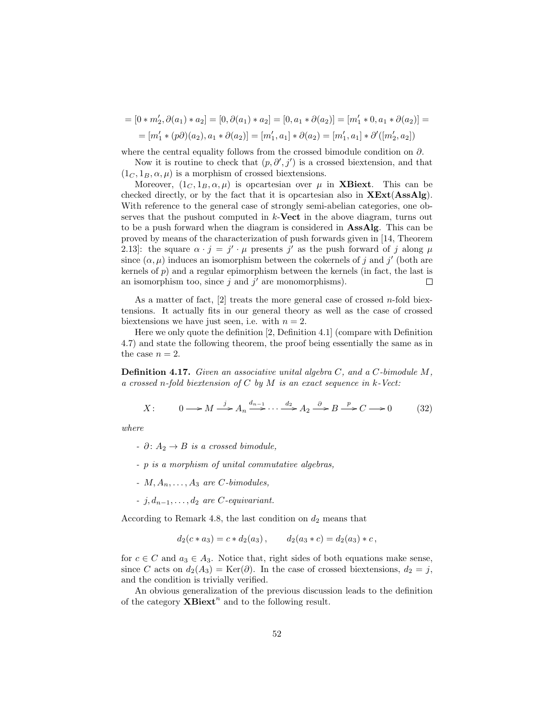$$
= [0 * m'_2, \partial(a_1) * a_2] = [0, \partial(a_1) * a_2] = [0, a_1 * \partial(a_2)] = [m'_1 * 0, a_1 * \partial(a_2)] =
$$
  
= 
$$
[m'_1 * (p\partial)(a_2), a_1 * \partial(a_2)] = [m'_1, a_1] * \partial(a_2) = [m'_1, a_1] * \partial'([m'_2, a_2])
$$

where the central equality follows from the crossed bimodule condition on  $\partial$ .

Now it is routine to check that  $(p, \partial', j')$  is a crossed biextension, and that  $(1<sub>C</sub>, 1<sub>B</sub>, \alpha, \mu)$  is a morphism of crossed biextensions.

Moreover,  $(1_C, 1_B, \alpha, \mu)$  is opcartesian over  $\mu$  in **XBiext**. This can be checked directly, or by the fact that it is opcartesian also in  $XExt(AssAlg)$ . With reference to the general case of strongly semi-abelian categories, one observes that the pushout computed in  $k$ -Vect in the above diagram, turns out to be a push forward when the diagram is considered in AssAlg. This can be proved by means of the characterization of push forwards given in [14, Theorem 2.13: the square  $\alpha \cdot j = j' \cdot \mu$  presents j' as the push forward of j along  $\mu$ since  $(\alpha, \mu)$  induces an isomorphism between the cokernels of j and j' (both are kernels of  $p$ ) and a regular epimorphism between the kernels (in fact, the last is an isomorphism too, since  $j$  and  $j'$  are monomorphisms).  $\Box$ 

As a matter of fact,  $[2]$  treats the more general case of crossed *n*-fold biextensions. It actually fits in our general theory as well as the case of crossed biextensions we have just seen, i.e. with  $n = 2$ .

Here we only quote the definition [2, Definition 4.1] (compare with Definition 4.7) and state the following theorem, the proof being essentially the same as in the case  $n = 2$ .

Definition 4.17. Given an associative unital algebra C, and a C-bimodule M, a crossed n-fold biextension of  $C$  by  $M$  is an exact sequence in  $k$ -Vect:

$$
X: \qquad 0 \longrightarrow M \stackrel{j}{\longrightarrow} A_n \stackrel{d_{n-1}}{\longrightarrow} \cdots \stackrel{d_2}{\longrightarrow} A_2 \stackrel{\partial}{\longrightarrow} B \stackrel{p}{\longrightarrow} C \longrightarrow 0 \tag{32}
$$

where

- $\partial : A_2 \rightarrow B$  is a crossed bimodule,
- p is a morphism of unital commutative algebras,
- $M, A_n, \ldots, A_3$  are C-bimodules,
- $\vdots$  *i*,  $d_{n-1}, \dots, d_2$  are *C*-equivariant.

According to Remark 4.8, the last condition on  $d_2$  means that

$$
d_2(c * a_3) = c * d_2(a_3),
$$
  $d_2(a_3 * c) = d_2(a_3) * c,$ 

for  $c \in C$  and  $a_3 \in A_3$ . Notice that, right sides of both equations make sense, since C acts on  $d_2(A_3) = \text{Ker}(\partial)$ . In the case of crossed biextensions,  $d_2 = j$ , and the condition is trivially verified.

An obvious generalization of the previous discussion leads to the definition of the category  $\mathbf{X} \mathbf{B} \mathbf{i} \mathbf{e} \mathbf{x} \mathbf{t}^n$  and to the following result.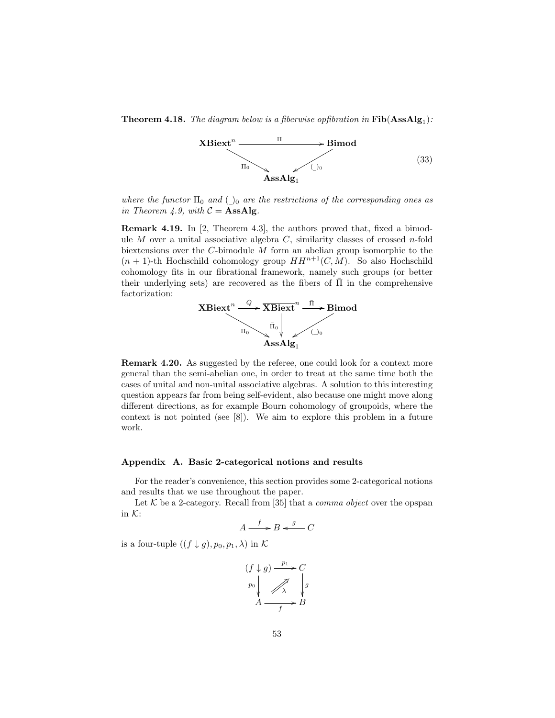**Theorem 4.18.** The diagram below is a fiberwise opfibration in  $\text{Fib}(\text{AssAlg}_1)$ :



where the functor  $\Pi_0$  and  $\Lambda_0$  are the restrictions of the corresponding ones as in Theorem 4.9, with  $C =$  **AssAlg**.

Remark 4.19. In [2, Theorem 4.3], the authors proved that, fixed a bimodule  $M$  over a unital associative algebra  $C$ , similarity classes of crossed n-fold biextensions over the C-bimodule M form an abelian group isomorphic to the  $(n + 1)$ -th Hochschild cohomology group  $HH^{n+1}(C, M)$ . So also Hochschild cohomology fits in our fibrational framework, namely such groups (or better their underlying sets) are recovered as the fibers of  $\Pi$  in the comprehensive factorization:



Remark 4.20. As suggested by the referee, one could look for a context more general than the semi-abelian one, in order to treat at the same time both the cases of unital and non-unital associative algebras. A solution to this interesting question appears far from being self-evident, also because one might move along different directions, as for example Bourn cohomology of groupoids, where the context is not pointed (see [8]). We aim to explore this problem in a future work.

### Appendix A. Basic 2-categorical notions and results

For the reader's convenience, this section provides some 2-categorical notions and results that we use throughout the paper.

Let  $K$  be a 2-category. Recall from [35] that a *comma object* over the opspan in  $K$ :

$$
A \xrightarrow{f} B \xleftarrow{g} C
$$

is a four-tuple  $((f \downarrow g), p_0, p_1, \lambda)$  in K

$$
(f \downarrow g) \xrightarrow{p_1} C
$$
  
\n $p_0$   
\n $A \xrightarrow{f} B$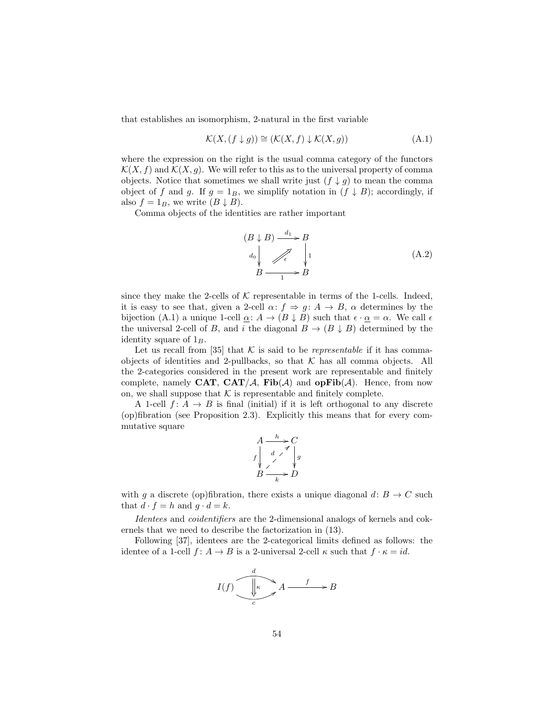that establishes an isomorphism, 2-natural in the first variable

$$
\mathcal{K}(X,(f \downarrow g)) \cong (\mathcal{K}(X,f) \downarrow \mathcal{K}(X,g))
$$
\n(A.1)

where the expression on the right is the usual comma category of the functors  $\mathcal{K}(X, f)$  and  $\mathcal{K}(X, g)$ . We will refer to this as to the universal property of comma objects. Notice that sometimes we shall write just  $(f \downarrow g)$  to mean the comma object of f and g. If  $g = 1_B$ , we simplify notation in  $(f \downarrow B)$ ; accordingly, if also  $f = 1_B$ , we write  $(B \downarrow B)$ .

Comma objects of the identities are rather important

$$
(B \downarrow B) \xrightarrow{d_1} B
$$
  
\n
$$
d_0 \downarrow \qquad \qquad d_2 \downarrow \qquad \qquad (A.2)
$$
  
\n
$$
B \xrightarrow{1} B
$$

since they make the 2-cells of  $K$  representable in terms of the 1-cells. Indeed, it is easy to see that, given a 2-cell  $\alpha: f \Rightarrow g: A \rightarrow B$ ,  $\alpha$  determines by the bijection (A.1) a unique 1-cell  $\underline{\alpha}: A \to (B \downarrow B)$  such that  $\epsilon \cdot \underline{\alpha} = \alpha$ . We call  $\epsilon$ the universal 2-cell of B, and i the diagonal  $B \to (B \downarrow B)$  determined by the identity square of  $1_B$ .

Let us recall from [35] that  $K$  is said to be *representable* if it has commaobjects of identities and 2-pullbacks, so that  $K$  has all comma objects. All the 2-categories considered in the present work are representable and finitely complete, namely CAT, CAT/A, Fib(A) and opFib(A). Hence, from now on, we shall suppose that  $K$  is representable and finitely complete.

A 1-cell  $f: A \rightarrow B$  is final (initial) if it is left orthogonal to any discrete (op)fibration (see Proposition 2.3). Explicitly this means that for every commutative square

$$
A \xrightarrow{h} C
$$
  
\n
$$
f \downarrow A
$$
  
\n
$$
B \xrightarrow{k} D
$$

with q a discrete (op)fibration, there exists a unique diagonal  $d: B \to C$  such that  $d \cdot f = h$  and  $g \cdot d = k$ .

Identees and coidentifiers are the 2-dimensional analogs of kernels and cokernels that we need to describe the factorization in (13).

Following [37], identees are the 2-categorical limits defined as follows: the identee of a 1-cell  $f: A \to B$  is a 2-universal 2-cell  $\kappa$  such that  $f \cdot \kappa = id$ .

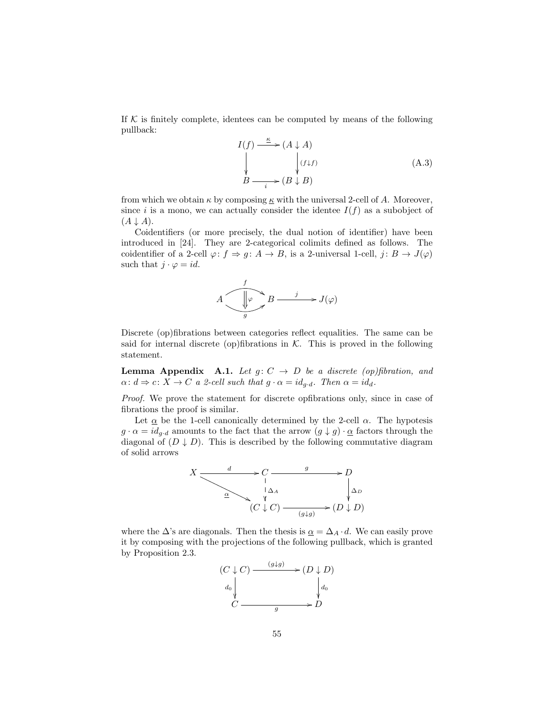If  $K$  is finitely complete, identees can be computed by means of the following pullback:

$$
I(f) \xrightarrow{\kappa} (A \downarrow A)
$$
  
\n
$$
\downarrow \qquad \qquad \downarrow (f \downarrow f)
$$
  
\n
$$
B \xrightarrow{i} (B \downarrow B)
$$
 (A.3)

from which we obtain  $\kappa$  by composing  $\underline{\kappa}$  with the universal 2-cell of A. Moreover, since i is a mono, we can actually consider the identee  $I(f)$  as a subobject of  $(A \downarrow A).$ 

Coidentifiers (or more precisely, the dual notion of identifier) have been introduced in [24]. They are 2-categorical colimits defined as follows. The coidentifier of a 2-cell  $\varphi: f \Rightarrow g: A \to B$ , is a 2-universal 1-cell,  $j: B \to J(\varphi)$ such that  $j \cdot \varphi = id$ .



Discrete (op)fibrations between categories reflect equalities. The same can be said for internal discrete (op)fibrations in  $K$ . This is proved in the following statement.

**Lemma Appendix A.1.** Let  $g: C \rightarrow D$  be a discrete (op)fibration, and  $\alpha: d \Rightarrow c: X \to C$  a 2-cell such that  $g \cdot \alpha = id_{g \cdot d}$ . Then  $\alpha = id_d$ .

Proof. We prove the statement for discrete opfibrations only, since in case of fibrations the proof is similar.

Let  $\alpha$  be the 1-cell canonically determined by the 2-cell  $\alpha$ . The hypotesis  $g \cdot \alpha = id_{q \cdot d}$  amounts to the fact that the arrow  $(g \downarrow g) \cdot \underline{\alpha}$  factors through the diagonal of  $(D \downarrow D)$ . This is described by the following commutative diagram of solid arrows



where the  $\Delta$ 's are diagonals. Then the thesis is  $\underline{\alpha} = \Delta_A \cdot d$ . We can easily prove it by composing with the projections of the following pullback, which is granted by Proposition 2.3.

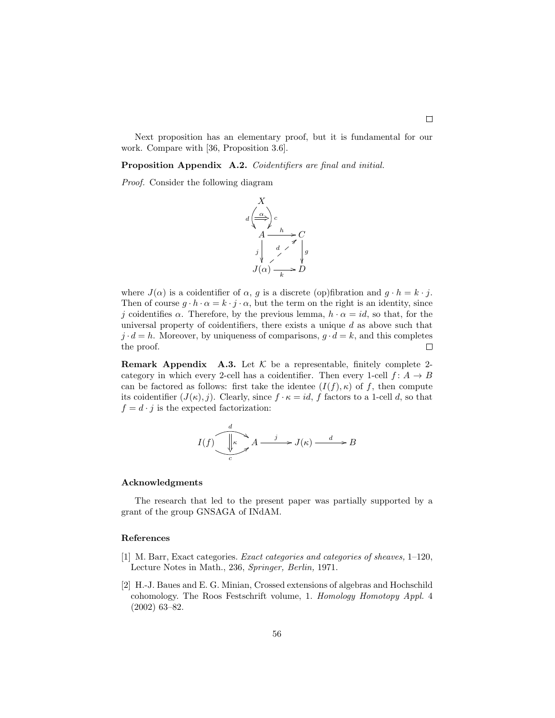Next proposition has an elementary proof, but it is fundamental for our work. Compare with [36, Proposition 3.6].

Proposition Appendix A.2. Coidentifiers are final and initial.

Proof. Consider the following diagram



where  $J(\alpha)$  is a coidentifier of  $\alpha$ , g is a discrete (op)fibration and  $g \cdot h = k \cdot j$ . Then of course  $g \cdot h \cdot \alpha = k \cdot j \cdot \alpha$ , but the term on the right is an identity, since j coidentifies  $\alpha$ . Therefore, by the previous lemma,  $h \cdot \alpha = id$ , so that, for the universal property of coidentifiers, there exists a unique  $d$  as above such that  $j \cdot d = h$ . Moreover, by uniqueness of comparisons,  $q \cdot d = k$ , and this completes the proof.  $\Box$ 

**Remark Appendix A.3.** Let  $K$  be a representable, finitely complete 2category in which every 2-cell has a coidentifier. Then every 1-cell  $f: A \rightarrow B$ can be factored as follows: first take the identee  $(I(f), \kappa)$  of f, then compute its coidentifier  $(J(\kappa), j)$ . Clearly, since  $f \cdot \kappa = id$ , f factors to a 1-cell d, so that  $f = d \cdot j$  is the expected factorization:

$$
I(f)\underbrace{\underbrace{\begin{array}{c}d\\ \downarrow \\ c\end{array}}}_{c}A \xrightarrow{j} J(\kappa) \xrightarrow{d} B
$$

#### Acknowledgments

The research that led to the present paper was partially supported by a grant of the group GNSAGA of INdAM.

### References

- [1] M. Barr, Exact categories. Exact categories and categories of sheaves, 1–120, Lecture Notes in Math., 236, Springer, Berlin, 1971.
- [2] H.-J. Baues and E. G. Minian, Crossed extensions of algebras and Hochschild cohomology. The Roos Festschrift volume, 1. Homology Homotopy Appl. 4 (2002) 63–82.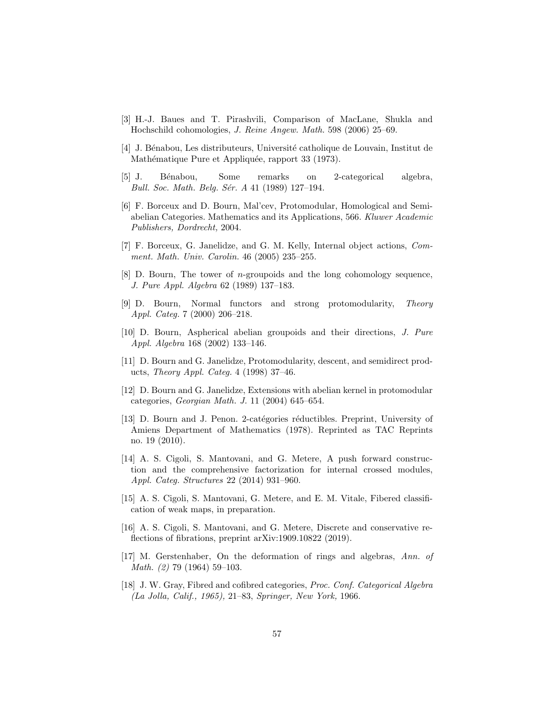- [3] H.-J. Baues and T. Pirashvili, Comparison of MacLane, Shukla and Hochschild cohomologies, J. Reine Angew. Math. 598 (2006) 25–69.
- [4] J. Bénabou, Les distributeurs, Université catholique de Louvain, Institut de Mathématique Pure et Appliquée, rapport 33 (1973).
- [5] J. B´enabou, Some remarks on 2-categorical algebra, Bull. Soc. Math. Belg. Sér. A 41 (1989) 127-194.
- [6] F. Borceux and D. Bourn, Mal'cev, Protomodular, Homological and Semiabelian Categories. Mathematics and its Applications, 566. Kluwer Academic Publishers, Dordrecht, 2004.
- [7] F. Borceux, G. Janelidze, and G. M. Kelly, Internal object actions, Comment. Math. Univ. Carolin. 46 (2005) 235–255.
- [8] D. Bourn, The tower of n-groupoids and the long cohomology sequence, J. Pure Appl. Algebra 62 (1989) 137–183.
- [9] D. Bourn, Normal functors and strong protomodularity, Theory Appl. Categ. 7 (2000) 206–218.
- [10] D. Bourn, Aspherical abelian groupoids and their directions, J. Pure Appl. Algebra 168 (2002) 133–146.
- [11] D. Bourn and G. Janelidze, Protomodularity, descent, and semidirect products, Theory Appl. Categ. 4 (1998) 37–46.
- [12] D. Bourn and G. Janelidze, Extensions with abelian kernel in protomodular categories, Georgian Math. J. 11 (2004) 645–654.
- [13] D. Bourn and J. Penon. 2-catégories réductibles. Preprint, University of Amiens Department of Mathematics (1978). Reprinted as TAC Reprints no. 19 (2010).
- [14] A. S. Cigoli, S. Mantovani, and G. Metere, A push forward construction and the comprehensive factorization for internal crossed modules, Appl. Categ. Structures 22 (2014) 931–960.
- [15] A. S. Cigoli, S. Mantovani, G. Metere, and E. M. Vitale, Fibered classification of weak maps, in preparation.
- [16] A. S. Cigoli, S. Mantovani, and G. Metere, Discrete and conservative reflections of fibrations, preprint arXiv:1909.10822 (2019).
- [17] M. Gerstenhaber, On the deformation of rings and algebras, Ann. of Math. (2) 79 (1964) 59–103.
- [18] J. W. Gray, Fibred and cofibred categories, Proc. Conf. Categorical Algebra (La Jolla, Calif., 1965), 21–83, Springer, New York, 1966.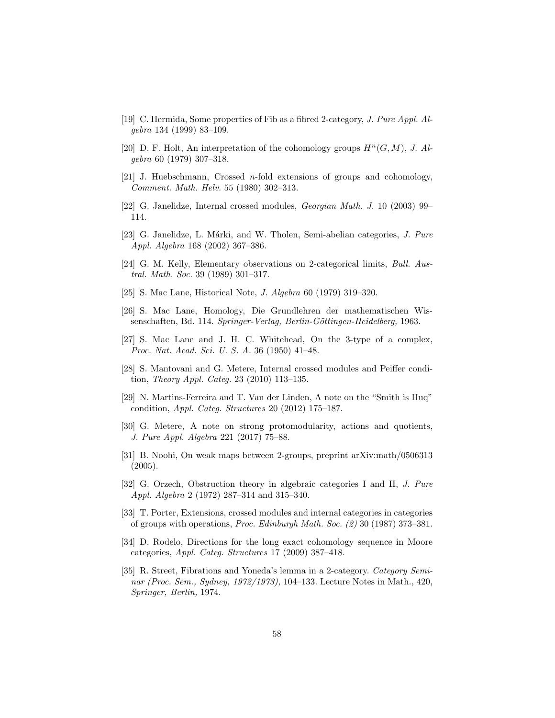- [19] C. Hermida, Some properties of Fib as a fibred 2-category, J. Pure Appl. Algebra 134 (1999) 83–109.
- [20] D. F. Holt, An interpretation of the cohomology groups  $H^n(G, M)$ , J. Algebra 60 (1979) 307–318.
- [21] J. Huebschmann, Crossed *n*-fold extensions of groups and cohomology, Comment. Math. Helv. 55 (1980) 302–313.
- [22] G. Janelidze, Internal crossed modules, Georgian Math. J. 10 (2003) 99– 114.
- [23] G. Janelidze, L. Márki, and W. Tholen, Semi-abelian categories, J. Pure Appl. Algebra 168 (2002) 367–386.
- [24] G. M. Kelly, Elementary observations on 2-categorical limits, *Bull. Aus*tral. Math. Soc. 39 (1989) 301–317.
- [25] S. Mac Lane, Historical Note, J. Algebra 60 (1979) 319–320.
- [26] S. Mac Lane, Homology, Die Grundlehren der mathematischen Wissenschaften, Bd. 114. Springer-Verlag, Berlin-Göttingen-Heidelberg, 1963.
- [27] S. Mac Lane and J. H. C. Whitehead, On the 3-type of a complex, Proc. Nat. Acad. Sci. U. S. A. 36 (1950) 41–48.
- [28] S. Mantovani and G. Metere, Internal crossed modules and Peiffer condition, Theory Appl. Categ. 23 (2010) 113–135.
- [29] N. Martins-Ferreira and T. Van der Linden, A note on the "Smith is Huq" condition, Appl. Categ. Structures 20 (2012) 175–187.
- [30] G. Metere, A note on strong protomodularity, actions and quotients, J. Pure Appl. Algebra 221 (2017) 75–88.
- [31] B. Noohi, On weak maps between 2-groups, preprint arXiv:math/0506313  $(2005).$
- [32] G. Orzech, Obstruction theory in algebraic categories I and II, J. Pure Appl. Algebra 2 (1972) 287–314 and 315–340.
- [33] T. Porter, Extensions, crossed modules and internal categories in categories of groups with operations, Proc. Edinburgh Math. Soc. (2) 30 (1987) 373–381.
- [34] D. Rodelo, Directions for the long exact cohomology sequence in Moore categories, Appl. Categ. Structures 17 (2009) 387–418.
- [35] R. Street, Fibrations and Yoneda's lemma in a 2-category. Category Seminar (Proc. Sem., Sydney, 1972/1973), 104–133. Lecture Notes in Math., 420, Springer, Berlin, 1974.